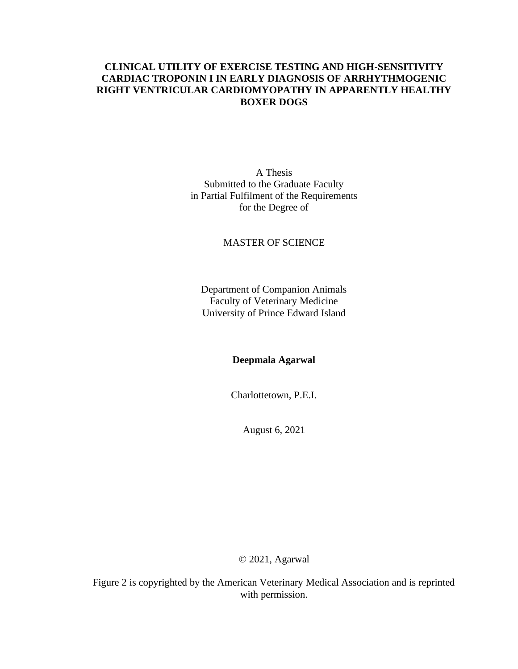# **CLINICAL UTILITY OF EXERCISE TESTING AND HIGH-SENSITIVITY CARDIAC TROPONIN I IN EARLY DIAGNOSIS OF ARRHYTHMOGENIC RIGHT VENTRICULAR CARDIOMYOPATHY IN APPARENTLY HEALTHY BOXER DOGS**

A Thesis Submitted to the Graduate Faculty in Partial Fulfilment of the Requirements for the Degree of

## MASTER OF SCIENCE

Department of Companion Animals Faculty of Veterinary Medicine University of Prince Edward Island

**Deepmala Agarwal**

Charlottetown, P.E.I.

August 6, 2021

© 2021, Agarwal

Figure 2 is copyrighted by the American Veterinary Medical Association and is reprinted with permission.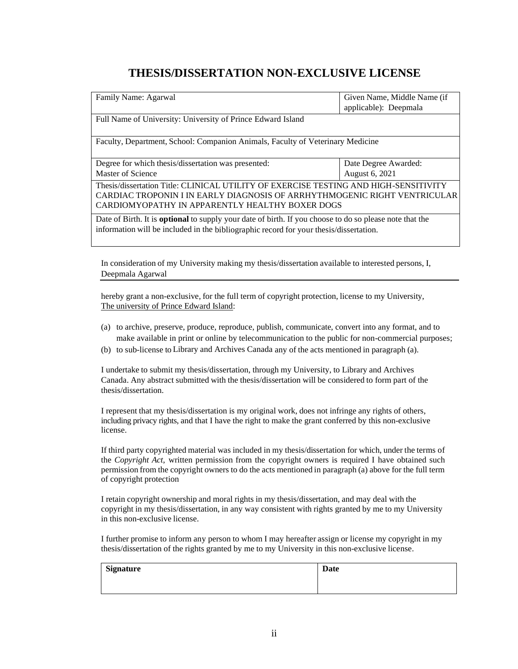# **THESIS/DISSERTATION NON-EXCLUSIVE LICENSE**

| Family Name: Agarwal                                                                                           | Given Name, Middle Name (if<br>applicable): Deepmala |
|----------------------------------------------------------------------------------------------------------------|------------------------------------------------------|
| Full Name of University: University of Prince Edward Island                                                    |                                                      |
| Faculty, Department, School: Companion Animals, Faculty of Veterinary Medicine                                 |                                                      |
| Degree for which thesis/dissertation was presented:                                                            | Date Degree Awarded:                                 |
| Master of Science                                                                                              | August 6, 2021                                       |
| Thesis/dissertation Title: CLINICAL UTILITY OF EXERCISE TESTING AND HIGH-SENSITIVITY                           |                                                      |
| CARDIAC TROPONIN I IN EARLY DIAGNOSIS OF ARRHYTHMOGENIC RIGHT VENTRICULAR                                      |                                                      |
| CARDIOMYOPATHY IN APPARENTLY HEALTHY BOXER DOGS                                                                |                                                      |
| Date of Birth. It is <b>optional</b> to supply your date of birth. If you choose to do so please note that the |                                                      |
| information will be included in the bibliographic record for your thesis/dissertation.                         |                                                      |

In consideration of my University making my thesis/dissertation available to interested persons, I, Deepmala Agarwal

hereby grant a non-exclusive, for the full term of copyright protection, license to my University, The university of Prince Edward Island:

- (a) to archive, preserve, produce, reproduce, publish, communicate, convert into any format, and to make available in print or online by telecommunication to the public for non-commercial purposes;
- (b) to sub-license to Library and Archives Canada any of the acts mentioned in paragraph (a).

I undertake to submit my thesis/dissertation, through my University, to Library and Archives Canada. Any abstract submitted with the thesis/dissertation will be considered to form part of the thesis/dissertation.

I represent that my thesis/dissertation is my original work, does not infringe any rights of others, including privacy rights, and that I have the right to make the grant conferred by this non-exclusive license.

If third party copyrighted material was included in my thesis/dissertation for which, under the terms of the *Copyright Act*, written permission from the copyright owners is required I have obtained such permission from the copyright owners to do the acts mentioned in paragraph (a) above for the full term of copyright protection

I retain copyright ownership and moral rights in my thesis/dissertation, and may deal with the copyright in my thesis/dissertation, in any way consistent with rights granted by me to my University in this non-exclusive license.

I further promise to inform any person to whom I may hereafter assign or license my copyright in my thesis/dissertation of the rights granted by me to my University in this non-exclusive license.

| <b>Signature</b> | Date |
|------------------|------|
|                  |      |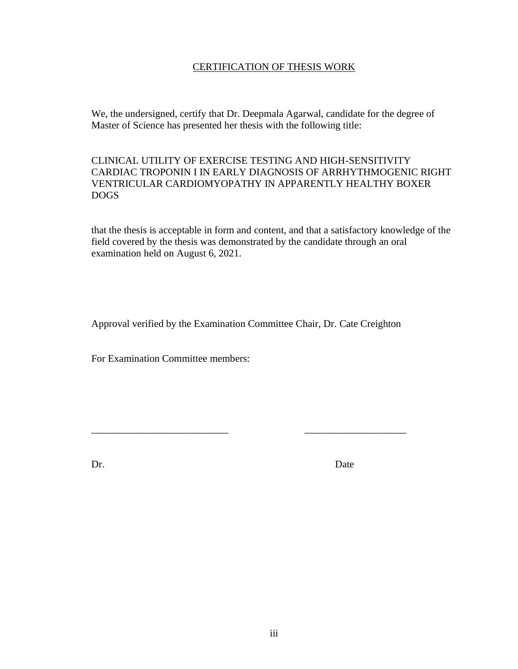# CERTIFICATION OF THESIS WORK

We, the undersigned, certify that Dr. Deepmala Agarwal, candidate for the degree of Master of Science has presented her thesis with the following title:

CLINICAL UTILITY OF EXERCISE TESTING AND HIGH-SENSITIVITY CARDIAC TROPONIN I IN EARLY DIAGNOSIS OF ARRHYTHMOGENIC RIGHT VENTRICULAR CARDIOMYOPATHY IN APPARENTLY HEALTHY BOXER DOGS

that the thesis is acceptable in form and content, and that a satisfactory knowledge of the field covered by the thesis was demonstrated by the candidate through an oral examination held on August 6, 2021.

Approval verified by the Examination Committee Chair, Dr. Cate Creighton

\_\_\_\_\_\_\_\_\_\_\_\_\_\_\_\_\_\_\_\_\_\_\_\_\_\_\_ \_\_\_\_\_\_\_\_\_\_\_\_\_\_\_\_\_\_\_\_

For Examination Committee members:

Dr. Date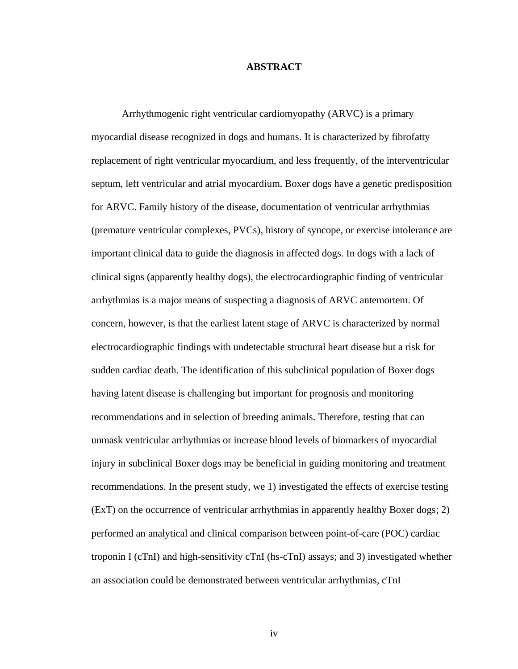### **ABSTRACT**

Arrhythmogenic right ventricular cardiomyopathy (ARVC) is a primary myocardial disease recognized in dogs and humans. It is characterized by fibrofatty replacement of right ventricular myocardium, and less frequently, of the interventricular septum, left ventricular and atrial myocardium. Boxer dogs have a genetic predisposition for ARVC. Family history of the disease, documentation of ventricular arrhythmias (premature ventricular complexes, PVCs), history of syncope, or exercise intolerance are important clinical data to guide the diagnosis in affected dogs. In dogs with a lack of clinical signs (apparently healthy dogs), the electrocardiographic finding of ventricular arrhythmias is a major means of suspecting a diagnosis of ARVC antemortem. Of concern, however, is that the earliest latent stage of ARVC is characterized by normal electrocardiographic findings with undetectable structural heart disease but a risk for sudden cardiac death. The identification of this subclinical population of Boxer dogs having latent disease is challenging but important for prognosis and monitoring recommendations and in selection of breeding animals. Therefore, testing that can unmask ventricular arrhythmias or increase blood levels of biomarkers of myocardial injury in subclinical Boxer dogs may be beneficial in guiding monitoring and treatment recommendations. In the present study, we 1) investigated the effects of exercise testing (ExT) on the occurrence of ventricular arrhythmias in apparently healthy Boxer dogs; 2) performed an analytical and clinical comparison between point-of-care (POC) cardiac troponin I (cTnI) and high-sensitivity cTnI (hs-cTnI) assays; and 3) investigated whether an association could be demonstrated between ventricular arrhythmias, cTnI

iv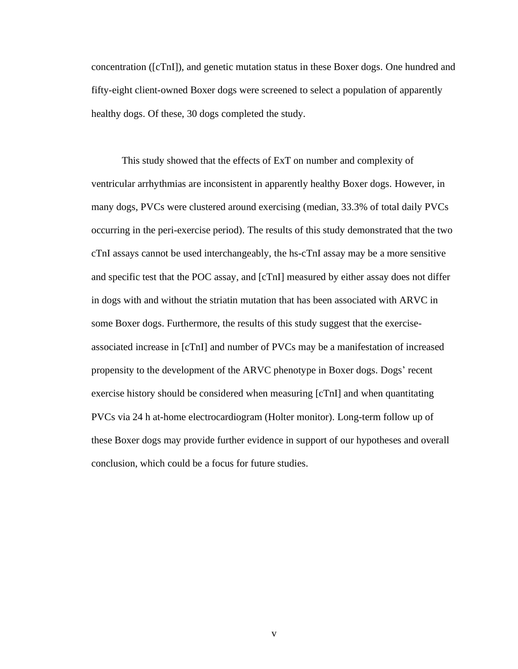concentration ([cTnI]), and genetic mutation status in these Boxer dogs. One hundred and fifty-eight client-owned Boxer dogs were screened to select a population of apparently healthy dogs. Of these, 30 dogs completed the study.

This study showed that the effects of ExT on number and complexity of ventricular arrhythmias are inconsistent in apparently healthy Boxer dogs. However, in many dogs, PVCs were clustered around exercising (median, 33.3% of total daily PVCs occurring in the peri-exercise period). The results of this study demonstrated that the two cTnI assays cannot be used interchangeably, the hs-cTnI assay may be a more sensitive and specific test that the POC assay, and [cTnI] measured by either assay does not differ in dogs with and without the striatin mutation that has been associated with ARVC in some Boxer dogs. Furthermore, the results of this study suggest that the exerciseassociated increase in [cTnI] and number of PVCs may be a manifestation of increased propensity to the development of the ARVC phenotype in Boxer dogs. Dogs' recent exercise history should be considered when measuring [cTnI] and when quantitating PVCs via 24 h at-home electrocardiogram (Holter monitor). Long-term follow up of these Boxer dogs may provide further evidence in support of our hypotheses and overall conclusion, which could be a focus for future studies.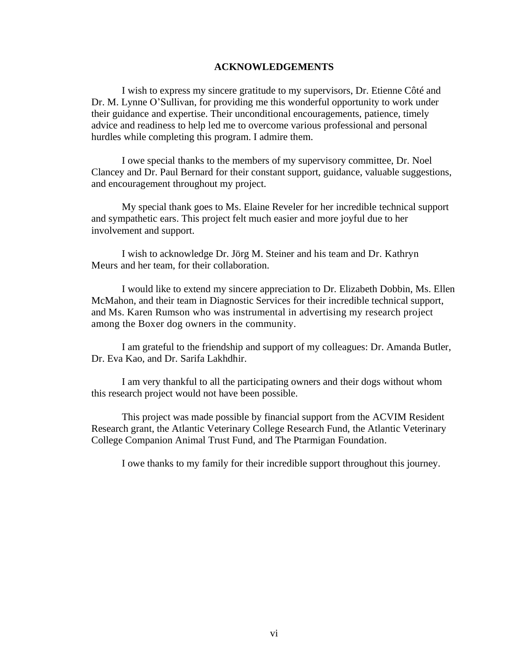#### **ACKNOWLEDGEMENTS**

I wish to express my sincere gratitude to my supervisors, Dr. Etienne Côté and Dr. M. Lynne O'Sullivan, for providing me this wonderful opportunity to work under their guidance and expertise. Their unconditional encouragements, patience, timely advice and readiness to help led me to overcome various professional and personal hurdles while completing this program. I admire them.

I owe special thanks to the members of my supervisory committee, Dr. Noel Clancey and Dr. Paul Bernard for their constant support, guidance, valuable suggestions, and encouragement throughout my project.

My special thank goes to Ms. Elaine Reveler for her incredible technical support and sympathetic ears. This project felt much easier and more joyful due to her involvement and support.

I wish to acknowledge Dr. Jörg M. Steiner and his team and Dr. Kathryn Meurs and her team, for their collaboration.

I would like to extend my sincere appreciation to Dr. Elizabeth Dobbin, Ms. Ellen McMahon, and their team in Diagnostic Services for their incredible technical support, and Ms. Karen Rumson who was instrumental in advertising my research project among the Boxer dog owners in the community.

I am grateful to the friendship and support of my colleagues: Dr. Amanda Butler, Dr. Eva Kao, and Dr. Sarifa Lakhdhir.

I am very thankful to all the participating owners and their dogs without whom this research project would not have been possible.

This project was made possible by financial support from the ACVIM Resident Research grant, the Atlantic Veterinary College Research Fund, the Atlantic Veterinary College Companion Animal Trust Fund, and The Ptarmigan Foundation.

I owe thanks to my family for their incredible support throughout this journey.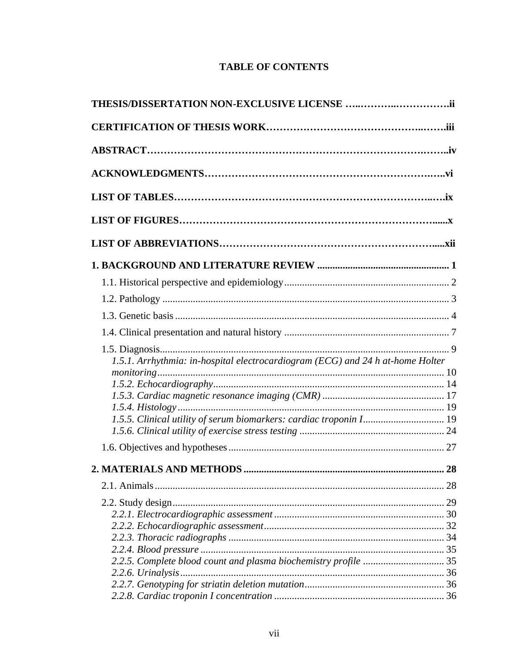# **TABLE OF CONTENTS**

| 1.5.1. Arrhythmia: in-hospital electrocardiogram (ECG) and 24 h at-home Holter |  |
|--------------------------------------------------------------------------------|--|
|                                                                                |  |
|                                                                                |  |
|                                                                                |  |
| 1.5.5. Clinical utility of serum biomarkers: cardiac troponin I 19             |  |
|                                                                                |  |
|                                                                                |  |
|                                                                                |  |
|                                                                                |  |
|                                                                                |  |
|                                                                                |  |
|                                                                                |  |
|                                                                                |  |
|                                                                                |  |
|                                                                                |  |
| 2.2.5. Complete blood count and plasma biochemistry profile  35                |  |
|                                                                                |  |
|                                                                                |  |
|                                                                                |  |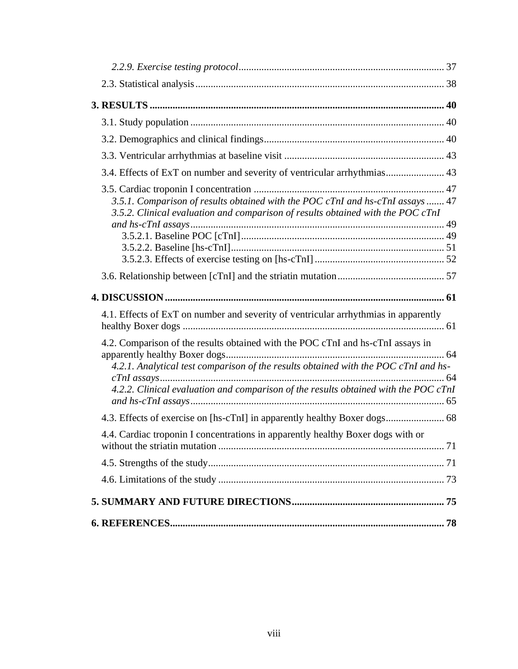| 3.4. Effects of ExT on number and severity of ventricular arrhythmias 43                                                                                                                                                                                      |  |
|---------------------------------------------------------------------------------------------------------------------------------------------------------------------------------------------------------------------------------------------------------------|--|
| 3.5.1. Comparison of results obtained with the POC cTnI and hs-cTnI assays  47<br>3.5.2. Clinical evaluation and comparison of results obtained with the POC cTnI                                                                                             |  |
|                                                                                                                                                                                                                                                               |  |
|                                                                                                                                                                                                                                                               |  |
|                                                                                                                                                                                                                                                               |  |
| 4.1. Effects of ExT on number and severity of ventricular arrhythmias in apparently                                                                                                                                                                           |  |
| 4.2. Comparison of the results obtained with the POC cTnI and hs-cTnI assays in<br>4.2.1. Analytical test comparison of the results obtained with the POC cTnI and hs-<br>4.2.2. Clinical evaluation and comparison of the results obtained with the POC cTnI |  |
|                                                                                                                                                                                                                                                               |  |
| 4.4. Cardiac troponin I concentrations in apparently healthy Boxer dogs with or                                                                                                                                                                               |  |
|                                                                                                                                                                                                                                                               |  |
|                                                                                                                                                                                                                                                               |  |
|                                                                                                                                                                                                                                                               |  |
|                                                                                                                                                                                                                                                               |  |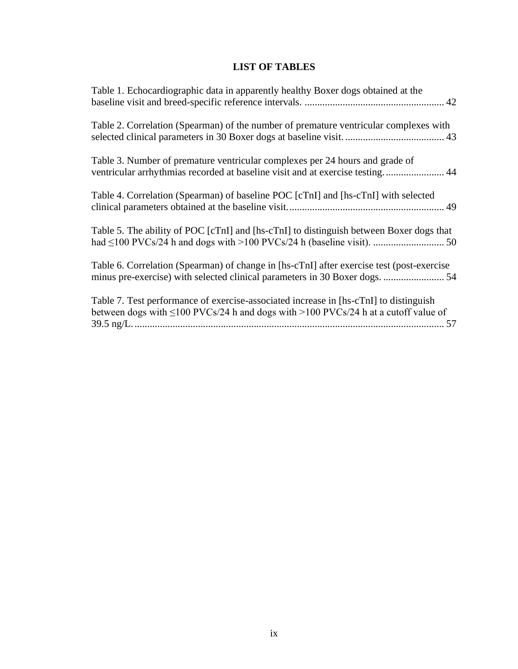# **LIST OF TABLES**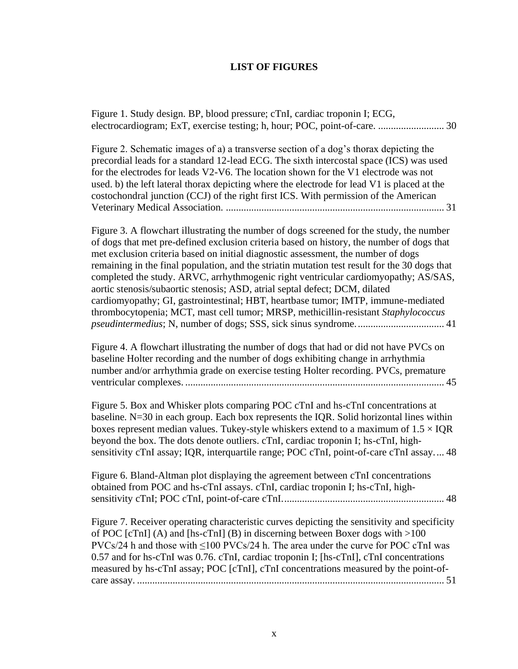# **LIST OF FIGURES**

| Figure 1. Study design. BP, blood pressure; cTnI, cardiac troponin I; ECG,<br>electrocardiogram; ExT, exercise testing; h, hour; POC, point-of-care.  30                                                                                                                                                                                                                                                                                                                                                                                                                                                                                                                                                                     |
|------------------------------------------------------------------------------------------------------------------------------------------------------------------------------------------------------------------------------------------------------------------------------------------------------------------------------------------------------------------------------------------------------------------------------------------------------------------------------------------------------------------------------------------------------------------------------------------------------------------------------------------------------------------------------------------------------------------------------|
| Figure 2. Schematic images of a) a transverse section of a dog's thorax depicting the<br>precordial leads for a standard 12-lead ECG. The sixth intercostal space (ICS) was used<br>for the electrodes for leads V2-V6. The location shown for the V1 electrode was not<br>used. b) the left lateral thorax depicting where the electrode for lead V1 is placed at the<br>costochondral junction (CCJ) of the right first ICS. With permission of the American                                                                                                                                                                                                                                                               |
| Figure 3. A flowchart illustrating the number of dogs screened for the study, the number<br>of dogs that met pre-defined exclusion criteria based on history, the number of dogs that<br>met exclusion criteria based on initial diagnostic assessment, the number of dogs<br>remaining in the final population, and the striatin mutation test result for the 30 dogs that<br>completed the study. ARVC, arrhythmogenic right ventricular cardiomyopathy; AS/SAS,<br>aortic stenosis/subaortic stenosis; ASD, atrial septal defect; DCM, dilated<br>cardiomyopathy; GI, gastrointestinal; HBT, heartbase tumor; IMTP, immune-mediated<br>thrombocytopenia; MCT, mast cell tumor; MRSP, methicillin-resistant Staphylococcus |
| Figure 4. A flowchart illustrating the number of dogs that had or did not have PVCs on<br>baseline Holter recording and the number of dogs exhibiting change in arrhythmia<br>number and/or arrhythmia grade on exercise testing Holter recording. PVCs, premature                                                                                                                                                                                                                                                                                                                                                                                                                                                           |
| Figure 5. Box and Whisker plots comparing POC cTnI and hs-cTnI concentrations at<br>baseline. $N=30$ in each group. Each box represents the IQR. Solid horizontal lines within<br>boxes represent median values. Tukey-style whiskers extend to a maximum of $1.5 \times IQR$<br>beyond the box. The dots denote outliers. cTnI, cardiac troponin I; hs-cTnI, high-<br>sensitivity cTnI assay; IQR, interquartile range; POC cTnI, point-of-care cTnI assay 48                                                                                                                                                                                                                                                               |
| Figure 6. Bland-Altman plot displaying the agreement between cTnI concentrations<br>obtained from POC and hs-cTnI assays. cTnI, cardiac troponin I; hs-cTnI, high-                                                                                                                                                                                                                                                                                                                                                                                                                                                                                                                                                           |
| Figure 7. Receiver operating characteristic curves depicting the sensitivity and specificity<br>of POC [cTnI] (A) and [hs-cTnI] (B) in discerning between Boxer dogs with $>100$<br>$PVCs/24$ h and those with $\leq 100$ PVCs/24 h. The area under the curve for POC cTnI was<br>0.57 and for hs-cTnI was 0.76. cTnI, cardiac troponin I; [hs-cTnI], cTnI concentrations<br>measured by hs-cTnI assay; POC [cTnI], cTnI concentrations measured by the point-of-                                                                                                                                                                                                                                                            |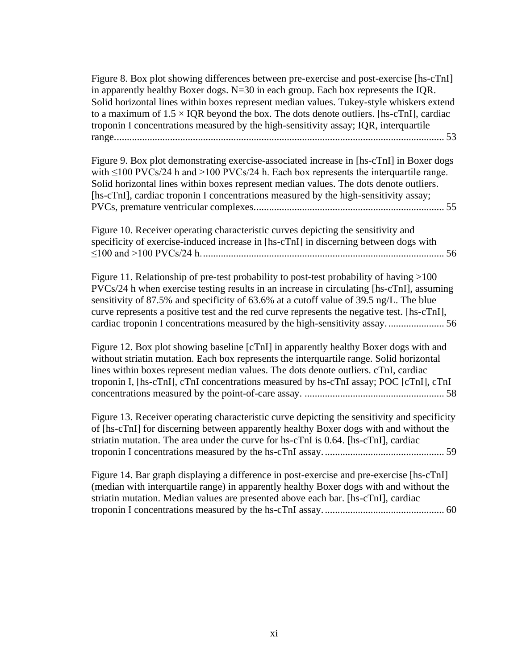[Figure 8. Box plot showing differences between pre-exercise and post-exercise \[hs-cTnI\]](#page-65-0)  [in apparently healthy Boxer dogs. N=30 in each group. Each box represents the IQR.](#page-65-0)  [Solid horizontal lines within boxes represent median values. Tukey-style whiskers extend](#page-65-0)  to a maximum of  $1.5 \times IQR$  beyond the box. The dots denote outliers. [hs-cTnI], cardiac [troponin I concentrations measured by the high-sensitivity assay; IQR, interquartile](#page-65-0)  [range..................................................................................................................................](#page-65-0) 53

[Figure 9. Box plot demonstrating exercise-associated increase in \[hs-cTnI\]](#page-67-0) in Boxer dogs with  $\leq 100$  PVCs/24 h and  $> 100$  PVCs/24 h. Each box represents the interquartile range. [Solid horizontal lines within boxes represent median values. The dots denote outliers.](#page-67-0)  [hs-cTnI], cardiac troponin I concentrations measured by the high-sensitivity assay; [PVCs, premature ventricular complexes...........................................................................](#page-67-0) 55

[Figure 10. Receiver operating characteristic curves depicting the sensitivity and](#page-68-0)  [specificity of exercise-induced increase in \[hs-cTnI\] in discerning between dogs with](#page-68-0)  [≤100 and >100 PVCs/24 h................................................................................................](#page-68-0) 56

Figure 11. Relationship of pre-test probability to post-test probability of having >100 [PVCs/24 h when exercise testing results in an increase in circulating \[hs-cTnI\], assuming](#page-68-1)  [sensitivity of 87.5% and specificity of 63.6% at a cutoff value of 39.5 ng/L. The blue](#page-68-1)  [curve represents a positive test and the red curve represents the negative test.](#page-68-1) [hs-cTnI], [cardiac troponin I concentrations measured by the high-sensitivity assay.......................](#page-68-1) 56

[Figure 12. Box plot showing baseline \[cTnI\]](#page-70-0) in apparently healthy Boxer dogs with and [without striatin mutation. Each box represents the interquartile range. Solid horizontal](#page-70-0)  [lines within boxes represent median values. The dots denote outliers. cTnI, cardiac](#page-70-0)  [troponin I, \[hs-cTnI\], cTnI concentrations measured by hs-cTnI assay; POC \[cTnI\], cTnI](#page-70-0)  [concentrations measured by the point-of-care assay.](#page-70-0) ....................................................... 58

[Figure 13. Receiver operating characteristic curve depicting the sensitivity and specificity](#page-71-0)  of [hs-cTnI] [for discerning between apparently healthy Boxer dogs with and without the](#page-71-0)  [striatin mutation. The area under the curve for hs-cTnI is 0.64.](#page-71-0) [hs-cTnI], cardiac [troponin I concentrations measured by the hs-cTnI assay.](#page-71-0) ............................................... 59

[Figure 14. Bar graph displaying a difference in post-exercise and pre-exercise \[hs-cTnI\]](#page-72-0)  [\(median with interquartile range\) in apparently healthy Boxer dogs with and without the](#page-72-0)  [striatin mutation. Median values are presented above each bar. \[hs-cTnI\], cardiac](#page-72-0)  [troponin I concentrations measured by the hs-cTnI assay.](#page-72-0) ............................................... 60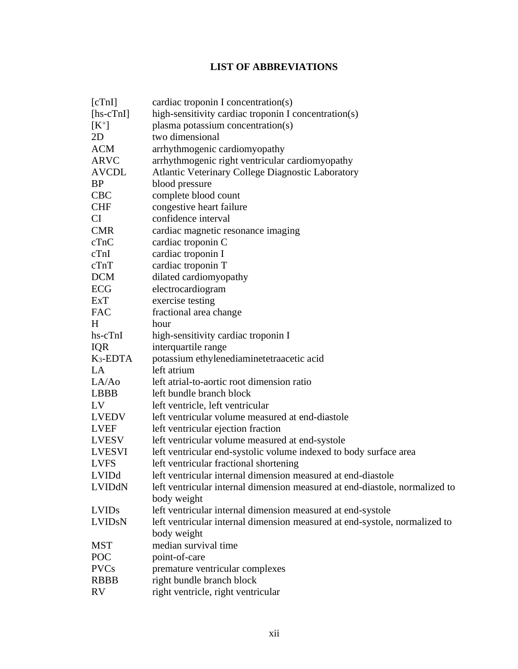# **LIST OF ABBREVIATIONS**

| [cTn]              | cardiac troponin I concentration(s)                                         |
|--------------------|-----------------------------------------------------------------------------|
| $[hs\text{-}cTnI]$ | high-sensitivity cardiac troponin I concentration(s)                        |
| $[K^+]$            | plasma potassium concentration(s)                                           |
| 2D                 | two dimensional                                                             |
| <b>ACM</b>         | arrhythmogenic cardiomyopathy                                               |
| <b>ARVC</b>        | arrhythmogenic right ventricular cardiomyopathy                             |
| <b>AVCDL</b>       | <b>Atlantic Veterinary College Diagnostic Laboratory</b>                    |
| <b>BP</b>          | blood pressure                                                              |
| <b>CBC</b>         | complete blood count                                                        |
| <b>CHF</b>         | congestive heart failure                                                    |
| <b>CI</b>          | confidence interval                                                         |
| <b>CMR</b>         | cardiac magnetic resonance imaging                                          |
| cTnC               | cardiac troponin C                                                          |
| cTnI               | cardiac troponin I                                                          |
| cTnT               | cardiac troponin T                                                          |
| <b>DCM</b>         | dilated cardiomyopathy                                                      |
| ECG                | electrocardiogram                                                           |
| ExT                | exercise testing                                                            |
| <b>FAC</b>         | fractional area change                                                      |
| H                  | hour                                                                        |
| hs-cTnI            | high-sensitivity cardiac troponin I                                         |
| <b>IQR</b>         | interquartile range                                                         |
| $K_3$ -EDTA        | potassium ethylenediaminetetraacetic acid                                   |
| <b>LA</b>          | left atrium                                                                 |
| LA/Ao              | left atrial-to-aortic root dimension ratio                                  |
| <b>LBBB</b>        | left bundle branch block                                                    |
| LV                 | left ventricle, left ventricular                                            |
| <b>LVEDV</b>       | left ventricular volume measured at end-diastole                            |
| <b>LVEF</b>        | left ventricular ejection fraction                                          |
| <b>LVESV</b>       | left ventricular volume measured at end-systole                             |
| <b>LVESVI</b>      | left ventricular end-systolic volume indexed to body surface area           |
| <b>LVFS</b>        | left ventricular fractional shortening                                      |
| LVIDd              | left ventricular internal dimension measured at end-diastole                |
| LVIDdN             | left ventricular internal dimension measured at end-diastole, normalized to |
|                    | body weight                                                                 |
| <b>LVIDs</b>       | left ventricular internal dimension measured at end-systole                 |
| <b>LVIDSN</b>      | left ventricular internal dimension measured at end-systole, normalized to  |
|                    | body weight                                                                 |
| <b>MST</b>         | median survival time                                                        |
| POC                | point-of-care                                                               |
| <b>PVCs</b>        | premature ventricular complexes                                             |
| <b>RBBB</b>        | right bundle branch block                                                   |
| <b>RV</b>          | right ventricle, right ventricular                                          |
|                    |                                                                             |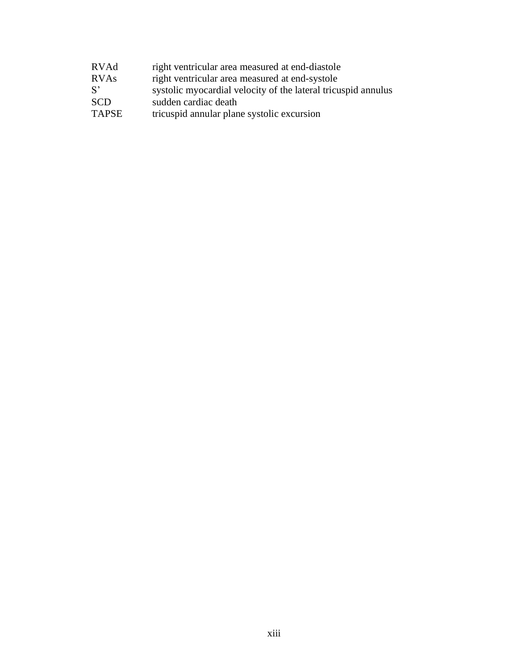| RVAd         | right ventricular area measured at end-diastole               |
|--------------|---------------------------------------------------------------|
| <b>RVAs</b>  | right ventricular area measured at end-systole                |
| $S^{\prime}$ | systolic myocardial velocity of the lateral tricuspid annulus |
| <b>SCD</b>   | sudden cardiac death                                          |
| <b>TAPSE</b> | tricuspid annular plane systolic excursion                    |
|              |                                                               |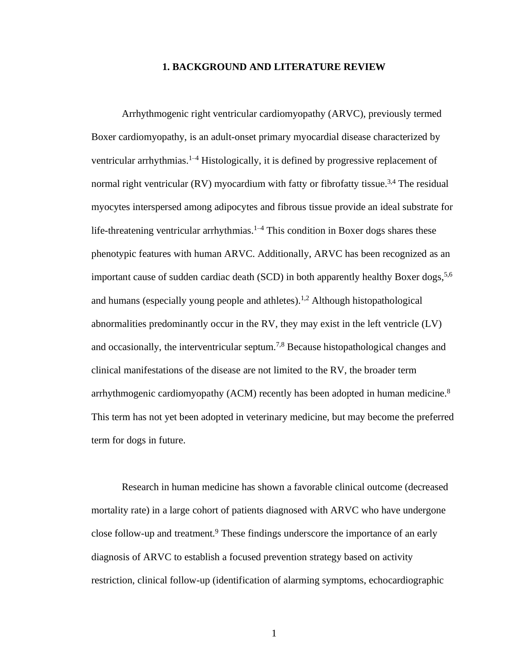#### **1. BACKGROUND AND LITERATURE REVIEW**

<span id="page-13-0"></span>Arrhythmogenic right ventricular cardiomyopathy (ARVC), previously termed Boxer cardiomyopathy, is an adult-onset primary myocardial disease characterized by ventricular arrhythmias.<sup>1–4</sup> Histologically, it is defined by progressive replacement of normal right ventricular (RV) myocardium with fatty or fibrofatty tissue.<sup>3,4</sup> The residual myocytes interspersed among adipocytes and fibrous tissue provide an ideal substrate for life-threatening ventricular arrhythmias.<sup>1–4</sup> This condition in Boxer dogs shares these phenotypic features with human ARVC. Additionally, ARVC has been recognized as an important cause of sudden cardiac death (SCD) in both apparently healthy Boxer dogs,  $5.6$ and humans (especially young people and athletes). 1,2 Although histopathological abnormalities predominantly occur in the RV, they may exist in the left ventricle (LV) and occasionally, the interventricular septum.<sup>7,8</sup> Because histopathological changes and clinical manifestations of the disease are not limited to the RV, the broader term arrhythmogenic cardiomyopathy (ACM) recently has been adopted in human medicine.<sup>8</sup> This term has not yet been adopted in veterinary medicine, but may become the preferred term for dogs in future.

Research in human medicine has shown a favorable clinical outcome (decreased mortality rate) in a large cohort of patients diagnosed with ARVC who have undergone close follow-up and treatment.<sup>9</sup> These findings underscore the importance of an early diagnosis of ARVC to establish a focused prevention strategy based on activity restriction, clinical follow-up (identification of alarming symptoms, echocardiographic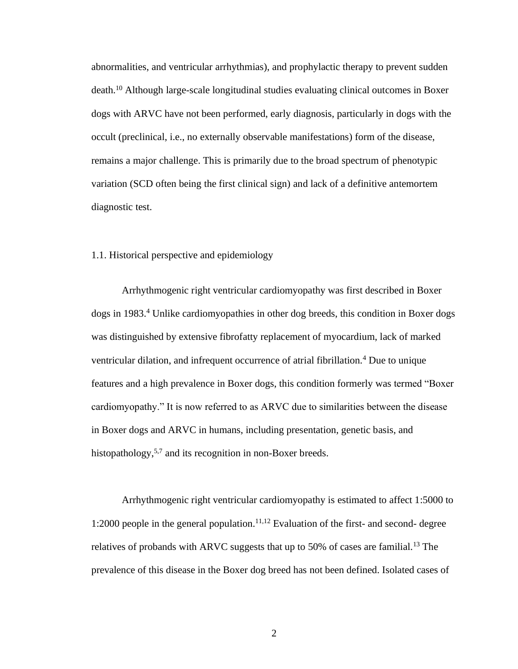abnormalities, and ventricular arrhythmias), and prophylactic therapy to prevent sudden death.<sup>10</sup> Although large-scale longitudinal studies evaluating clinical outcomes in Boxer dogs with ARVC have not been performed, early diagnosis, particularly in dogs with the occult (preclinical, i.e., no externally observable manifestations) form of the disease, remains a major challenge. This is primarily due to the broad spectrum of phenotypic variation (SCD often being the first clinical sign) and lack of a definitive antemortem diagnostic test.

## <span id="page-14-0"></span>1.1. Historical perspective and epidemiology

Arrhythmogenic right ventricular cardiomyopathy was first described in Boxer dogs in 1983.<sup>4</sup> Unlike cardiomyopathies in other dog breeds, this condition in Boxer dogs was distinguished by extensive fibrofatty replacement of myocardium, lack of marked ventricular dilation, and infrequent occurrence of atrial fibrillation.<sup>4</sup> Due to unique features and a high prevalence in Boxer dogs, this condition formerly was termed "Boxer cardiomyopathy." It is now referred to as ARVC due to similarities between the disease in Boxer dogs and ARVC in humans, including presentation, genetic basis, and histopathology,<sup>5,7</sup> and its recognition in non-Boxer breeds.

Arrhythmogenic right ventricular cardiomyopathy is estimated to affect 1:5000 to 1:2000 people in the general population.<sup>11,12</sup> Evaluation of the first- and second- degree relatives of probands with ARVC suggests that up to 50% of cases are familial.<sup>13</sup> The prevalence of this disease in the Boxer dog breed has not been defined. Isolated cases of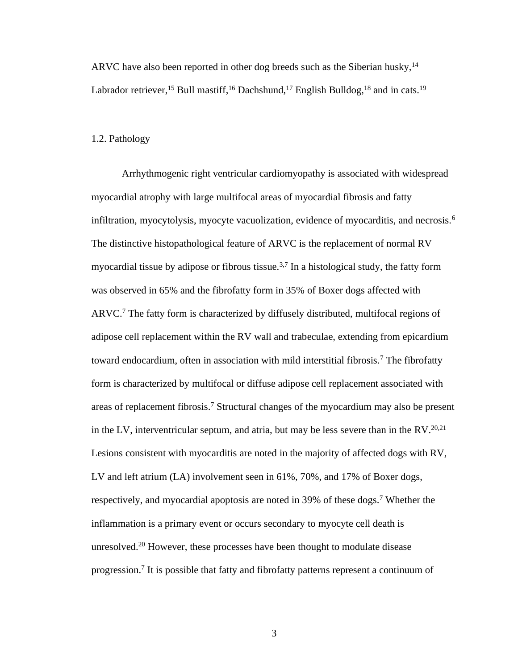ARVC have also been reported in other dog breeds such as the Siberian husky,  $14$ Labrador retriever,<sup>15</sup> Bull mastiff,<sup>16</sup> Dachshund,<sup>17</sup> English Bulldog,<sup>18</sup> and in cats.<sup>19</sup>

### <span id="page-15-0"></span>1.2. Pathology

Arrhythmogenic right ventricular cardiomyopathy is associated with widespread myocardial atrophy with large multifocal areas of myocardial fibrosis and fatty infiltration, myocytolysis, myocyte vacuolization, evidence of myocarditis, and necrosis.<sup>6</sup> The distinctive histopathological feature of ARVC is the replacement of normal RV myocardial tissue by adipose or fibrous tissue.<sup>3,7</sup> In a histological study, the fatty form was observed in 65% and the fibrofatty form in 35% of Boxer dogs affected with ARVC. <sup>7</sup> The fatty form is characterized by diffusely distributed, multifocal regions of adipose cell replacement within the RV wall and trabeculae, extending from epicardium toward endocardium, often in association with mild interstitial fibrosis.<sup>7</sup> The fibrofatty form is characterized by multifocal or diffuse adipose cell replacement associated with areas of replacement fibrosis.<sup>7</sup> Structural changes of the myocardium may also be present in the LV, interventricular septum, and atria, but may be less severe than in the RV.<sup>20,21</sup> Lesions consistent with myocarditis are noted in the majority of affected dogs with RV, LV and left atrium (LA) involvement seen in 61%, 70%, and 17% of Boxer dogs, respectively, and myocardial apoptosis are noted in 39% of these dogs.<sup>7</sup> Whether the inflammation is a primary event or occurs secondary to myocyte cell death is unresolved.<sup>20</sup> However, these processes have been thought to modulate disease progression.<sup>7</sup> It is possible that fatty and fibrofatty patterns represent a continuum of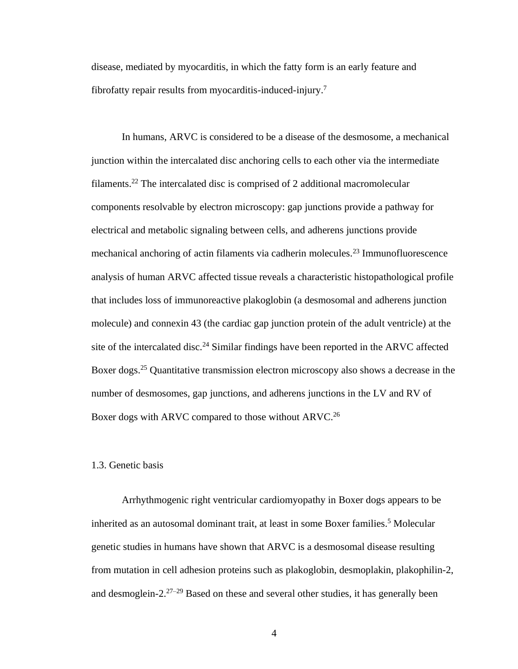disease, mediated by myocarditis, in which the fatty form is an early feature and fibrofatty repair results from myocarditis-induced-injury.<sup>7</sup>

In humans, ARVC is considered to be a disease of the desmosome, a mechanical junction within the intercalated disc anchoring cells to each other via the intermediate filaments.<sup>22</sup> The intercalated disc is comprised of 2 additional macromolecular components resolvable by electron microscopy: gap junctions provide a pathway for electrical and metabolic signaling between cells, and adherens junctions provide mechanical anchoring of actin filaments via cadherin molecules.<sup>23</sup> Immunofluorescence analysis of human ARVC affected tissue reveals a characteristic histopathological profile that includes loss of immunoreactive plakoglobin (a desmosomal and adherens junction molecule) and connexin 43 (the cardiac gap junction protein of the adult ventricle) at the site of the intercalated disc.<sup>24</sup> Similar findings have been reported in the ARVC affected Boxer dogs.<sup>25</sup> Quantitative transmission electron microscopy also shows a decrease in the number of desmosomes, gap junctions, and adherens junctions in the LV and RV of Boxer dogs with ARVC compared to those without ARVC.<sup>26</sup>

## <span id="page-16-0"></span>1.3. Genetic basis

Arrhythmogenic right ventricular cardiomyopathy in Boxer dogs appears to be inherited as an autosomal dominant trait, at least in some Boxer families.<sup>5</sup> Molecular genetic studies in humans have shown that ARVC is a desmosomal disease resulting from mutation in cell adhesion proteins such as plakoglobin, desmoplakin, plakophilin-2, and desmoglein-2.27–29 Based on these and several other studies, it has generally been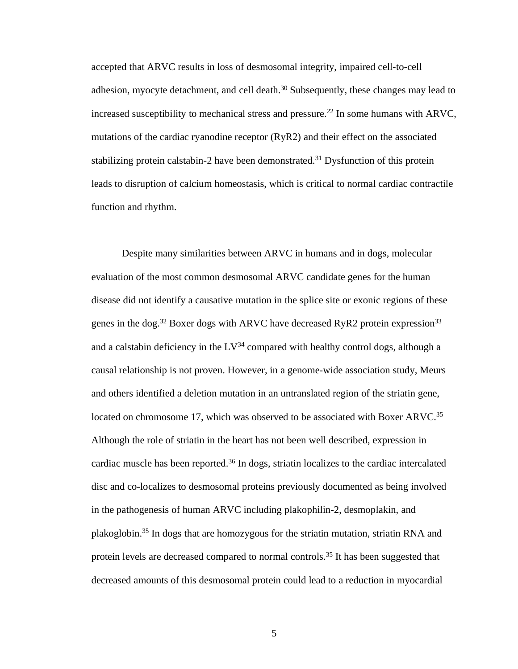accepted that ARVC results in loss of desmosomal integrity, impaired cell-to-cell adhesion, myocyte detachment, and cell death.<sup>30</sup> Subsequently, these changes may lead to increased susceptibility to mechanical stress and pressure.<sup>22</sup> In some humans with ARVC, mutations of the cardiac ryanodine receptor (RyR2) and their effect on the associated stabilizing protein calstabin-2 have been demonstrated.<sup>31</sup> Dysfunction of this protein leads to disruption of calcium homeostasis, which is critical to normal cardiac contractile function and rhythm.

Despite many similarities between ARVC in humans and in dogs, molecular evaluation of the most common desmosomal ARVC candidate genes for the human disease did not identify a causative mutation in the splice site or exonic regions of these genes in the dog.<sup>32</sup> Boxer dogs with ARVC have decreased RyR2 protein expression<sup>33</sup> and a calstabin deficiency in the  $LV^{34}$  compared with healthy control dogs, although a causal relationship is not proven. However, in a genome-wide association study, Meurs and others identified a deletion mutation in an untranslated region of the striatin gene, located on chromosome 17, which was observed to be associated with Boxer ARVC.<sup>35</sup> Although the role of striatin in the heart has not been well described, expression in cardiac muscle has been reported.<sup>36</sup> In dogs, striatin localizes to the cardiac intercalated disc and co-localizes to desmosomal proteins previously documented as being involved in the pathogenesis of human ARVC including plakophilin-2, desmoplakin, and plakoglobin.<sup>35</sup> In dogs that are homozygous for the striatin mutation, striatin RNA and protein levels are decreased compared to normal controls.<sup>35</sup> It has been suggested that decreased amounts of this desmosomal protein could lead to a reduction in myocardial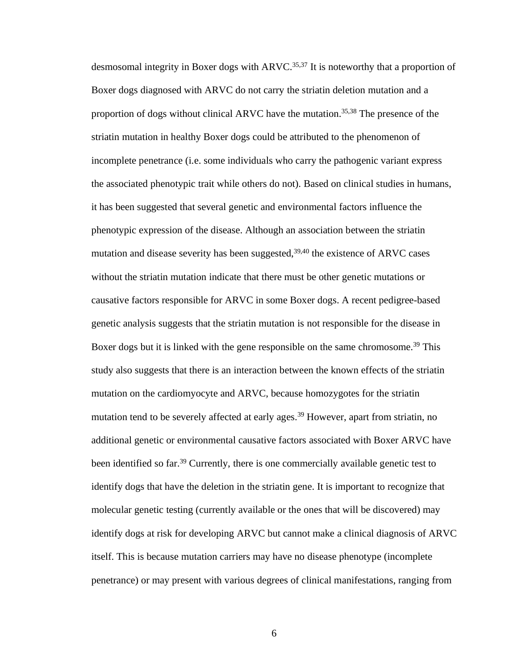desmosomal integrity in Boxer dogs with  $ARVC$ .<sup>35,37</sup> It is noteworthy that a proportion of Boxer dogs diagnosed with ARVC do not carry the striatin deletion mutation and a proportion of dogs without clinical ARVC have the mutation.35,38 The presence of the striatin mutation in healthy Boxer dogs could be attributed to the phenomenon of incomplete penetrance (i.e. some individuals who carry the pathogenic variant express the associated phenotypic trait while others do not). Based on clinical studies in humans, it has been suggested that several genetic and environmental factors influence the phenotypic expression of the disease. Although an association between the striatin mutation and disease severity has been suggested,  $39,40$  the existence of ARVC cases without the striatin mutation indicate that there must be other genetic mutations or causative factors responsible for ARVC in some Boxer dogs. A recent pedigree-based genetic analysis suggests that the striatin mutation is not responsible for the disease in Boxer dogs but it is linked with the gene responsible on the same chromosome.<sup>39</sup> This study also suggests that there is an interaction between the known effects of the striatin mutation on the cardiomyocyte and ARVC, because homozygotes for the striatin mutation tend to be severely affected at early ages.<sup>39</sup> However, apart from striatin, no additional genetic or environmental causative factors associated with Boxer ARVC have been identified so far.<sup>39</sup> Currently, there is one commercially available genetic test to identify dogs that have the deletion in the striatin gene. It is important to recognize that molecular genetic testing (currently available or the ones that will be discovered) may identify dogs at risk for developing ARVC but cannot make a clinical diagnosis of ARVC itself. This is because mutation carriers may have no disease phenotype (incomplete penetrance) or may present with various degrees of clinical manifestations, ranging from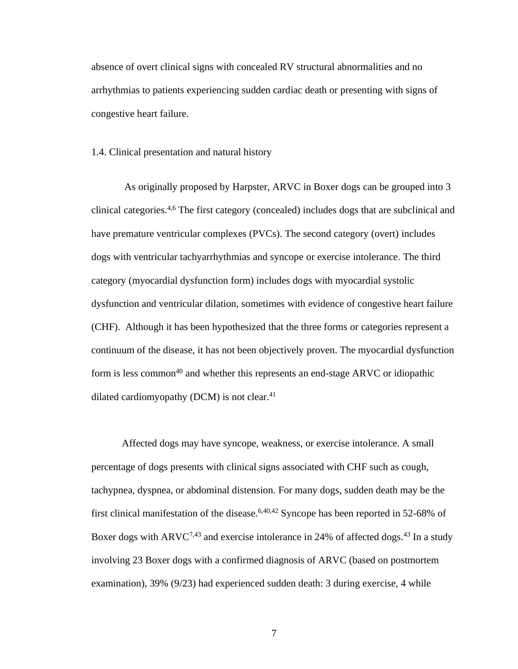absence of overt clinical signs with concealed RV structural abnormalities and no arrhythmias to patients experiencing sudden cardiac death or presenting with signs of congestive heart failure.

<span id="page-19-0"></span>1.4. Clinical presentation and natural history

As originally proposed by Harpster, ARVC in Boxer dogs can be grouped into 3 clinical categories.4,6 The first category (concealed) includes dogs that are subclinical and have premature ventricular complexes (PVCs). The second category (overt) includes dogs with ventricular tachyarrhythmias and syncope or exercise intolerance. The third category (myocardial dysfunction form) includes dogs with myocardial systolic dysfunction and ventricular dilation, sometimes with evidence of congestive heart failure (CHF). Although it has been hypothesized that the three forms or categories represent a continuum of the disease, it has not been objectively proven. The myocardial dysfunction form is less common<sup>40</sup> and whether this represents an end-stage ARVC or idiopathic dilated cardiomyopathy (DCM) is not clear. $41$ 

Affected dogs may have syncope, weakness, or exercise intolerance. A small percentage of dogs presents with clinical signs associated with CHF such as cough, tachypnea, dyspnea, or abdominal distension. For many dogs, sudden death may be the first clinical manifestation of the disease.<sup>6,40,42</sup> Syncope has been reported in 52-68% of Boxer dogs with ARVC<sup>7,43</sup> and exercise intolerance in 24% of affected dogs.<sup>43</sup> In a study involving 23 Boxer dogs with a confirmed diagnosis of ARVC (based on postmortem examination), 39% (9/23) had experienced sudden death: 3 during exercise, 4 while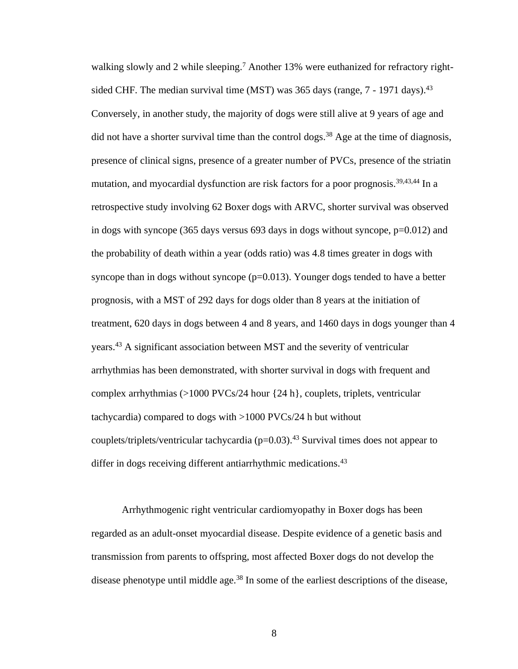walking slowly and 2 while sleeping.<sup>7</sup> Another 13% were euthanized for refractory rightsided CHF. The median survival time (MST) was 365 days (range, 7 - 1971 days).<sup>43</sup> Conversely, in another study, the majority of dogs were still alive at 9 years of age and did not have a shorter survival time than the control dogs.<sup>38</sup> Age at the time of diagnosis, presence of clinical signs, presence of a greater number of PVCs, presence of the striatin mutation, and myocardial dysfunction are risk factors for a poor prognosis.<sup>39,43,44</sup> In a retrospective study involving 62 Boxer dogs with ARVC, shorter survival was observed in dogs with syncope (365 days versus 693 days in dogs without syncope, p=0.012) and the probability of death within a year (odds ratio) was 4.8 times greater in dogs with syncope than in dogs without syncope  $(p=0.013)$ . Younger dogs tended to have a better prognosis, with a MST of 292 days for dogs older than 8 years at the initiation of treatment, 620 days in dogs between 4 and 8 years, and 1460 days in dogs younger than 4 years.<sup>43</sup> A significant association between MST and the severity of ventricular arrhythmias has been demonstrated, with shorter survival in dogs with frequent and complex arrhythmias (>1000 PVCs/24 hour {24 h}, couplets, triplets, ventricular tachycardia) compared to dogs with >1000 PVCs/24 h but without couplets/triplets/ventricular tachycardia ( $p=0.03$ ).<sup>43</sup> Survival times does not appear to differ in dogs receiving different antiarrhythmic medications.<sup>43</sup>

Arrhythmogenic right ventricular cardiomyopathy in Boxer dogs has been regarded as an adult-onset myocardial disease. Despite evidence of a genetic basis and transmission from parents to offspring, most affected Boxer dogs do not develop the disease phenotype until middle age.<sup>38</sup> In some of the earliest descriptions of the disease,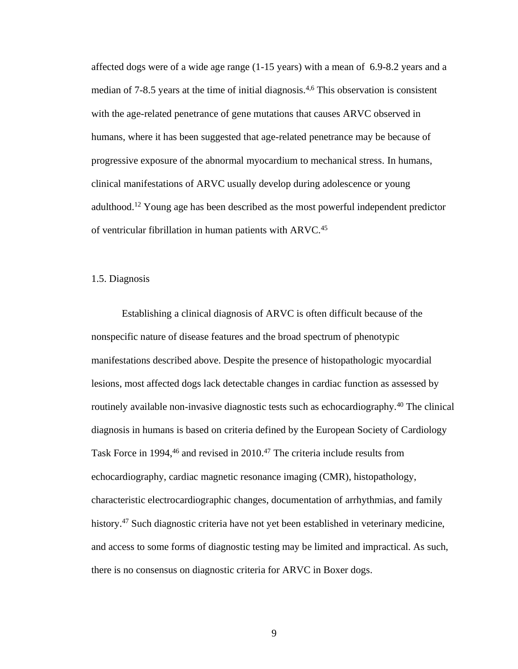affected dogs were of a wide age range (1-15 years) with a mean of 6.9-8.2 years and a median of 7-8.5 years at the time of initial diagnosis.4,6 This observation is consistent with the age-related penetrance of gene mutations that causes ARVC observed in humans, where it has been suggested that age-related penetrance may be because of progressive exposure of the abnormal myocardium to mechanical stress. In humans, clinical manifestations of ARVC usually develop during adolescence or young adulthood.<sup>12</sup> Young age has been described as the most powerful independent predictor of ventricular fibrillation in human patients with ARVC.<sup>45</sup>

## <span id="page-21-0"></span>1.5. Diagnosis

Establishing a clinical diagnosis of ARVC is often difficult because of the nonspecific nature of disease features and the broad spectrum of phenotypic manifestations described above. Despite the presence of histopathologic myocardial lesions, most affected dogs lack detectable changes in cardiac function as assessed by routinely available non-invasive diagnostic tests such as echocardiography.<sup>40</sup> The clinical diagnosis in humans is based on criteria defined by the European Society of Cardiology Task Force in 1994,<sup>46</sup> and revised in 2010.<sup>47</sup> The criteria include results from echocardiography, cardiac magnetic resonance imaging (CMR), histopathology, characteristic electrocardiographic changes, documentation of arrhythmias, and family history.<sup>47</sup> Such diagnostic criteria have not yet been established in veterinary medicine, and access to some forms of diagnostic testing may be limited and impractical. As such, there is no consensus on diagnostic criteria for ARVC in Boxer dogs.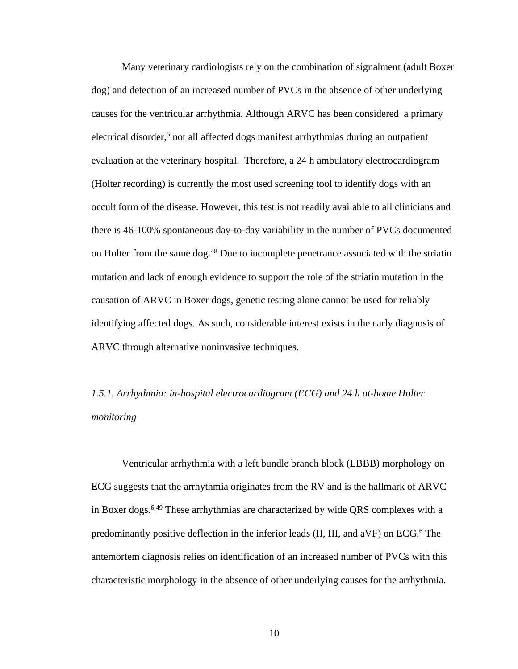Many veterinary cardiologists rely on the combination of signalment (adult Boxer dog) and detection of an increased number of PVCs in the absence of other underlying causes for the ventricular arrhythmia. Although ARVC has been considered a primary electrical disorder,<sup>5</sup> not all affected dogs manifest arrhythmias during an outpatient evaluation at the veterinary hospital. Therefore, a 24 h ambulatory electrocardiogram (Holter recording) is currently the most used screening tool to identify dogs with an occult form of the disease. However, this test is not readily available to all clinicians and there is 46-100% spontaneous day-to-day variability in the number of PVCs documented on Holter from the same dog.<sup>48</sup> Due to incomplete penetrance associated with the striatin mutation and lack of enough evidence to support the role of the striatin mutation in the causation of ARVC in Boxer dogs, genetic testing alone cannot be used for reliably identifying affected dogs. As such, considerable interest exists in the early diagnosis of ARVC through alternative noninvasive techniques.

<span id="page-22-0"></span>*1.5.1. Arrhythmia: in-hospital electrocardiogram (ECG) and 24 h at-home Holter monitoring*

Ventricular arrhythmia with a left bundle branch block (LBBB) morphology on ECG suggests that the arrhythmia originates from the RV and is the hallmark of ARVC in Boxer dogs.<sup>6,49</sup> These arrhythmias are characterized by wide QRS complexes with a predominantly positive deflection in the inferior leads (II, III, and  $aVF$ ) on  $ECG<sup>6</sup>$ . The antemortem diagnosis relies on identification of an increased number of PVCs with this characteristic morphology in the absence of other underlying causes for the arrhythmia.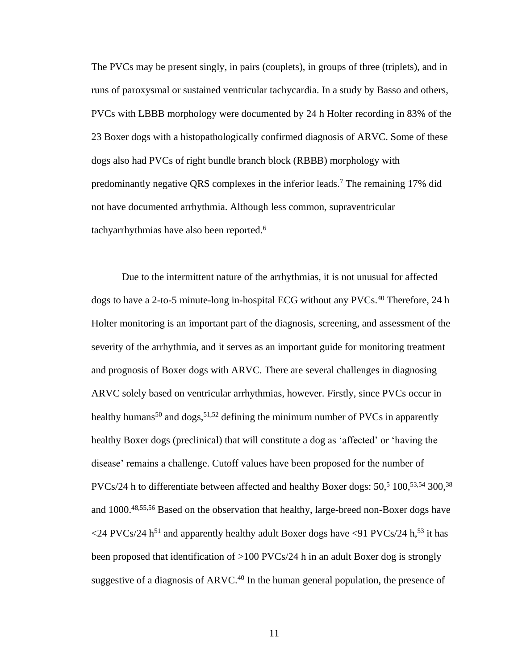The PVCs may be present singly, in pairs (couplets), in groups of three (triplets), and in runs of paroxysmal or sustained ventricular tachycardia. In a study by Basso and others, PVCs with LBBB morphology were documented by 24 h Holter recording in 83% of the 23 Boxer dogs with a histopathologically confirmed diagnosis of ARVC. Some of these dogs also had PVCs of right bundle branch block (RBBB) morphology with predominantly negative QRS complexes in the inferior leads.<sup>7</sup> The remaining 17% did not have documented arrhythmia. Although less common, supraventricular tachyarrhythmias have also been reported.<sup>6</sup>

Due to the intermittent nature of the arrhythmias, it is not unusual for affected dogs to have a 2-to-5 minute-long in-hospital ECG without any PVCs.<sup>40</sup> Therefore, 24 h Holter monitoring is an important part of the diagnosis, screening, and assessment of the severity of the arrhythmia, and it serves as an important guide for monitoring treatment and prognosis of Boxer dogs with ARVC. There are several challenges in diagnosing ARVC solely based on ventricular arrhythmias, however. Firstly, since PVCs occur in healthy humans<sup>50</sup> and dogs,<sup>51,52</sup> defining the minimum number of PVCs in apparently healthy Boxer dogs (preclinical) that will constitute a dog as 'affected' or 'having the disease' remains a challenge. Cutoff values have been proposed for the number of PVCs/24 h to differentiate between affected and healthy Boxer dogs:  $50<sup>5</sup> 100<sup>53,54</sup> 300<sup>38</sup>$ and 1000. 48,55,56 Based on the observation that healthy, large-breed non-Boxer dogs have  $\langle$ 24 PVCs/24 h<sup>51</sup> and apparently healthy adult Boxer dogs have  $\langle$ 91 PVCs/24 h,<sup>53</sup> it has been proposed that identification of >100 PVCs/24 h in an adult Boxer dog is strongly suggestive of a diagnosis of  $ARVC<sup>40</sup>$  In the human general population, the presence of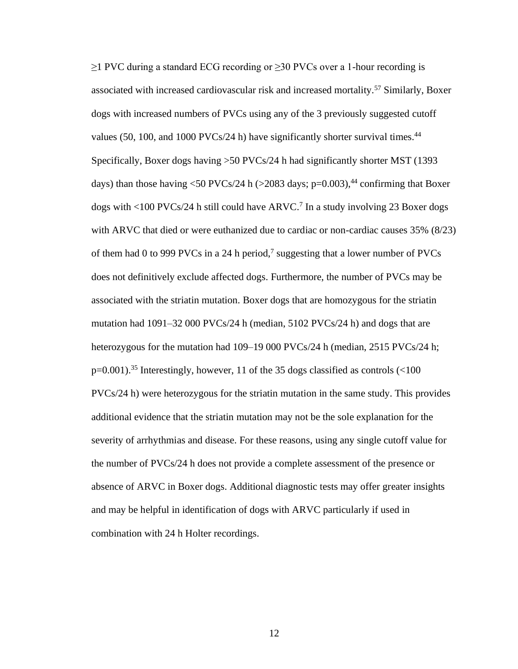$\geq$ 1 PVC during a standard ECG recording or  $\geq$ 30 PVCs over a 1-hour recording is associated with increased cardiovascular risk and increased mortality.<sup>57</sup> Similarly, Boxer dogs with increased numbers of PVCs using any of the 3 previously suggested cutoff values (50, 100, and 1000 PVCs/24 h) have significantly shorter survival times. $44$ Specifically, Boxer dogs having >50 PVCs/24 h had significantly shorter MST (1393 days) than those having  $\langle 50 \text{ PVCs}/24 \text{ h } (\rangle 2083 \text{ days}; \text{p=0.003})$ ,<sup>44</sup> confirming that Boxer dogs with <100 PVCs/24 h still could have ARVC. 7 In a study involving 23 Boxer dogs with ARVC that died or were euthanized due to cardiac or non-cardiac causes  $35\%$  ( $8/23$ ) of them had 0 to 999 PVCs in a 24 h period,<sup>7</sup> suggesting that a lower number of PVCs does not definitively exclude affected dogs. Furthermore, the number of PVCs may be associated with the striatin mutation. Boxer dogs that are homozygous for the striatin mutation had 1091–32 000 PVCs/24 h (median, 5102 PVCs/24 h) and dogs that are heterozygous for the mutation had  $109-19\,000\,PVCs/24$  h (median, 2515 PVCs/24 h;  $p=0.001$ ).<sup>35</sup> Interestingly, however, 11 of the 35 dogs classified as controls (<100 PVCs/24 h) were heterozygous for the striatin mutation in the same study. This provides additional evidence that the striatin mutation may not be the sole explanation for the severity of arrhythmias and disease. For these reasons, using any single cutoff value for the number of PVCs/24 h does not provide a complete assessment of the presence or absence of ARVC in Boxer dogs. Additional diagnostic tests may offer greater insights and may be helpful in identification of dogs with ARVC particularly if used in combination with 24 h Holter recordings.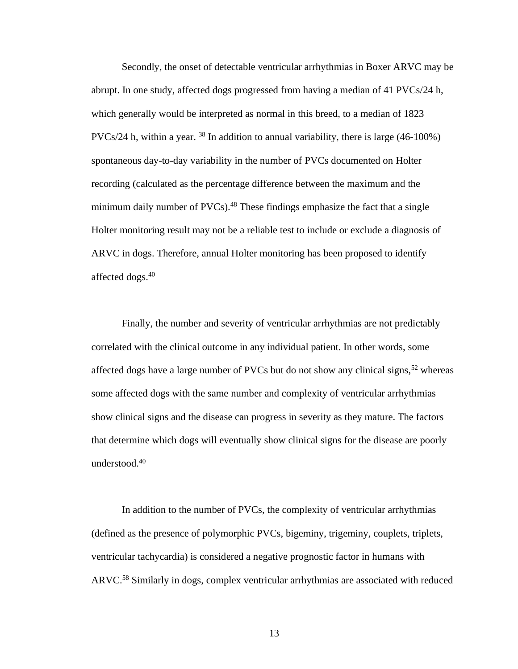Secondly, the onset of detectable ventricular arrhythmias in Boxer ARVC may be abrupt. In one study, affected dogs progressed from having a median of 41 PVCs/24 h, which generally would be interpreted as normal in this breed, to a median of 1823 PVCs/24 h, within a year.  $38$  In addition to annual variability, there is large (46-100%) spontaneous day-to-day variability in the number of PVCs documented on Holter recording (calculated as the percentage difference between the maximum and the minimum daily number of  $PVCs$ ).<sup>48</sup> These findings emphasize the fact that a single Holter monitoring result may not be a reliable test to include or exclude a diagnosis of ARVC in dogs. Therefore, annual Holter monitoring has been proposed to identify affected dogs.<sup>40</sup>

Finally, the number and severity of ventricular arrhythmias are not predictably correlated with the clinical outcome in any individual patient. In other words, some affected dogs have a large number of PVCs but do not show any clinical signs,  $52$  whereas some affected dogs with the same number and complexity of ventricular arrhythmias show clinical signs and the disease can progress in severity as they mature. The factors that determine which dogs will eventually show clinical signs for the disease are poorly understood.<sup>40</sup>

In addition to the number of PVCs, the complexity of ventricular arrhythmias (defined as the presence of polymorphic PVCs, bigeminy, trigeminy, couplets, triplets, ventricular tachycardia) is considered a negative prognostic factor in humans with ARVC. <sup>58</sup> Similarly in dogs, complex ventricular arrhythmias are associated with reduced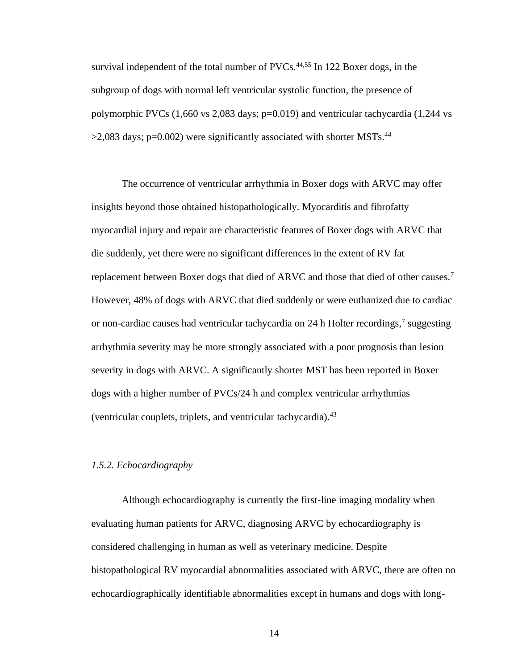survival independent of the total number of  $\text{PVCs}.^{44,55}$  In 122 Boxer dogs, in the subgroup of dogs with normal left ventricular systolic function, the presence of polymorphic PVCs (1,660 vs 2,083 days; p=0.019) and ventricular tachycardia (1,244 vs  $>$ 2,083 days; p=0.002) were significantly associated with shorter MSTs.<sup>44</sup>

The occurrence of ventricular arrhythmia in Boxer dogs with ARVC may offer insights beyond those obtained histopathologically. Myocarditis and fibrofatty myocardial injury and repair are characteristic features of Boxer dogs with ARVC that die suddenly, yet there were no significant differences in the extent of RV fat replacement between Boxer dogs that died of ARVC and those that died of other causes.<sup>7</sup> However, 48% of dogs with ARVC that died suddenly or were euthanized due to cardiac or non-cardiac causes had ventricular tachycardia on 24 h Holter recordings,<sup>7</sup> suggesting arrhythmia severity may be more strongly associated with a poor prognosis than lesion severity in dogs with ARVC. A significantly shorter MST has been reported in Boxer dogs with a higher number of PVCs/24 h and complex ventricular arrhythmias (ventricular couplets, triplets, and ventricular tachycardia).<sup>43</sup>

#### <span id="page-26-0"></span>*1.5.2. Echocardiography*

Although echocardiography is currently the first-line imaging modality when evaluating human patients for ARVC, diagnosing ARVC by echocardiography is considered challenging in human as well as veterinary medicine. Despite histopathological RV myocardial abnormalities associated with ARVC, there are often no echocardiographically identifiable abnormalities except in humans and dogs with long-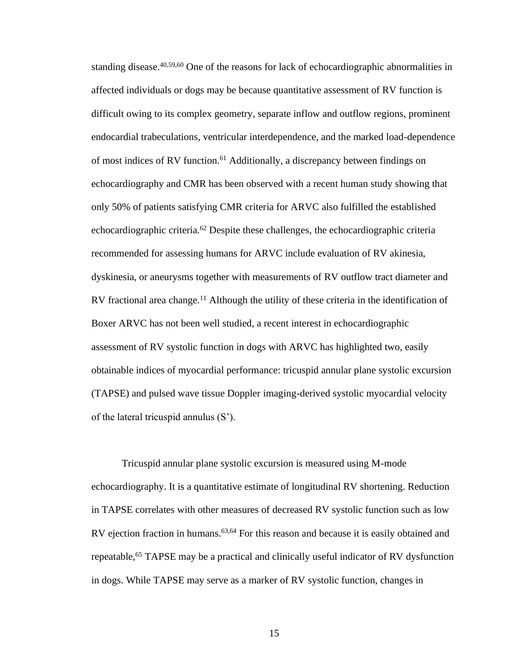standing disease.  $40,59,60$  One of the reasons for lack of echocardiographic abnormalities in affected individuals or dogs may be because quantitative assessment of RV function is difficult owing to its complex geometry, separate inflow and outflow regions, prominent endocardial trabeculations, ventricular interdependence, and the marked load-dependence of most indices of RV function.<sup>61</sup> Additionally, a discrepancy between findings on echocardiography and CMR has been observed with a recent human study showing that only 50% of patients satisfying CMR criteria for ARVC also fulfilled the established echocardiographic criteria.<sup>62</sup> Despite these challenges, the echocardiographic criteria recommended for assessing humans for ARVC include evaluation of RV akinesia, dyskinesia, or aneurysms together with measurements of RV outflow tract diameter and RV fractional area change.<sup>11</sup> Although the utility of these criteria in the identification of Boxer ARVC has not been well studied, a recent interest in echocardiographic assessment of RV systolic function in dogs with ARVC has highlighted two, easily obtainable indices of myocardial performance: tricuspid annular plane systolic excursion (TAPSE) and pulsed wave tissue Doppler imaging-derived systolic myocardial velocity of the lateral tricuspid annulus (S').

Tricuspid annular plane systolic excursion is measured using M-mode echocardiography. It is a quantitative estimate of longitudinal RV shortening. Reduction in TAPSE correlates with other measures of decreased RV systolic function such as low RV ejection fraction in humans.<sup>63,64</sup> For this reason and because it is easily obtained and repeatable,<sup>65</sup> TAPSE may be a practical and clinically useful indicator of RV dysfunction in dogs. While TAPSE may serve as a marker of RV systolic function, changes in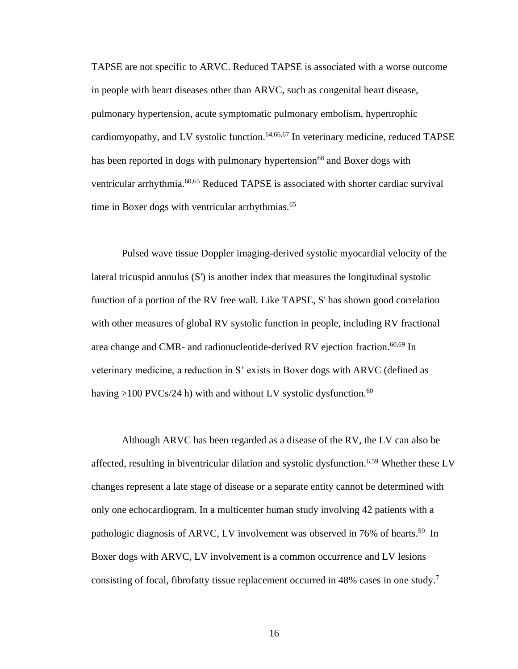TAPSE are not specific to ARVC. Reduced TAPSE is associated with a worse outcome in people with heart diseases other than ARVC, such as congenital heart disease, pulmonary hypertension, acute symptomatic pulmonary embolism, hypertrophic cardiomyopathy, and LV systolic function.  $64,66,67$  In veterinary medicine, reduced TAPSE has been reported in dogs with pulmonary hypertension<sup>68</sup> and Boxer dogs with ventricular arrhythmia.<sup>60,65</sup> Reduced TAPSE is associated with shorter cardiac survival time in Boxer dogs with ventricular arrhythmias.<sup>65</sup>

Pulsed wave tissue Doppler imaging-derived systolic myocardial velocity of the lateral tricuspid annulus (S') is another index that measures the longitudinal systolic function of a portion of the RV free wall. Like TAPSE, S' has shown good correlation with other measures of global RV systolic function in people, including RV fractional area change and CMR- and radionucleotide-derived RV ejection fraction.<sup>60,69</sup> In veterinary medicine, a reduction in S' exists in Boxer dogs with ARVC (defined as having >100 PVCs/24 h) with and without LV systolic dysfunction.<sup>60</sup>

Although ARVC has been regarded as a disease of the RV, the LV can also be affected, resulting in biventricular dilation and systolic dysfunction.<sup>6,59</sup> Whether these LV changes represent a late stage of disease or a separate entity cannot be determined with only one echocardiogram. In a multicenter human study involving 42 patients with a pathologic diagnosis of ARVC, LV involvement was observed in 76% of hearts.<sup>59</sup> In Boxer dogs with ARVC, LV involvement is a common occurrence and LV lesions consisting of focal, fibrofatty tissue replacement occurred in 48% cases in one study. 7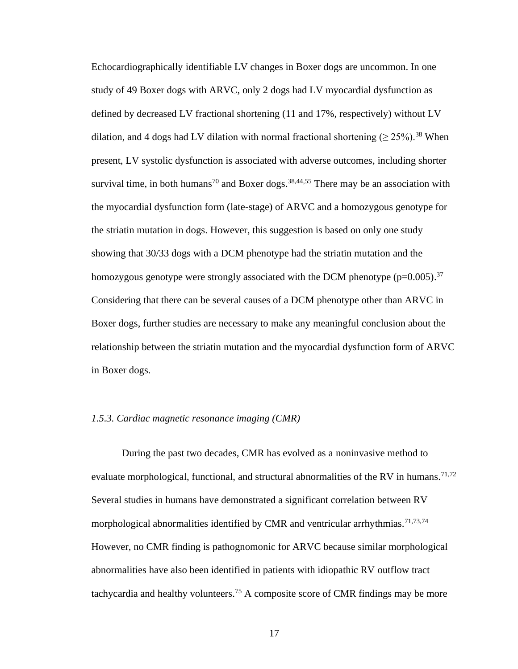Echocardiographically identifiable LV changes in Boxer dogs are uncommon. In one study of 49 Boxer dogs with ARVC, only 2 dogs had LV myocardial dysfunction as defined by decreased LV fractional shortening (11 and 17%, respectively) without LV dilation, and 4 dogs had LV dilation with normal fractional shortening ( $\geq 25\%$ ).<sup>38</sup> When present, LV systolic dysfunction is associated with adverse outcomes, including shorter survival time, in both humans<sup>70</sup> and Boxer dogs.<sup>38,44,55</sup> There may be an association with the myocardial dysfunction form (late-stage) of ARVC and a homozygous genotype for the striatin mutation in dogs. However, this suggestion is based on only one study showing that 30/33 dogs with a DCM phenotype had the striatin mutation and the homozygous genotype were strongly associated with the DCM phenotype ( $p=0.005$ ).<sup>37</sup> Considering that there can be several causes of a DCM phenotype other than ARVC in Boxer dogs, further studies are necessary to make any meaningful conclusion about the relationship between the striatin mutation and the myocardial dysfunction form of ARVC in Boxer dogs.

#### <span id="page-29-0"></span>*1.5.3. Cardiac magnetic resonance imaging (CMR)*

During the past two decades, CMR has evolved as a noninvasive method to evaluate morphological, functional, and structural abnormalities of the RV in humans.<sup>71,72</sup> Several studies in humans have demonstrated a significant correlation between RV morphological abnormalities identified by CMR and ventricular arrhythmias.<sup>71,73,74</sup> However, no CMR finding is pathognomonic for ARVC because similar morphological abnormalities have also been identified in patients with idiopathic RV outflow tract tachycardia and healthy volunteers.<sup>75</sup> A composite score of CMR findings may be more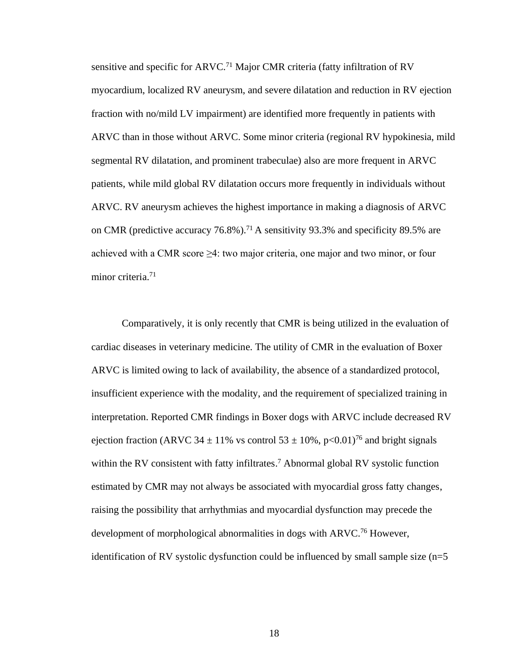sensitive and specific for ARVC.<sup>71</sup> Major CMR criteria (fatty infiltration of RV myocardium, localized RV aneurysm, and severe dilatation and reduction in RV ejection fraction with no/mild LV impairment) are identified more frequently in patients with ARVC than in those without ARVC. Some minor criteria (regional RV hypokinesia, mild segmental RV dilatation, and prominent trabeculae) also are more frequent in ARVC patients, while mild global RV dilatation occurs more frequently in individuals without ARVC. RV aneurysm achieves the highest importance in making a diagnosis of ARVC on CMR (predictive accuracy  $76.8\%$ ).<sup>71</sup> A sensitivity 93.3% and specificity 89.5% are achieved with a CMR score  $\geq 4$ : two major criteria, one major and two minor, or four minor criteria.<sup>71</sup>

Comparatively, it is only recently that CMR is being utilized in the evaluation of cardiac diseases in veterinary medicine. The utility of CMR in the evaluation of Boxer ARVC is limited owing to lack of availability, the absence of a standardized protocol, insufficient experience with the modality, and the requirement of specialized training in interpretation. Reported CMR findings in Boxer dogs with ARVC include decreased RV ejection fraction (ARVC 34  $\pm$  11% vs control 53  $\pm$  10%, p<0.01)<sup>76</sup> and bright signals within the RV consistent with fatty infiltrates.<sup>7</sup> Abnormal global RV systolic function estimated by CMR may not always be associated with myocardial gross fatty changes, raising the possibility that arrhythmias and myocardial dysfunction may precede the development of morphological abnormalities in dogs with ARVC.<sup>76</sup> However, identification of RV systolic dysfunction could be influenced by small sample size  $(n=5)$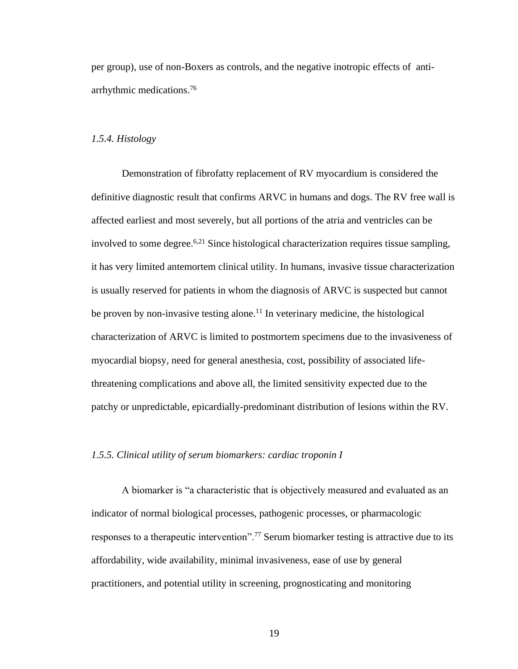per group), use of non-Boxers as controls, and the negative inotropic effects of antiarrhythmic medications.<sup>76</sup>

### <span id="page-31-0"></span>*1.5.4. Histology*

Demonstration of fibrofatty replacement of RV myocardium is considered the definitive diagnostic result that confirms ARVC in humans and dogs. The RV free wall is affected earliest and most severely, but all portions of the atria and ventricles can be involved to some degree.<sup>6,21</sup> Since histological characterization requires tissue sampling, it has very limited antemortem clinical utility. In humans, invasive tissue characterization is usually reserved for patients in whom the diagnosis of ARVC is suspected but cannot be proven by non-invasive testing alone.<sup>11</sup> In veterinary medicine, the histological characterization of ARVC is limited to postmortem specimens due to the invasiveness of myocardial biopsy, need for general anesthesia, cost, possibility of associated lifethreatening complications and above all, the limited sensitivity expected due to the patchy or unpredictable, epicardially-predominant distribution of lesions within the RV.

### <span id="page-31-1"></span>*1.5.5. Clinical utility of serum biomarkers: cardiac troponin I*

A biomarker is "a characteristic that is objectively measured and evaluated as an indicator of normal biological processes, pathogenic processes, or pharmacologic responses to a therapeutic intervention".<sup>77</sup> Serum biomarker testing is attractive due to its affordability, wide availability, minimal invasiveness, ease of use by general practitioners, and potential utility in screening, prognosticating and monitoring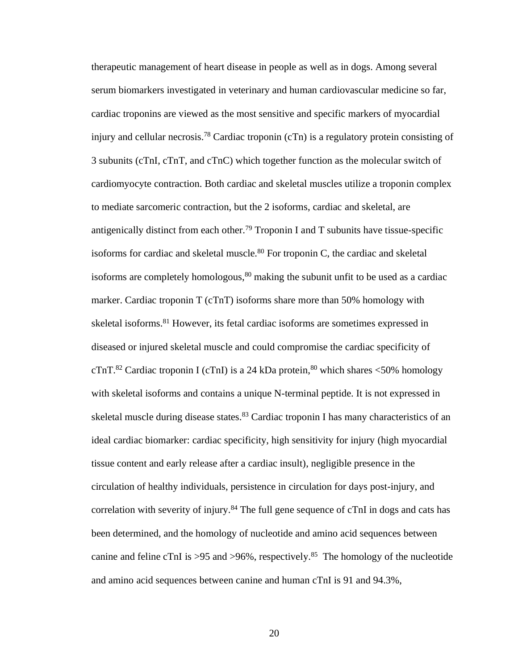therapeutic management of heart disease in people as well as in dogs. Among several serum biomarkers investigated in veterinary and human cardiovascular medicine so far, cardiac troponins are viewed as the most sensitive and specific markers of myocardial injury and cellular necrosis.<sup>78</sup> Cardiac troponin (cTn) is a regulatory protein consisting of 3 subunits (cTnI, cTnT, and cTnC) which together function as the molecular switch of cardiomyocyte contraction. Both cardiac and skeletal muscles utilize a troponin complex to mediate sarcomeric contraction, but the 2 isoforms, cardiac and skeletal, are antigenically distinct from each other.<sup>79</sup> Troponin I and T subunits have tissue-specific isoforms for cardiac and skeletal muscle. $80$  For troponin C, the cardiac and skeletal isoforms are completely homologous,  $80$  making the subunit unfit to be used as a cardiac marker. Cardiac troponin T (cTnT) isoforms share more than 50% homology with skeletal isoforms.<sup>81</sup> However, its fetal cardiac isoforms are sometimes expressed in diseased or injured skeletal muscle and could compromise the cardiac specificity of cTnT.<sup>82</sup> Cardiac troponin I (cTnI) is a 24 kDa protein, <sup>80</sup> which shares <50% homology with skeletal isoforms and contains a unique N-terminal peptide. It is not expressed in skeletal muscle during disease states.<sup>83</sup> Cardiac troponin I has many characteristics of an ideal cardiac biomarker: cardiac specificity, high sensitivity for injury (high myocardial tissue content and early release after a cardiac insult), negligible presence in the circulation of healthy individuals, persistence in circulation for days post-injury, and correlation with severity of injury.<sup>84</sup> The full gene sequence of cTnI in dogs and cats has been determined, and the homology of nucleotide and amino acid sequences between canine and feline cTnI is  $>95$  and  $>96\%$ , respectively.<sup>85</sup> The homology of the nucleotide and amino acid sequences between canine and human cTnI is 91 and 94.3%,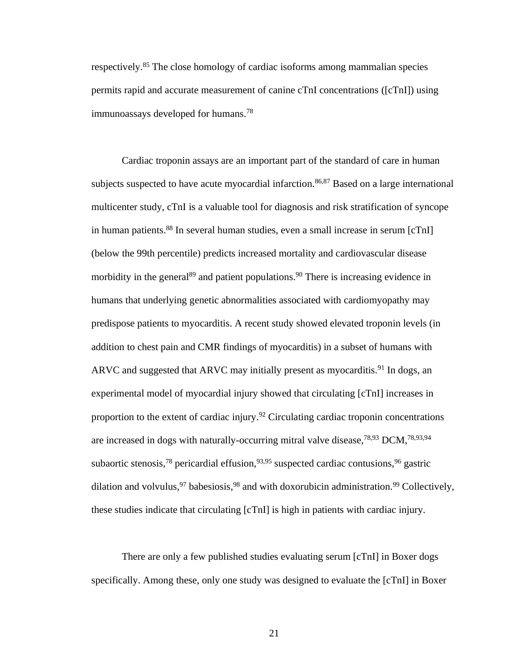respectively. <sup>85</sup> The close homology of cardiac isoforms among mammalian species permits rapid and accurate measurement of canine cTnI concentrations ([cTnI]) using immunoassays developed for humans.<sup>78</sup>

Cardiac troponin assays are an important part of the standard of care in human subjects suspected to have acute myocardial infarction.<sup>86,87</sup> Based on a large international multicenter study, cTnI is a valuable tool for diagnosis and risk stratification of syncope in human patients.<sup>88</sup> In several human studies, even a small increase in serum [cTnI] (below the 99th percentile) predicts increased mortality and cardiovascular disease morbidity in the general<sup>89</sup> and patient populations.<sup>90</sup> There is increasing evidence in humans that underlying genetic abnormalities associated with cardiomyopathy may predispose patients to myocarditis. A recent study showed elevated troponin levels (in addition to chest pain and CMR findings of myocarditis) in a subset of humans with ARVC and suggested that ARVC may initially present as myocarditis.<sup>91</sup> In dogs, an experimental model of myocardial injury showed that circulating [cTnI] increases in proportion to the extent of cardiac injury.<sup>92</sup> Circulating cardiac troponin concentrations are increased in dogs with naturally-occurring mitral valve disease,  $^{78,93}$  DCM,  $^{78,93,94}$ subaortic stenosis,<sup>78</sup> pericardial effusion,<sup>93,95</sup> suspected cardiac contusions,<sup>96</sup> gastric dilation and volvulus,  $97$  babesiosis,  $98$  and with doxorubicin administration.  $99$  Collectively, these studies indicate that circulating [cTnI] is high in patients with cardiac injury.

There are only a few published studies evaluating serum [cTnI] in Boxer dogs specifically. Among these, only one study was designed to evaluate the [cTnI] in Boxer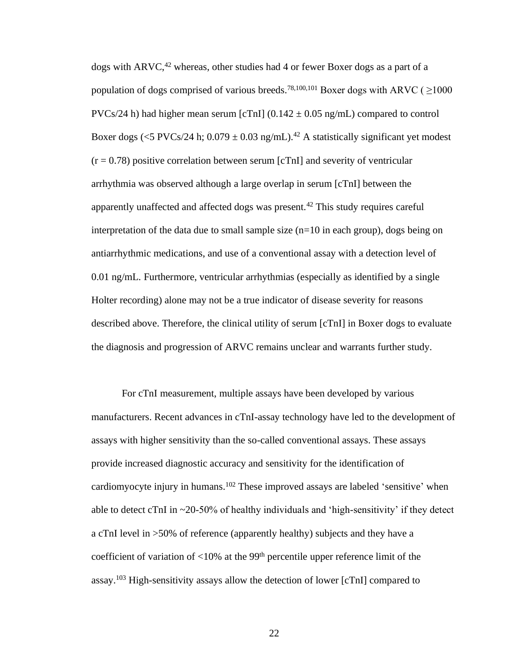dogs with  $ARVC<sub>1</sub><sup>42</sup>$  whereas, other studies had 4 or fewer Boxer dogs as a part of a population of dogs comprised of various breeds.<sup>78,100,101</sup> Boxer dogs with ARVC ( $\geq$ 1000 PVCs/24 h) had higher mean serum [cTnI]  $(0.142 \pm 0.05 \text{ ng/mL})$  compared to control Boxer dogs (<5 PVCs/24 h;  $0.079 \pm 0.03$  ng/mL).<sup>42</sup> A statistically significant yet modest  $(r = 0.78)$  positive correlation between serum [cTnI] and severity of ventricular arrhythmia was observed although a large overlap in serum [cTnI] between the apparently unaffected and affected dogs was present.<sup>42</sup> This study requires careful interpretation of the data due to small sample size  $(n=10$  in each group), dogs being on antiarrhythmic medications, and use of a conventional assay with a detection level of 0.01 ng/mL. Furthermore, ventricular arrhythmias (especially as identified by a single Holter recording) alone may not be a true indicator of disease severity for reasons described above. Therefore, the clinical utility of serum [cTnI] in Boxer dogs to evaluate the diagnosis and progression of ARVC remains unclear and warrants further study.

For cTnI measurement, multiple assays have been developed by various manufacturers. Recent advances in cTnI-assay technology have led to the development of assays with higher sensitivity than the so-called conventional assays. These assays provide increased diagnostic accuracy and sensitivity for the identification of cardiomyocyte injury in humans.<sup>102</sup> These improved assays are labeled 'sensitive' when able to detect cTnI in  $\sim$ 20-50% of healthy individuals and 'high-sensitivity' if they detect a cTnI level in >50% of reference (apparently healthy) subjects and they have a coefficient of variation of  $\langle 10\%$  at the 99<sup>th</sup> percentile upper reference limit of the assay.<sup>103</sup> High-sensitivity assays allow the detection of lower [cTnI] compared to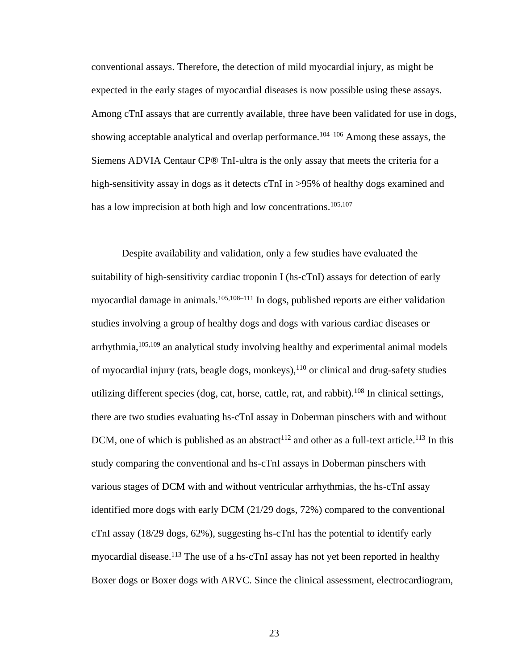conventional assays. Therefore, the detection of mild myocardial injury, as might be expected in the early stages of myocardial diseases is now possible using these assays. Among cTnI assays that are currently available, three have been validated for use in dogs, showing acceptable analytical and overlap performance.<sup>104–106</sup> Among these assays, the Siemens ADVIA Centaur CP® TnI-ultra is the only assay that meets the criteria for a high-sensitivity assay in dogs as it detects cTnI in >95% of healthy dogs examined and has a low imprecision at both high and low concentrations.<sup>105,107</sup>

Despite availability and validation, only a few studies have evaluated the suitability of high-sensitivity cardiac troponin I (hs-cTnI) assays for detection of early myocardial damage in animals.<sup>105,108–111</sup> In dogs, published reports are either validation studies involving a group of healthy dogs and dogs with various cardiac diseases or arrhythmia,105,109 an analytical study involving healthy and experimental animal models of myocardial injury (rats, beagle dogs, monkeys),<sup>110</sup> or clinical and drug-safety studies utilizing different species (dog, cat, horse, cattle, rat, and rabbit).<sup>108</sup> In clinical settings, there are two studies evaluating hs-cTnI assay in Doberman pinschers with and without DCM, one of which is published as an abstract<sup>112</sup> and other as a full-text article.<sup>113</sup> In this study comparing the conventional and hs-cTnI assays in Doberman pinschers with various stages of DCM with and without ventricular arrhythmias, the hs-cTnI assay identified more dogs with early DCM (21/29 dogs, 72%) compared to the conventional cTnI assay (18/29 dogs, 62%), suggesting hs-cTnI has the potential to identify early myocardial disease.<sup>113</sup> The use of a hs-cTnI assay has not yet been reported in healthy Boxer dogs or Boxer dogs with ARVC. Since the clinical assessment, electrocardiogram,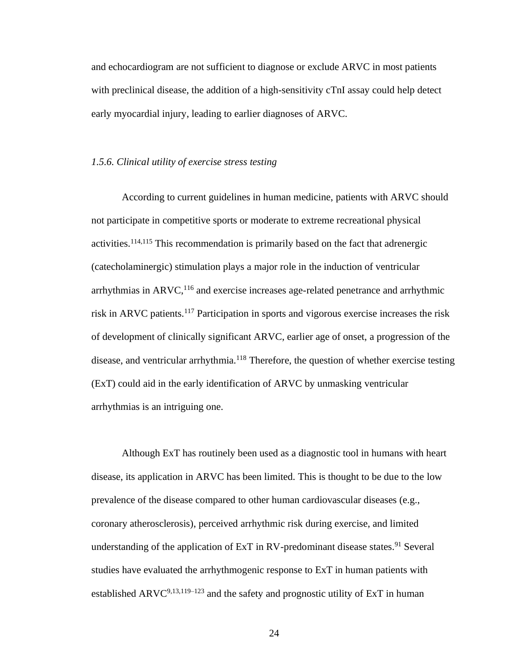and echocardiogram are not sufficient to diagnose or exclude ARVC in most patients with preclinical disease, the addition of a high-sensitivity cTnI assay could help detect early myocardial injury, leading to earlier diagnoses of ARVC.

# *1.5.6. Clinical utility of exercise stress testing*

According to current guidelines in human medicine, patients with ARVC should not participate in competitive sports or moderate to extreme recreational physical activities.114,115 This recommendation is primarily based on the fact that adrenergic (catecholaminergic) stimulation plays a major role in the induction of ventricular arrhythmias in  $ARVC$ ,  $^{116}$  and exercise increases age-related penetrance and arrhythmic risk in ARVC patients.<sup>117</sup> Participation in sports and vigorous exercise increases the risk of development of clinically significant ARVC, earlier age of onset, a progression of the disease, and ventricular arrhythmia.<sup>118</sup> Therefore, the question of whether exercise testing (ExT) could aid in the early identification of ARVC by unmasking ventricular arrhythmias is an intriguing one.

Although ExT has routinely been used as a diagnostic tool in humans with heart disease, its application in ARVC has been limited. This is thought to be due to the low prevalence of the disease compared to other human cardiovascular diseases (e.g., coronary atherosclerosis), perceived arrhythmic risk during exercise, and limited understanding of the application of ExT in RV-predominant disease states.<sup>91</sup> Several studies have evaluated the arrhythmogenic response to ExT in human patients with established ARVC $9,13,119-123$  and the safety and prognostic utility of ExT in human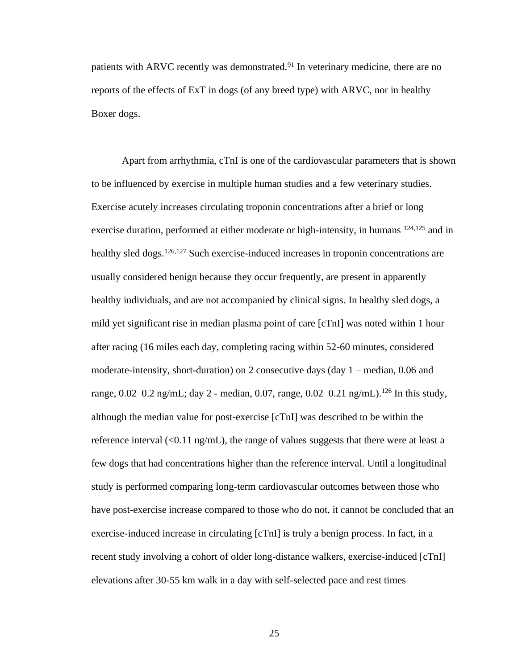patients with ARVC recently was demonstrated.<sup>91</sup> In veterinary medicine, there are no reports of the effects of ExT in dogs (of any breed type) with ARVC, nor in healthy Boxer dogs.

Apart from arrhythmia, cTnI is one of the cardiovascular parameters that is shown to be influenced by exercise in multiple human studies and a few veterinary studies. Exercise acutely increases circulating troponin concentrations after a brief or long exercise duration, performed at either moderate or high-intensity, in humans <sup>124,125</sup> and in healthy sled dogs.<sup>126,127</sup> Such exercise-induced increases in troponin concentrations are usually considered benign because they occur frequently, are present in apparently healthy individuals, and are not accompanied by clinical signs. In healthy sled dogs, a mild yet significant rise in median plasma point of care [cTnI] was noted within 1 hour after racing (16 miles each day, completing racing within 52-60 minutes, considered moderate-intensity, short-duration) on 2 consecutive days (day 1 – median, 0.06 and range, 0.02–0.2 ng/mL; day 2 - median, 0.07, range, 0.02–0.21 ng/mL).<sup>126</sup> In this study, although the median value for post-exercise [cTnI] was described to be within the reference interval  $\langle 0.11 \text{ ng/mL} \rangle$ , the range of values suggests that there were at least a few dogs that had concentrations higher than the reference interval. Until a longitudinal study is performed comparing long-term cardiovascular outcomes between those who have post-exercise increase compared to those who do not, it cannot be concluded that an exercise-induced increase in circulating [cTnI] is truly a benign process. In fact, in a recent study involving a cohort of older long-distance walkers, exercise-induced [cTnI] elevations after 30-55 km walk in a day with self-selected pace and rest times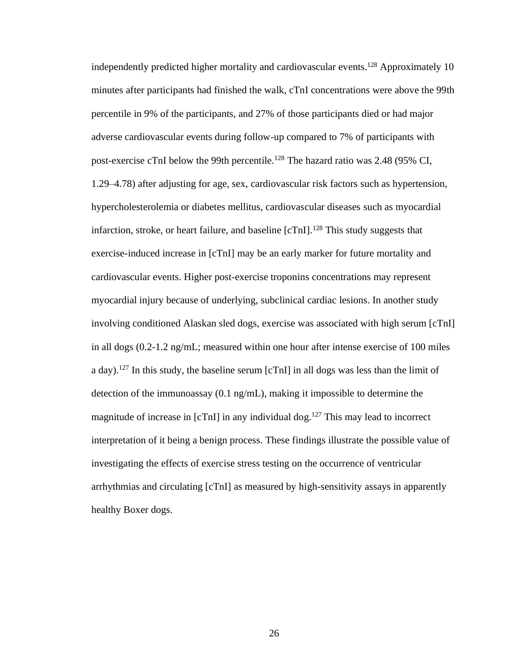independently predicted higher mortality and cardiovascular events.<sup>128</sup> Approximately 10 minutes after participants had finished the walk, cTnI concentrations were above the 99th percentile in 9% of the participants, and 27% of those participants died or had major adverse cardiovascular events during follow-up compared to 7% of participants with post-exercise cTnI below the 99th percentile.<sup>128</sup> The hazard ratio was 2.48 (95% CI, 1.29–4.78) after adjusting for age, sex, cardiovascular risk factors such as hypertension, hypercholesterolemia or diabetes mellitus, cardiovascular diseases such as myocardial infarction, stroke, or heart failure, and baseline  $[cTn]$ <sup>128</sup>. This study suggests that exercise-induced increase in [cTnI] may be an early marker for future mortality and cardiovascular events. Higher post-exercise troponins concentrations may represent myocardial injury because of underlying, subclinical cardiac lesions. In another study involving conditioned Alaskan sled dogs, exercise was associated with high serum [cTnI] in all dogs (0.2-1.2 ng/mL; measured within one hour after intense exercise of 100 miles a day).<sup>127</sup> In this study, the baseline serum [cTnI] in all dogs was less than the limit of detection of the immunoassay (0.1 ng/mL), making it impossible to determine the magnitude of increase in  $[cTn]$  in any individual dog.<sup>127</sup> This may lead to incorrect interpretation of it being a benign process. These findings illustrate the possible value of investigating the effects of exercise stress testing on the occurrence of ventricular arrhythmias and circulating [cTnI] as measured by high-sensitivity assays in apparently healthy Boxer dogs.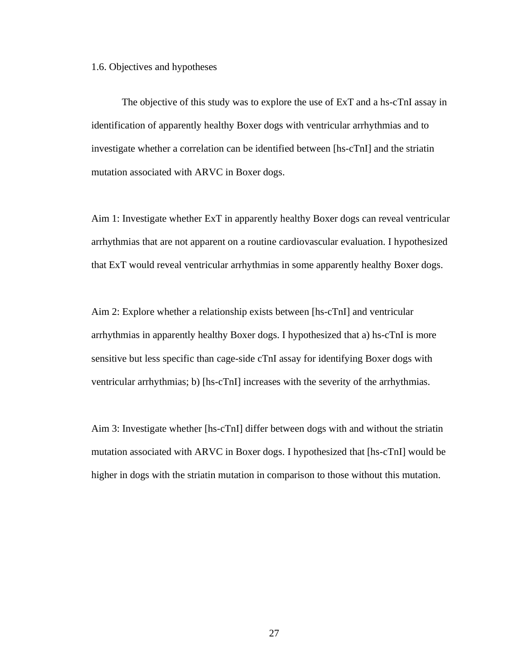1.6. Objectives and hypotheses

The objective of this study was to explore the use of ExT and a hs-cTnI assay in identification of apparently healthy Boxer dogs with ventricular arrhythmias and to investigate whether a correlation can be identified between [hs-cTnI] and the striatin mutation associated with ARVC in Boxer dogs.

Aim 1: Investigate whether ExT in apparently healthy Boxer dogs can reveal ventricular arrhythmias that are not apparent on a routine cardiovascular evaluation. I hypothesized that ExT would reveal ventricular arrhythmias in some apparently healthy Boxer dogs.

Aim 2: Explore whether a relationship exists between [hs-cTnI] and ventricular arrhythmias in apparently healthy Boxer dogs. I hypothesized that a) hs-cTnI is more sensitive but less specific than cage-side cTnI assay for identifying Boxer dogs with ventricular arrhythmias; b) [hs-cTnI] increases with the severity of the arrhythmias.

Aim 3: Investigate whether [hs-cTnI] differ between dogs with and without the striatin mutation associated with ARVC in Boxer dogs. I hypothesized that [hs-cTnI] would be higher in dogs with the striatin mutation in comparison to those without this mutation.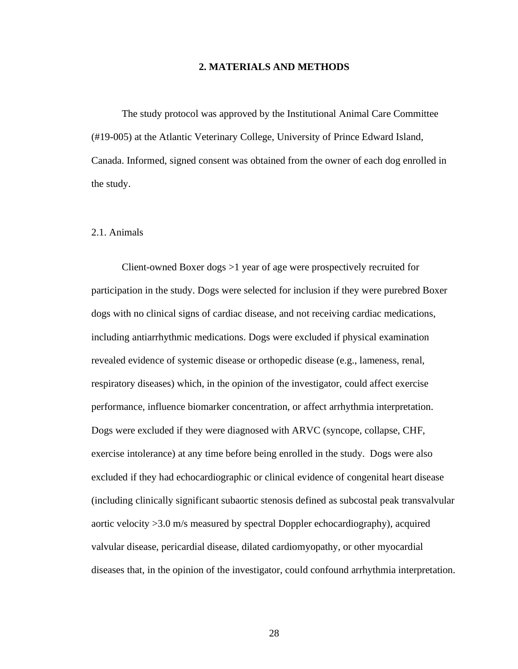## **2. MATERIALS AND METHODS**

The study protocol was approved by the Institutional Animal Care Committee (#19-005) at the Atlantic Veterinary College, University of Prince Edward Island, Canada. Informed, signed consent was obtained from the owner of each dog enrolled in the study.

# 2.1. Animals

Client-owned Boxer dogs >1 year of age were prospectively recruited for participation in the study. Dogs were selected for inclusion if they were purebred Boxer dogs with no clinical signs of cardiac disease, and not receiving cardiac medications, including antiarrhythmic medications. Dogs were excluded if physical examination revealed evidence of systemic disease or orthopedic disease (e.g., lameness, renal, respiratory diseases) which, in the opinion of the investigator, could affect exercise performance, influence biomarker concentration, or affect arrhythmia interpretation. Dogs were excluded if they were diagnosed with ARVC (syncope, collapse, CHF, exercise intolerance) at any time before being enrolled in the study. Dogs were also excluded if they had echocardiographic or clinical evidence of congenital heart disease (including clinically significant subaortic stenosis defined as subcostal peak transvalvular aortic velocity >3.0 m/s measured by spectral Doppler echocardiography), acquired valvular disease, pericardial disease, dilated cardiomyopathy, or other myocardial diseases that, in the opinion of the investigator, could confound arrhythmia interpretation.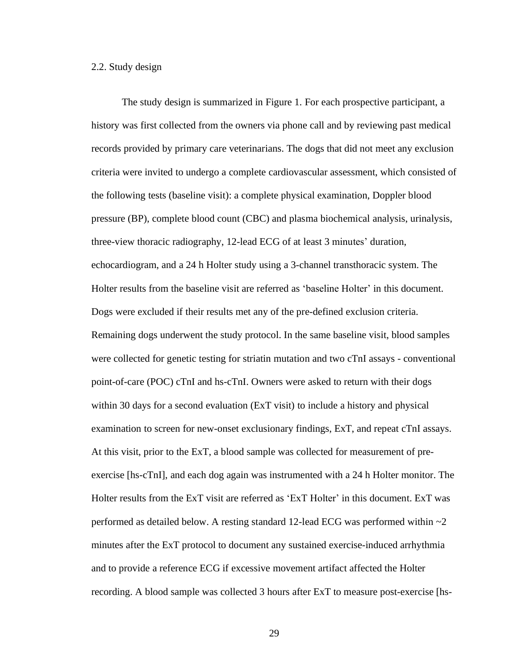## 2.2. Study design

The study design is summarized in Figure 1. For each prospective participant, a history was first collected from the owners via phone call and by reviewing past medical records provided by primary care veterinarians. The dogs that did not meet any exclusion criteria were invited to undergo a complete cardiovascular assessment, which consisted of the following tests (baseline visit): a complete physical examination, Doppler blood pressure (BP), complete blood count (CBC) and plasma biochemical analysis, urinalysis, three-view thoracic radiography, 12-lead ECG of at least 3 minutes' duration, echocardiogram, and a 24 h Holter study using a 3-channel transthoracic system. The Holter results from the baseline visit are referred as 'baseline Holter' in this document. Dogs were excluded if their results met any of the pre-defined exclusion criteria. Remaining dogs underwent the study protocol. In the same baseline visit, blood samples were collected for genetic testing for striatin mutation and two cTnI assays - conventional point-of-care (POC) cTnI and hs-cTnI. Owners were asked to return with their dogs within 30 days for a second evaluation (ExT visit) to include a history and physical examination to screen for new-onset exclusionary findings, ExT, and repeat cTnI assays. At this visit, prior to the ExT, a blood sample was collected for measurement of preexercise [hs-cTnI], and each dog again was instrumented with a 24 h Holter monitor. The Holter results from the ExT visit are referred as 'ExT Holter' in this document. ExT was performed as detailed below. A resting standard 12-lead ECG was performed within  $\sim$ 2 minutes after the ExT protocol to document any sustained exercise-induced arrhythmia and to provide a reference ECG if excessive movement artifact affected the Holter recording. A blood sample was collected 3 hours after ExT to measure post-exercise [hs-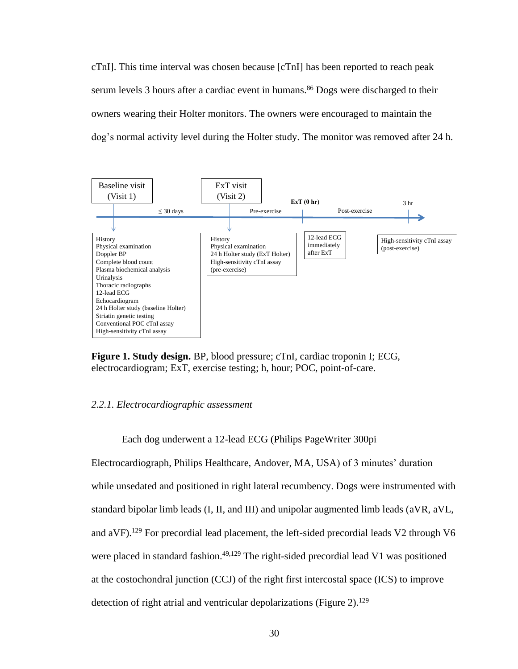cTnI]. This time interval was chosen because [cTnI] has been reported to reach peak serum levels 3 hours after a cardiac event in humans.<sup>86</sup> Dogs were discharged to their owners wearing their Holter monitors. The owners were encouraged to maintain the dog's normal activity level during the Holter study. The monitor was removed after 24 h.



**Figure 1. Study design.** BP, blood pressure; cTnI, cardiac troponin I; ECG, electrocardiogram; ExT, exercise testing; h, hour; POC, point-of-care.

# *2.2.1. Electrocardiographic assessment*

Each dog underwent a 12-lead ECG (Philips PageWriter 300pi

Electrocardiograph, Philips Healthcare, Andover, MA, USA) of 3 minutes' duration while unsedated and positioned in right lateral recumbency. Dogs were instrumented with standard bipolar limb leads (I, II, and III) and unipolar augmented limb leads (aVR, aVL, and  $aVF$ ).<sup>129</sup> For precordial lead placement, the left-sided precordial leads V2 through V6 were placed in standard fashion.<sup>49,129</sup> The right-sided precordial lead V1 was positioned at the costochondral junction (CCJ) of the right first intercostal space (ICS) to improve detection of right atrial and ventricular depolarizations (Figure 2).<sup>129</sup>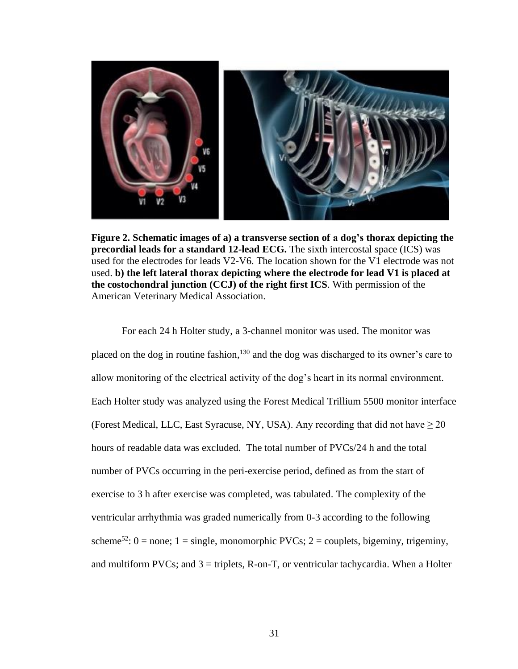

**Figure 2. Schematic images of a) a transverse section of a dog's thorax depicting the precordial leads for a standard 12-lead ECG.** The sixth intercostal space (ICS) was used for the electrodes for leads V2-V6. The location shown for the V1 electrode was not used. **b) the left lateral thorax depicting where the electrode for lead V1 is placed at the costochondral junction (CCJ) of the right first ICS**. With permission of the American Veterinary Medical Association.

For each 24 h Holter study, a 3-channel monitor was used. The monitor was placed on the dog in routine fashion, <sup>130</sup> and the dog was discharged to its owner's care to allow monitoring of the electrical activity of the dog's heart in its normal environment. Each Holter study was analyzed using the Forest Medical Trillium 5500 monitor interface (Forest Medical, LLC, East Syracuse, NY, USA). Any recording that did not have  $\geq 20$ hours of readable data was excluded. The total number of PVCs/24 h and the total number of PVCs occurring in the peri-exercise period, defined as from the start of exercise to 3 h after exercise was completed, was tabulated. The complexity of the ventricular arrhythmia was graded numerically from 0-3 according to the following scheme<sup>52</sup>:  $0 =$  none;  $1 =$  single, monomorphic PVCs;  $2 =$  couplets, bigeminy, trigeminy, and multiform PVCs; and  $3 =$  triplets, R-on-T, or ventricular tachycardia. When a Holter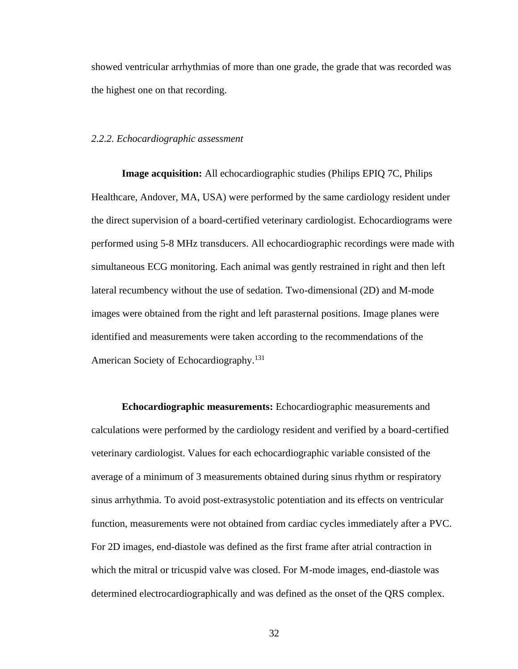showed ventricular arrhythmias of more than one grade, the grade that was recorded was the highest one on that recording.

#### *2.2.2. Echocardiographic assessment*

**Image acquisition:** All echocardiographic studies (Philips EPIQ 7C, Philips Healthcare, Andover, MA, USA) were performed by the same cardiology resident under the direct supervision of a board-certified veterinary cardiologist. Echocardiograms were performed using 5-8 MHz transducers. All echocardiographic recordings were made with simultaneous ECG monitoring. Each animal was gently restrained in right and then left lateral recumbency without the use of sedation. Two-dimensional (2D) and M-mode images were obtained from the right and left parasternal positions. Image planes were identified and measurements were taken according to the recommendations of the American Society of Echocardiography.<sup>131</sup>

**Echocardiographic measurements:** Echocardiographic measurements and calculations were performed by the cardiology resident and verified by a board-certified veterinary cardiologist. Values for each echocardiographic variable consisted of the average of a minimum of 3 measurements obtained during sinus rhythm or respiratory sinus arrhythmia. To avoid post-extrasystolic potentiation and its effects on ventricular function, measurements were not obtained from cardiac cycles immediately after a PVC. For 2D images, end-diastole was defined as the first frame after atrial contraction in which the mitral or tricuspid valve was closed. For M-mode images, end-diastole was determined electrocardiographically and was defined as the onset of the QRS complex.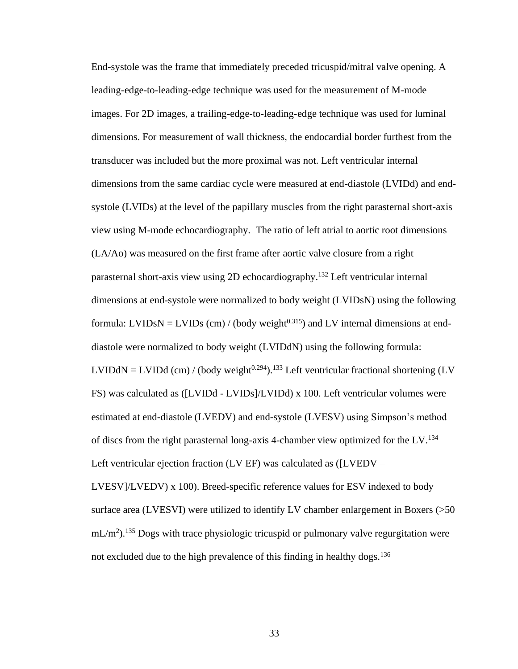End-systole was the frame that immediately preceded tricuspid/mitral valve opening. A leading-edge-to-leading-edge technique was used for the measurement of M-mode images. For 2D images, a trailing-edge-to-leading-edge technique was used for luminal dimensions. For measurement of wall thickness, the endocardial border furthest from the transducer was included but the more proximal was not. Left ventricular internal dimensions from the same cardiac cycle were measured at end-diastole (LVIDd) and endsystole (LVIDs) at the level of the papillary muscles from the right parasternal short-axis view using M-mode echocardiography. The ratio of left atrial to aortic root dimensions (LA/Ao) was measured on the first frame after aortic valve closure from a right parasternal short-axis view using 2D echocardiography.<sup>132</sup> Left ventricular internal dimensions at end-systole were normalized to body weight (LVIDsN) using the following formula: LVIDsN = LVIDs (cm) / (body weight<sup>0.315</sup>) and LV internal dimensions at enddiastole were normalized to body weight (LVIDdN) using the following formula:  $LVIDdN = LVIDd$  (cm) / (body weight<sup>0.294</sup>).<sup>133</sup> Left ventricular fractional shortening (LV FS) was calculated as ([LVIDd - LVIDs]/LVIDd) x 100. Left ventricular volumes were estimated at end-diastole (LVEDV) and end-systole (LVESV) using Simpson's method of discs from the right parasternal long-axis 4-chamber view optimized for the LV.<sup>134</sup> Left ventricular ejection fraction (LV EF) was calculated as ([LVEDV –

LVESV]/LVEDV) x 100). Breed-specific reference values for ESV indexed to body surface area (LVESVI) were utilized to identify LV chamber enlargement in Boxers (>50  $mL/m<sup>2</sup>$ ).<sup>135</sup> Dogs with trace physiologic tricuspid or pulmonary valve regurgitation were not excluded due to the high prevalence of this finding in healthy dogs.<sup>136</sup>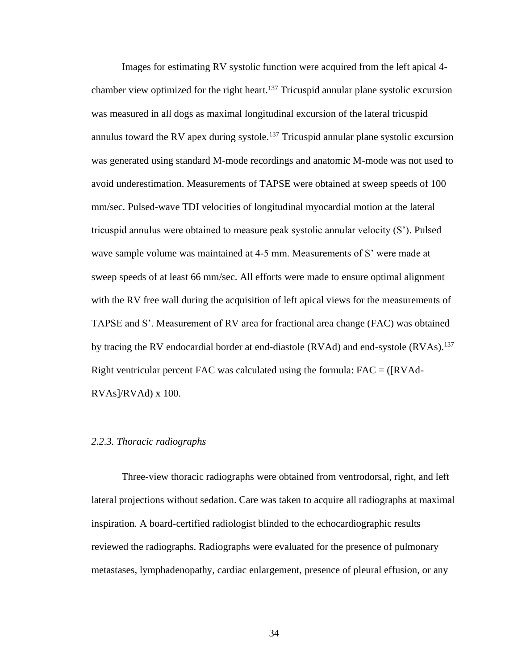Images for estimating RV systolic function were acquired from the left apical 4 chamber view optimized for the right heart.<sup>137</sup> Tricuspid annular plane systolic excursion was measured in all dogs as maximal longitudinal excursion of the lateral tricuspid annulus toward the RV apex during systole.<sup>137</sup> Tricuspid annular plane systolic excursion was generated using standard M-mode recordings and anatomic M-mode was not used to avoid underestimation. Measurements of TAPSE were obtained at sweep speeds of 100 mm/sec. Pulsed-wave TDI velocities of longitudinal myocardial motion at the lateral tricuspid annulus were obtained to measure peak systolic annular velocity (S'). Pulsed wave sample volume was maintained at 4-5 mm. Measurements of S' were made at sweep speeds of at least 66 mm/sec. All efforts were made to ensure optimal alignment with the RV free wall during the acquisition of left apical views for the measurements of TAPSE and S'. Measurement of RV area for fractional area change (FAC) was obtained by tracing the RV endocardial border at end-diastole (RVAd) and end-systole (RVAs).<sup>137</sup> Right ventricular percent FAC was calculated using the formula:  $FAC = ([RVAd RVAs/RVAd) \times 100.$ 

# *2.2.3. Thoracic radiographs*

Three-view thoracic radiographs were obtained from ventrodorsal, right, and left lateral projections without sedation. Care was taken to acquire all radiographs at maximal inspiration. A board-certified radiologist blinded to the echocardiographic results reviewed the radiographs. Radiographs were evaluated for the presence of pulmonary metastases, lymphadenopathy, cardiac enlargement, presence of pleural effusion, or any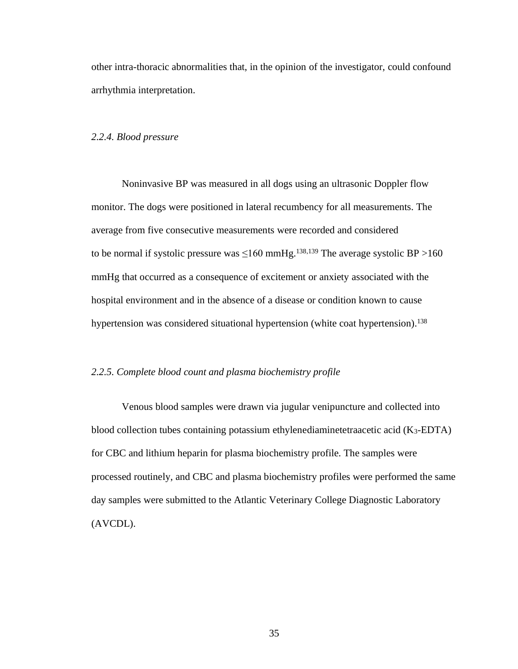other intra-thoracic abnormalities that, in the opinion of the investigator, could confound arrhythmia interpretation.

## *2.2.4. Blood pressure*

Noninvasive BP was measured in all dogs using an ultrasonic Doppler flow monitor. The dogs were positioned in lateral recumbency for all measurements. The average from five consecutive measurements were recorded and considered to be normal if systolic pressure was  $\leq 160$  mmHg.<sup>138,139</sup> The average systolic BP >160 mmHg that occurred as a consequence of excitement or anxiety associated with the hospital environment and in the absence of a disease or condition known to cause hypertension was considered situational hypertension (white coat hypertension).<sup>138</sup>

## *2.2.5. Complete blood count and plasma biochemistry profile*

Venous blood samples were drawn via jugular venipuncture and collected into blood collection tubes containing potassium ethylenediaminetetraacetic acid  $(K_3$ -EDTA) for CBC and lithium heparin for plasma biochemistry profile. The samples were processed routinely, and CBC and plasma biochemistry profiles were performed the same day samples were submitted to the Atlantic Veterinary College Diagnostic Laboratory (AVCDL).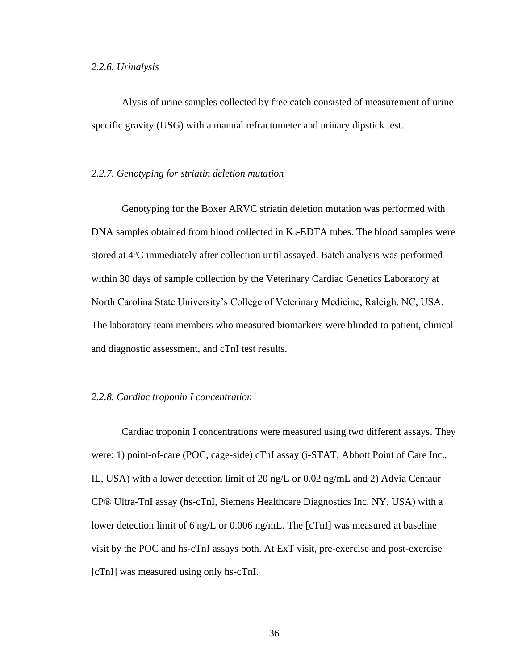#### *2.2.6. Urinalysis*

Alysis of urine samples collected by free catch consisted of measurement of urine specific gravity (USG) with a manual refractometer and urinary dipstick test.

## *2.2.7. Genotyping for striatin deletion mutation*

Genotyping for the Boxer ARVC striatin deletion mutation was performed with DNA samples obtained from blood collected in K<sub>3</sub>-EDTA tubes. The blood samples were stored at 4<sup>0</sup>C immediately after collection until assayed. Batch analysis was performed within 30 days of sample collection by the Veterinary Cardiac Genetics Laboratory at North Carolina State University's College of Veterinary Medicine, Raleigh, NC, USA. The laboratory team members who measured biomarkers were blinded to patient, clinical and diagnostic assessment, and cTnI test results.

#### *2.2.8. Cardiac troponin I concentration*

Cardiac troponin I concentrations were measured using two different assays. They were: 1) point-of-care (POC, cage-side) cTnI assay (i-STAT; Abbott Point of Care Inc., IL, USA) with a lower detection limit of 20 ng/L or 0.02 ng/mL and 2) Advia Centaur CP® Ultra-TnI assay (hs-cTnI, Siemens Healthcare Diagnostics Inc. NY, USA) with a lower detection limit of 6 ng/L or 0.006 ng/mL. The [cTnI] was measured at baseline visit by the POC and hs-cTnI assays both. At ExT visit, pre-exercise and post-exercise [cTnI] was measured using only hs-cTnI.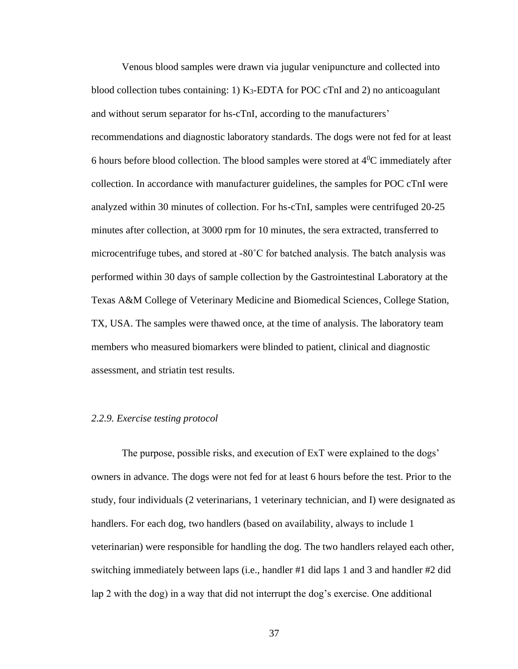Venous blood samples were drawn via jugular venipuncture and collected into blood collection tubes containing: 1) K3-EDTA for POC cTnI and 2) no anticoagulant and without serum separator for hs-cTnI, according to the manufacturers' recommendations and diagnostic laboratory standards. The dogs were not fed for at least 6 hours before blood collection. The blood samples were stored at  $4^{\circ}C$  immediately after collection. In accordance with manufacturer guidelines, the samples for POC cTnI were analyzed within 30 minutes of collection. For hs-cTnI, samples were centrifuged 20-25 minutes after collection, at 3000 rpm for 10 minutes, the sera extracted, transferred to microcentrifuge tubes, and stored at -80˚C for batched analysis. The batch analysis was performed within 30 days of sample collection by the Gastrointestinal Laboratory at the Texas A&M College of Veterinary Medicine and Biomedical Sciences, College Station, TX, USA. The samples were thawed once, at the time of analysis. The laboratory team members who measured biomarkers were blinded to patient, clinical and diagnostic assessment, and striatin test results.

#### *2.2.9. Exercise testing protocol*

The purpose, possible risks, and execution of ExT were explained to the dogs' owners in advance. The dogs were not fed for at least 6 hours before the test. Prior to the study, four individuals (2 veterinarians, 1 veterinary technician, and I) were designated as handlers. For each dog, two handlers (based on availability, always to include 1 veterinarian) were responsible for handling the dog. The two handlers relayed each other, switching immediately between laps (i.e., handler #1 did laps 1 and 3 and handler #2 did lap 2 with the dog) in a way that did not interrupt the dog's exercise. One additional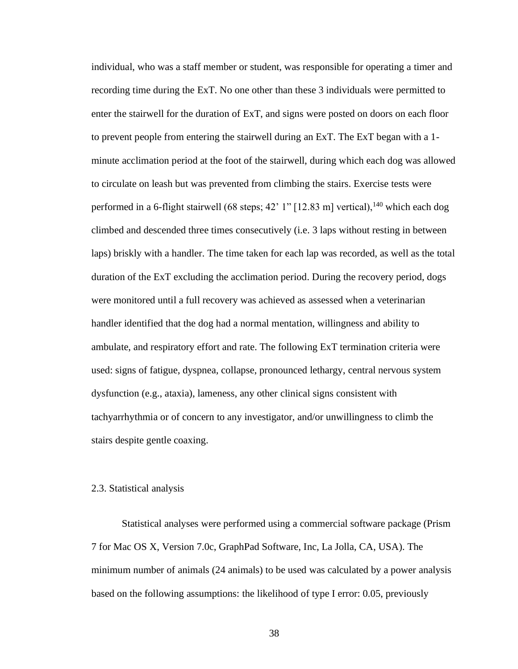individual, who was a staff member or student, was responsible for operating a timer and recording time during the ExT. No one other than these 3 individuals were permitted to enter the stairwell for the duration of ExT, and signs were posted on doors on each floor to prevent people from entering the stairwell during an ExT. The ExT began with a 1 minute acclimation period at the foot of the stairwell, during which each dog was allowed to circulate on leash but was prevented from climbing the stairs. Exercise tests were performed in a 6-flight stairwell (68 steps; 42' 1" [12.83 m] vertical),  $^{140}$  which each dog climbed and descended three times consecutively (i.e. 3 laps without resting in between laps) briskly with a handler. The time taken for each lap was recorded, as well as the total duration of the ExT excluding the acclimation period. During the recovery period, dogs were monitored until a full recovery was achieved as assessed when a veterinarian handler identified that the dog had a normal mentation, willingness and ability to ambulate, and respiratory effort and rate. The following ExT termination criteria were used: signs of fatigue, dyspnea, collapse, pronounced lethargy, central nervous system dysfunction (e.g., ataxia), lameness, any other clinical signs consistent with tachyarrhythmia or of concern to any investigator, and/or unwillingness to climb the stairs despite gentle coaxing.

#### 2.3. Statistical analysis

Statistical analyses were performed using a commercial software package (Prism 7 for Mac OS X, Version 7.0c, GraphPad Software, Inc, La Jolla, CA, USA). The minimum number of animals (24 animals) to be used was calculated by a power analysis based on the following assumptions: the likelihood of type I error: 0.05, previously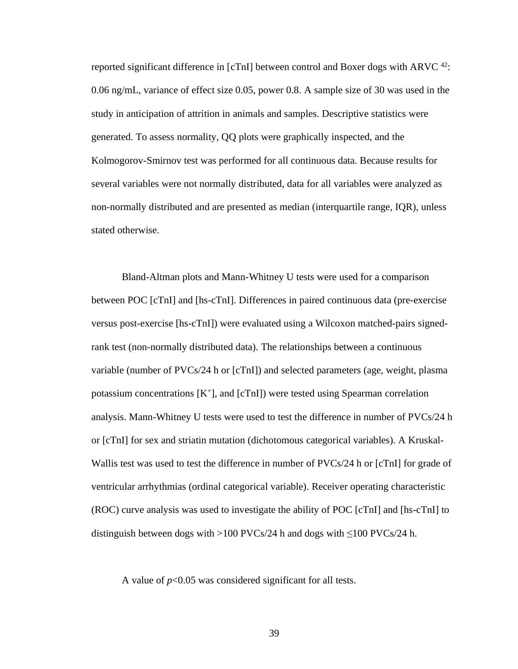reported significant difference in  $\lbrack cTn \rbrack$  between control and Boxer dogs with ARVC  $42$ : 0.06 ng/mL, variance of effect size 0.05, power 0.8. A sample size of 30 was used in the study in anticipation of attrition in animals and samples. Descriptive statistics were generated. To assess normality, QQ plots were graphically inspected, and the Kolmogorov-Smirnov test was performed for all continuous data. Because results for several variables were not normally distributed, data for all variables were analyzed as non-normally distributed and are presented as median (interquartile range, IQR), unless stated otherwise.

Bland-Altman plots and Mann-Whitney U tests were used for a comparison between POC [cTnI] and [hs-cTnI]. Differences in paired continuous data (pre-exercise versus post-exercise [hs-cTnI]) were evaluated using a Wilcoxon matched-pairs signedrank test (non-normally distributed data). The relationships between a continuous variable (number of PVCs/24 h or [cTnI]) and selected parameters (age, weight, plasma potassium concentrations [K<sup>+</sup>], and [cTnI]) were tested using Spearman correlation analysis. Mann-Whitney U tests were used to test the difference in number of PVCs/24 h or [cTnI] for sex and striatin mutation (dichotomous categorical variables). A Kruskal-Wallis test was used to test the difference in number of PVCs/24 h or [cTnI] for grade of ventricular arrhythmias (ordinal categorical variable). Receiver operating characteristic (ROC) curve analysis was used to investigate the ability of POC [cTnI] and [hs-cTnI] to distinguish between dogs with >100 PVCs/24 h and dogs with  $\leq$ 100 PVCs/24 h.

A value of  $p<0.05$  was considered significant for all tests.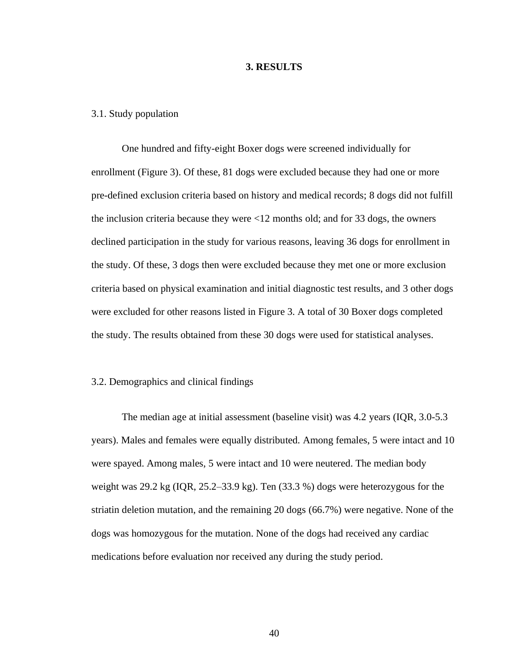## **3. RESULTS**

#### 3.1. Study population

One hundred and fifty-eight Boxer dogs were screened individually for enrollment (Figure 3). Of these, 81 dogs were excluded because they had one or more pre-defined exclusion criteria based on history and medical records; 8 dogs did not fulfill the inclusion criteria because they were <12 months old; and for 33 dogs, the owners declined participation in the study for various reasons, leaving 36 dogs for enrollment in the study. Of these, 3 dogs then were excluded because they met one or more exclusion criteria based on physical examination and initial diagnostic test results, and 3 other dogs were excluded for other reasons listed in Figure 3. A total of 30 Boxer dogs completed the study. The results obtained from these 30 dogs were used for statistical analyses.

## 3.2. Demographics and clinical findings

The median age at initial assessment (baseline visit) was 4.2 years (IQR, 3.0-5.3 years). Males and females were equally distributed. Among females, 5 were intact and 10 were spayed. Among males, 5 were intact and 10 were neutered. The median body weight was 29.2 kg (IQR, 25.2–33.9 kg). Ten (33.3 %) dogs were heterozygous for the striatin deletion mutation, and the remaining 20 dogs (66.7%) were negative. None of the dogs was homozygous for the mutation. None of the dogs had received any cardiac medications before evaluation nor received any during the study period.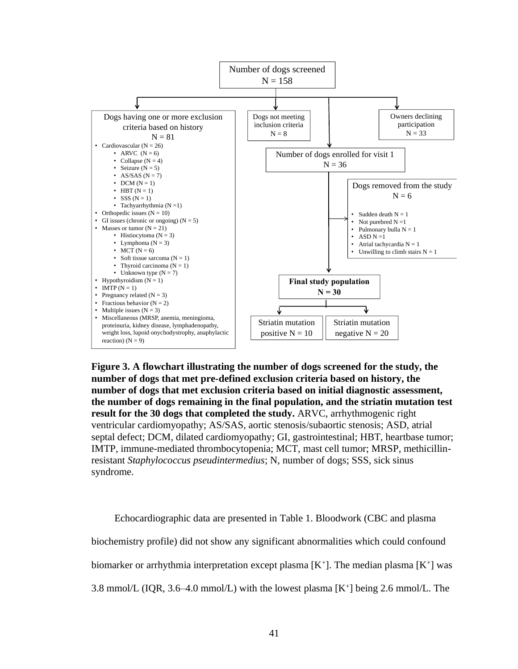

**Figure 3. A flowchart illustrating the number of dogs screened for the study, the number of dogs that met pre-defined exclusion criteria based on history, the number of dogs that met exclusion criteria based on initial diagnostic assessment, the number of dogs remaining in the final population, and the striatin mutation test result for the 30 dogs that completed the study.** ARVC, arrhythmogenic right ventricular cardiomyopathy; AS/SAS, aortic stenosis/subaortic stenosis; ASD, atrial septal defect; DCM, dilated cardiomyopathy; GI, gastrointestinal; HBT, heartbase tumor; IMTP, immune-mediated thrombocytopenia; MCT, mast cell tumor; MRSP, methicillinresistant *Staphylococcus pseudintermedius*; N, number of dogs; SSS, sick sinus syndrome.

Echocardiographic data are presented in Table 1. Bloodwork (CBC and plasma biochemistry profile) did not show any significant abnormalities which could confound biomarker or arrhythmia interpretation except plasma  $[K^+]$ . The median plasma  $[K^+]$  was 3.8 mmol/L (IQR, 3.6–4.0 mmol/L) with the lowest plasma  $[K^+]$  being 2.6 mmol/L. The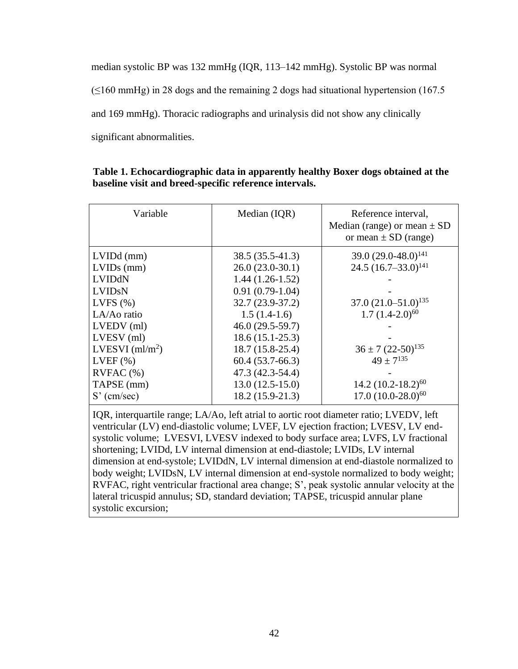median systolic BP was 132 mmHg (IQR, 113–142 mmHg). Systolic BP was normal  $(\leq 160 \text{ mmHg})$  in 28 dogs and the remaining 2 dogs had situational hypertension (167.5) and 169 mmHg). Thoracic radiographs and urinalysis did not show any clinically significant abnormalities.

| Variable                                                                                                  | Median (IQR)                                                                                                                                   | Reference interval,<br>Median (range) or mean $\pm$ SD<br>or mean $\pm$ SD (range)                          |
|-----------------------------------------------------------------------------------------------------------|------------------------------------------------------------------------------------------------------------------------------------------------|-------------------------------------------------------------------------------------------------------------|
| $LVIDd$ (mm)<br>$LVIDs$ (mm)<br>LVIDdN<br><b>LVIDSN</b><br>LVFS $(\%)$<br>LA/Ao ratio                     | $38.5(35.5-41.3)$<br>$26.0(23.0-30.1)$<br>$1.44(1.26-1.52)$<br>$0.91(0.79-1.04)$<br>$32.7(23.9-37.2)$<br>$1.5(1.4-1.6)$                        | 39.0 $(29.0 - 48.0)^{141}$<br>24.5 $(16.7-33.0)^{141}$<br>$37.0 (21.0 - 51.0)^{135}$<br>$1.7(1.4-2.0)^{60}$ |
| LVEDV (ml)<br>LVESV (ml)<br>LVESVI $(ml/m2)$<br>$LVEF$ $(\% )$<br>RVFAC(%)<br>TAPSE (mm)<br>$S'$ (cm/sec) | $46.0(29.5-59.7)$<br>$18.6(15.1-25.3)$<br>$18.7(15.8-25.4)$<br>$60.4(53.7-66.3)$<br>47.3 (42.3-54.4)<br>$13.0(12.5-15.0)$<br>$18.2(15.9-21.3)$ | $36 \pm 7 (22 - 50)^{135}$<br>$49 + 7^{135}$<br>$14.2 (10.2 - 18.2)^{60}$<br>$17.0 (10.0 - 28.0)^{60}$      |

| Table 1. Echocardiographic data in apparently healthy Boxer dogs obtained at the |  |
|----------------------------------------------------------------------------------|--|
| baseline visit and breed-specific reference intervals.                           |  |

IQR, interquartile range; LA/Ao, left atrial to aortic root diameter ratio; LVEDV, left ventricular (LV) end-diastolic volume; LVEF, LV ejection fraction; LVESV, LV endsystolic volume; LVESVI, LVESV indexed to body surface area; LVFS, LV fractional shortening; LVIDd, LV internal dimension at end-diastole; LVIDs, LV internal dimension at end-systole; LVIDdN, LV internal dimension at end-diastole normalized to body weight; LVIDsN, LV internal dimension at end-systole normalized to body weight; RVFAC, right ventricular fractional area change; S', peak systolic annular velocity at the lateral tricuspid annulus; SD, standard deviation; TAPSE, tricuspid annular plane systolic excursion;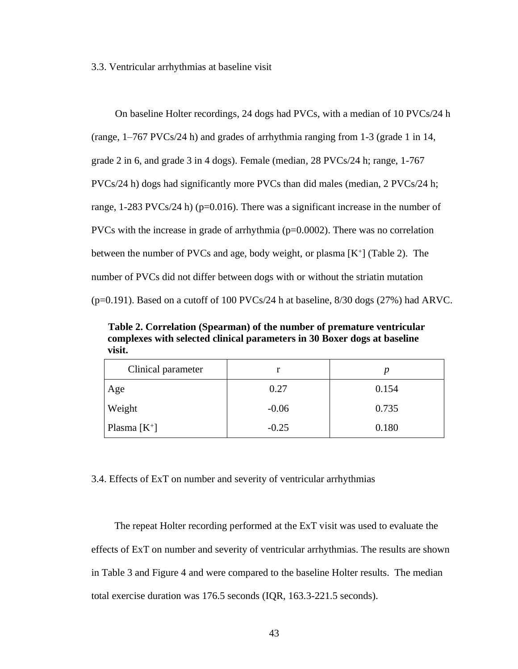3.3. Ventricular arrhythmias at baseline visit

On baseline Holter recordings, 24 dogs had PVCs, with a median of 10 PVCs/24 h (range, 1–767 PVCs/24 h) and grades of arrhythmia ranging from 1-3 (grade 1 in 14, grade 2 in 6, and grade 3 in 4 dogs). Female (median, 28 PVCs/24 h; range, 1-767 PVCs/24 h) dogs had significantly more PVCs than did males (median, 2 PVCs/24 h; range,  $1-283$  PVCs/24 h) (p=0.016). There was a significant increase in the number of PVCs with the increase in grade of arrhythmia  $(p=0.0002)$ . There was no correlation between the number of PVCs and age, body weight, or plasma  $[K^+]$  (Table 2). The number of PVCs did not differ between dogs with or without the striatin mutation  $(p=0.191)$ . Based on a cutoff of 100 PVCs/24 h at baseline, 8/30 dogs (27%) had ARVC.

**Table 2. Correlation (Spearman) of the number of premature ventricular complexes with selected clinical parameters in 30 Boxer dogs at baseline visit.**

| Clinical parameter |         |       |
|--------------------|---------|-------|
| Age                | 0.27    | 0.154 |
| Weight             | $-0.06$ | 0.735 |
| Plasma $[K^+]$     | $-0.25$ | 0.180 |

## 3.4. Effects of ExT on number and severity of ventricular arrhythmias

The repeat Holter recording performed at the ExT visit was used to evaluate the effects of ExT on number and severity of ventricular arrhythmias. The results are shown in Table 3 and Figure 4 and were compared to the baseline Holter results. The median total exercise duration was 176.5 seconds (IQR, 163.3-221.5 seconds).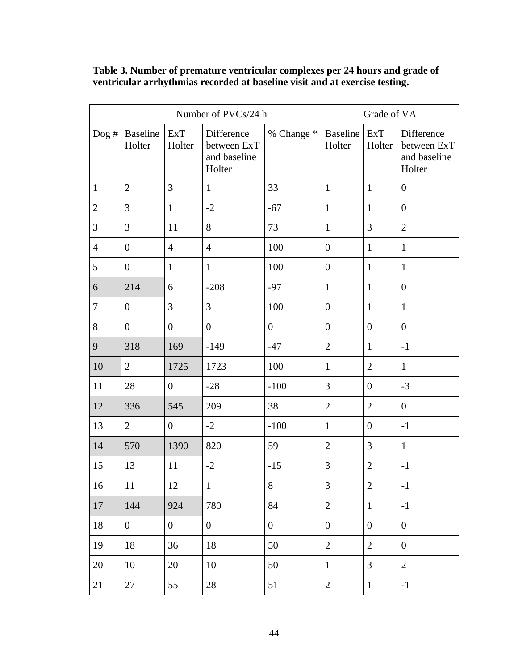# **Table 3. Number of premature ventricular complexes per 24 hours and grade of ventricular arrhythmias recorded at baseline visit and at exercise testing.**

|                |                    | Number of PVCs/24 h  | Grade of VA                                         |                  |                           |                      |                                                     |
|----------------|--------------------|----------------------|-----------------------------------------------------|------------------|---------------------------|----------------------|-----------------------------------------------------|
| Dog #          | Baseline<br>Holter | <b>ExT</b><br>Holter | Difference<br>between ExT<br>and baseline<br>Holter | % Change *       | <b>Baseline</b><br>Holter | <b>ExT</b><br>Holter | Difference<br>between ExT<br>and baseline<br>Holter |
| $\mathbf{1}$   | $\overline{2}$     | 3                    | $\mathbf{1}$                                        | 33               | $\mathbf{1}$              | $\mathbf{1}$         | $\overline{0}$                                      |
| $\mathbf{2}$   | 3                  | $\mathbf{1}$         | $-2$                                                | $-67$            | $\mathbf{1}$              | $\mathbf{1}$         | $\boldsymbol{0}$                                    |
| 3              | 3                  | 11                   | $8\,$                                               | 73               | $\mathbf{1}$              | 3                    | $\overline{2}$                                      |
| $\overline{4}$ | $\boldsymbol{0}$   | $\overline{4}$       | $\overline{4}$                                      | 100              | $\boldsymbol{0}$          | $\mathbf{1}$         | $\mathbf{1}$                                        |
| 5              | $\boldsymbol{0}$   | $\mathbf{1}$         | $\mathbf{1}$                                        | 100              | $\boldsymbol{0}$          | $\mathbf{1}$         | $\mathbf{1}$                                        |
| 6              | 214                | 6                    | $-208$                                              | $-97$            | $\mathbf{1}$              | $\mathbf{1}$         | $\overline{0}$                                      |
| $\tau$         | $\boldsymbol{0}$   | 3                    | 3                                                   | 100              | $\boldsymbol{0}$          | $\mathbf{1}$         | $\mathbf{1}$                                        |
| 8              | $\boldsymbol{0}$   | $\boldsymbol{0}$     | $\boldsymbol{0}$                                    | $\boldsymbol{0}$ | $\boldsymbol{0}$          | $\boldsymbol{0}$     | $\boldsymbol{0}$                                    |
| 9              | 318                | 169                  | $-149$                                              | $-47$            | $\overline{2}$            | $\mathbf{1}$         | $^{\rm -1}$                                         |
| 10             | $\overline{2}$     | 1725                 | 1723                                                | 100              | $\mathbf{1}$              | $\mathbf{2}$         | $\mathbf{1}$                                        |
| 11             | 28                 | $\boldsymbol{0}$     | $-28$                                               | $-100$           | $\mathfrak{Z}$            | $\boldsymbol{0}$     | $-3$                                                |
| 12             | 336                | 545                  | 209                                                 | 38               | $\overline{2}$            | $\overline{2}$       | $\boldsymbol{0}$                                    |
| 13             | $\overline{2}$     | $\boldsymbol{0}$     | $-2$                                                | $-100$           | $\mathbf{1}$              | $\boldsymbol{0}$     | $-1$                                                |
| 14             | 570                | 1390                 | 820                                                 | 59               | $\sqrt{2}$                | 3                    | $\mathbf{1}$                                        |
| 15             | 13                 | 11                   | $-2$                                                | $-15$            | $\mathfrak{Z}$            | $\overline{2}$       | $-1$                                                |
| 16             | $11\,$             | $12\,$               | $\mathbf{1}$                                        | 8                | 3                         | $\overline{2}$       | $-1$                                                |
| 17             | 144                | 924                  | 780                                                 | 84               | $\overline{2}$            | $\mathbf{1}$         | $-1$                                                |
| 18             | $\overline{0}$     | $\overline{0}$       | $\overline{0}$                                      | $\boldsymbol{0}$ | $\boldsymbol{0}$          | $\boldsymbol{0}$     | $\overline{0}$                                      |
| 19             | 18                 | 36                   | 18                                                  | 50               | $\mathbf{2}$              | $\mathfrak{2}$       | $\boldsymbol{0}$                                    |
| 20             | 10                 | 20                   | 10                                                  | 50               | $\mathbf{1}$              | 3                    | $\overline{2}$                                      |
| 21             | 27                 | 55                   | 28                                                  | 51               | $\mathbf{2}$              | $\mathbf{1}$         | $-1$                                                |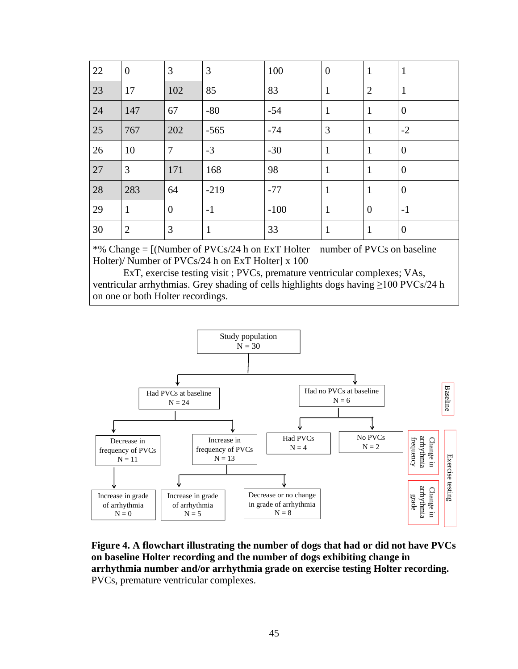| 22 | $\boldsymbol{0}$ | 3              | 3            | 100    | $\boldsymbol{0}$ | $\mathbf{1}$   | $\mathbf{1}$     |
|----|------------------|----------------|--------------|--------|------------------|----------------|------------------|
| 23 | 17               | 102            | 85           | 83     | $\mathbf{1}$     | $\overline{2}$ | $\mathbf{1}$     |
| 24 | 147              | 67             | $-80$        | $-54$  | $\mathbf{1}$     | $\mathbf{1}$   | $\overline{0}$   |
| 25 | 767              | 202            | $-565$       | $-74$  | 3                | $\mathbf{1}$   | $-2$             |
| 26 | 10               | $\overline{7}$ | $-3$         | $-30$  | $\mathbf{1}$     | $\mathbf{1}$   | $\overline{0}$   |
| 27 | $\overline{3}$   | 171            | 168          | 98     | $\mathbf{1}$     | $\mathbf{1}$   | $\boldsymbol{0}$ |
| 28 | 283              | 64             | $-219$       | $-77$  | $\mathbf{1}$     | $\mathbf{1}$   | $\boldsymbol{0}$ |
| 29 | $\mathbf{1}$     | $\overline{0}$ | $-1$         | $-100$ | $\mathbf{1}$     | $\overline{0}$ | $-1$             |
| 30 | $\overline{2}$   | 3              | $\mathbf{1}$ | 33     | $\mathbf{1}$     | $\mathbf{1}$   | $\boldsymbol{0}$ |

\*% Change = [(Number of PVCs/24 h on ExT Holter – number of PVCs on baseline Holter)/ Number of PVCs/24 h on ExT Holter] x 100

ExT, exercise testing visit ; PVCs, premature ventricular complexes; VAs, ventricular arrhythmias. Grey shading of cells highlights dogs having ≥100 PVCs/24 h on one or both Holter recordings.



**Figure 4. A flowchart illustrating the number of dogs that had or did not have PVCs on baseline Holter recording and the number of dogs exhibiting change in arrhythmia number and/or arrhythmia grade on exercise testing Holter recording.** PVCs, premature ventricular complexes.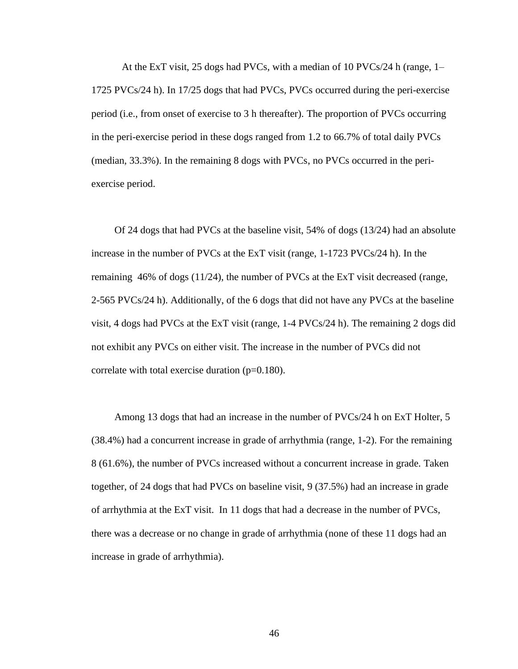At the ExT visit, 25 dogs had PVCs, with a median of 10 PVCs/24 h (range, 1– 1725 PVCs/24 h). In 17/25 dogs that had PVCs, PVCs occurred during the peri-exercise period (i.e., from onset of exercise to 3 h thereafter). The proportion of PVCs occurring in the peri-exercise period in these dogs ranged from 1.2 to 66.7% of total daily PVCs (median, 33.3%). In the remaining 8 dogs with PVCs, no PVCs occurred in the periexercise period.

Of 24 dogs that had PVCs at the baseline visit, 54% of dogs (13/24) had an absolute increase in the number of PVCs at the ExT visit (range, 1-1723 PVCs/24 h). In the remaining 46% of dogs (11/24), the number of PVCs at the ExT visit decreased (range, 2-565 PVCs/24 h). Additionally, of the 6 dogs that did not have any PVCs at the baseline visit, 4 dogs had PVCs at the ExT visit (range, 1-4 PVCs/24 h). The remaining 2 dogs did not exhibit any PVCs on either visit. The increase in the number of PVCs did not correlate with total exercise duration  $(p=0.180)$ .

Among 13 dogs that had an increase in the number of PVCs/24 h on ExT Holter, 5 (38.4%) had a concurrent increase in grade of arrhythmia (range, 1-2). For the remaining 8 (61.6%), the number of PVCs increased without a concurrent increase in grade. Taken together, of 24 dogs that had PVCs on baseline visit, 9 (37.5%) had an increase in grade of arrhythmia at the ExT visit. In 11 dogs that had a decrease in the number of PVCs, there was a decrease or no change in grade of arrhythmia (none of these 11 dogs had an increase in grade of arrhythmia).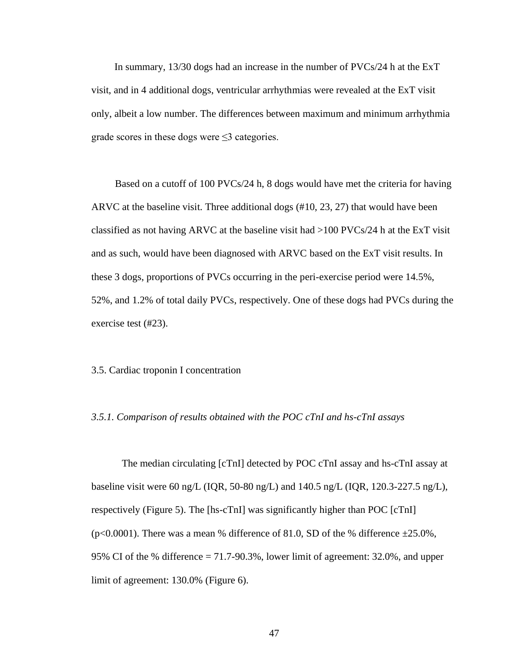In summary, 13/30 dogs had an increase in the number of PVCs/24 h at the ExT visit, and in 4 additional dogs, ventricular arrhythmias were revealed at the ExT visit only, albeit a low number. The differences between maximum and minimum arrhythmia grade scores in these dogs were  $\leq$ 3 categories.

Based on a cutoff of 100 PVCs/24 h, 8 dogs would have met the criteria for having ARVC at the baseline visit. Three additional dogs (#10, 23, 27) that would have been classified as not having ARVC at the baseline visit had  $>100$  PVCs/24 h at the ExT visit and as such, would have been diagnosed with ARVC based on the ExT visit results. In these 3 dogs, proportions of PVCs occurring in the peri-exercise period were 14.5%, 52%, and 1.2% of total daily PVCs, respectively. One of these dogs had PVCs during the exercise test (#23).

#### 3.5. Cardiac troponin I concentration

#### *3.5.1. Comparison of results obtained with the POC cTnI and hs-cTnI assays*

The median circulating [cTnI] detected by POC cTnI assay and hs-cTnI assay at baseline visit were 60 ng/L (IQR, 50-80 ng/L) and 140.5 ng/L (IQR, 120.3-227.5 ng/L), respectively (Figure 5). The [hs-cTnI] was significantly higher than POC [cTnI] (p<0.0001). There was a mean % difference of 81.0, SD of the % difference  $\pm 25.0\%$ , 95% CI of the % difference = 71.7-90.3%, lower limit of agreement: 32.0%, and upper limit of agreement: 130.0% (Figure 6).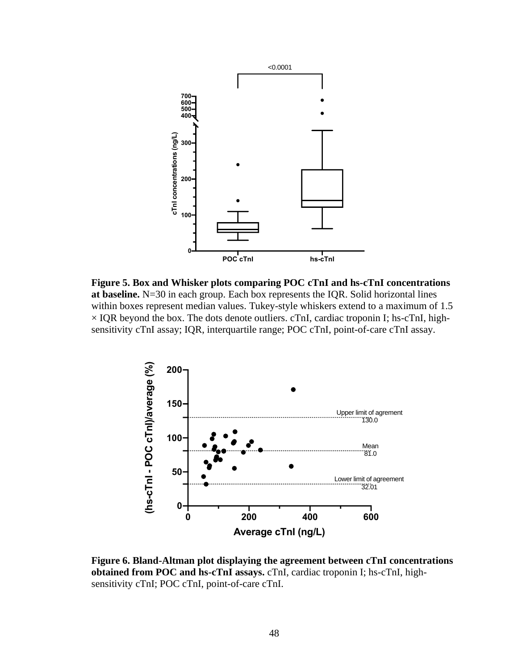

**Figure 5. Box and Whisker plots comparing POC cTnI and hs-cTnI concentrations at baseline.** N=30 in each group. Each box represents the IQR. Solid horizontal lines within boxes represent median values. Tukey-style whiskers extend to a maximum of 1.5  $\times$  IQR beyond the box. The dots denote outliers. cTnI, cardiac troponin I; hs-cTnI, highsensitivity cTnI assay; IQR, interquartile range; POC cTnI, point-of-care cTnI assay.



**Figure 6. Bland-Altman plot displaying the agreement between cTnI concentrations obtained from POC and hs-cTnI assays.** cTnI, cardiac troponin I; hs-cTnI, highsensitivity cTnI; POC cTnI, point-of-care cTnI.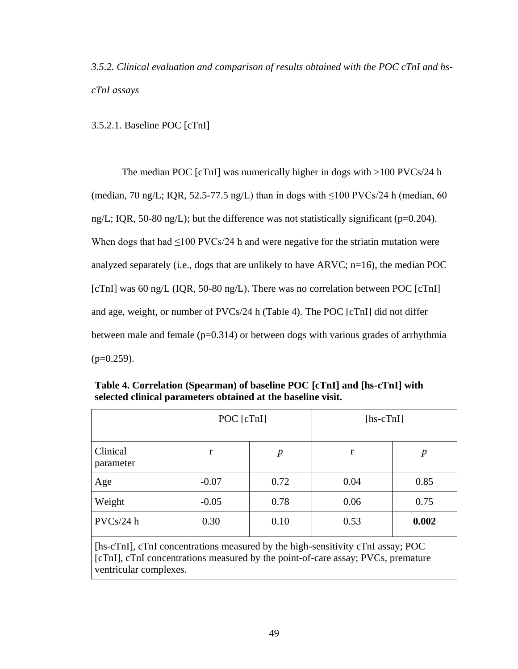*3.5.2. Clinical evaluation and comparison of results obtained with the POC cTnI and hscTnI assays*

3.5.2.1. Baseline POC [cTnI]

The median POC [cTnI] was numerically higher in dogs with >100 PVCs/24 h (median, 70 ng/L; IQR, 52.5-77.5 ng/L) than in dogs with  $\leq$ 100 PVCs/24 h (median, 60 ng/L; IQR, 50-80 ng/L); but the difference was not statistically significant (p=0.204). When dogs that had  $\leq 100$  PVCs/24 h and were negative for the striatin mutation were analyzed separately (i.e., dogs that are unlikely to have ARVC;  $n=16$ ), the median POC [cTnI] was 60 ng/L (IQR, 50-80 ng/L). There was no correlation between POC [cTnI] and age, weight, or number of PVCs/24 h (Table 4). The POC [cTnI] did not differ between male and female  $(p=0.314)$  or between dogs with various grades of arrhythmia  $(p=0.259)$ .

|                                                                                                                                                                     | POC [cTnI] |      | $[hs\text{-}cTnI]$ |                  |  |
|---------------------------------------------------------------------------------------------------------------------------------------------------------------------|------------|------|--------------------|------------------|--|
| Clinical<br>parameter                                                                                                                                               | r          | p    | r                  | $\boldsymbol{p}$ |  |
| Age                                                                                                                                                                 | $-0.07$    | 0.72 | 0.04               | 0.85             |  |
| Weight                                                                                                                                                              | $-0.05$    | 0.78 | 0.06               | 0.75             |  |
| PVCs/24 h                                                                                                                                                           | 0.30       | 0.10 | 0.53               | 0.002            |  |
| [hs-cTnI], cTnI concentrations measured by the high-sensitivity cTnI assay; POC<br>[cTnI], cTnI concentrations measured by the point-of-care assay; PVCs, premature |            |      |                    |                  |  |

**Table 4. Correlation (Spearman) of baseline POC [cTnI] and [hs-cTnI] with selected clinical parameters obtained at the baseline visit.**

[cTnI], cTnI concentrations measured by the point-of-care assay; PVCs, premature ventricular complexes.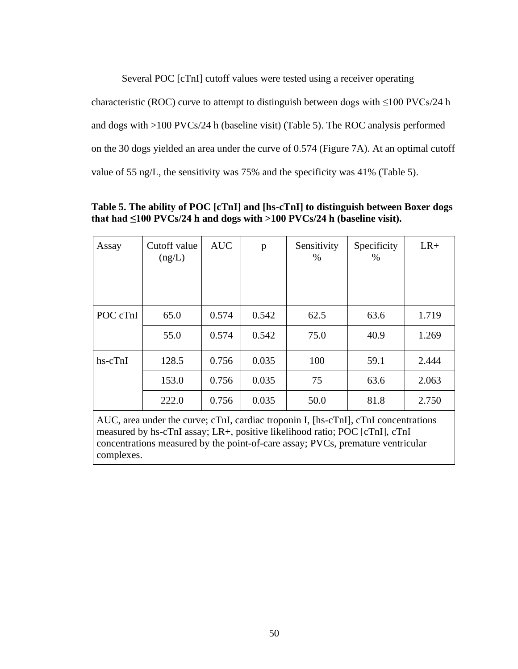Several POC [cTnI] cutoff values were tested using a receiver operating characteristic (ROC) curve to attempt to distinguish between dogs with  $\leq 100$  PVCs/24 h and dogs with >100 PVCs/24 h (baseline visit) (Table 5). The ROC analysis performed on the 30 dogs yielded an area under the curve of 0.574 (Figure 7A). At an optimal cutoff value of 55 ng/L, the sensitivity was 75% and the specificity was 41% (Table 5).

| Assay     | Cutoff value<br>(ng/L) | <b>AUC</b> | p     | Sensitivity<br>% | Specificity<br>% | $LR+$ |
|-----------|------------------------|------------|-------|------------------|------------------|-------|
| POC cTnI  | 65.0                   | 0.574      | 0.542 | 62.5             | 63.6             | 1.719 |
|           | 55.0                   | 0.574      | 0.542 | 75.0             | 40.9             | 1.269 |
| $hs-cTnI$ | 128.5                  | 0.756      | 0.035 | 100              | 59.1             | 2.444 |
|           | 153.0                  | 0.756      | 0.035 | 75               | 63.6             | 2.063 |
|           | 222.0                  | 0.756      | 0.035 | 50.0             | 81.8             | 2.750 |

**Table 5. The ability of POC [cTnI] and [hs-cTnI] to distinguish between Boxer dogs**  that had  $\leq 100$  PVCs/24 h and dogs with  $>100$  PVCs/24 h (baseline visit).

AUC, area under the curve; cTnI, cardiac troponin I, [hs-cTnI], cTnI concentrations measured by hs-cTnI assay; LR+, positive likelihood ratio; POC [cTnI], cTnI concentrations measured by the point-of-care assay; PVCs, premature ventricular complexes.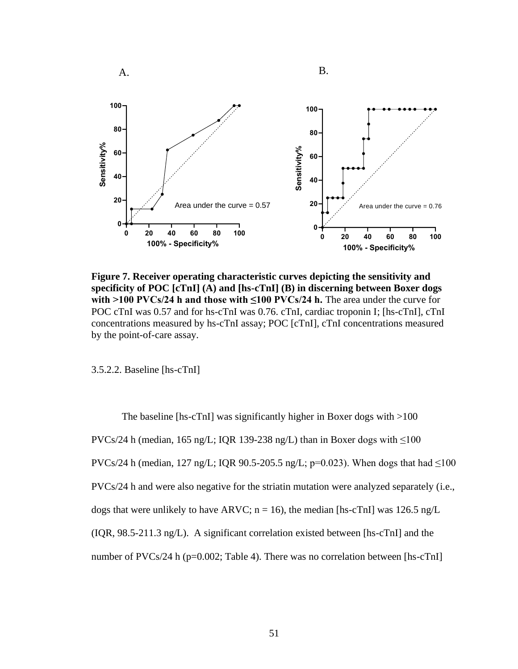

**Figure 7. Receiver operating characteristic curves depicting the sensitivity and specificity of POC [cTnI] (A) and [hs-cTnI] (B) in discerning between Boxer dogs with >100 PVCs/24 h and those with**  $\leq$ **100 PVCs/24 h.** The area under the curve for POC cTnI was 0.57 and for hs-cTnI was 0.76. cTnI, cardiac troponin I; [hs-cTnI], cTnI concentrations measured by hs-cTnI assay; POC [cTnI], cTnI concentrations measured by the point-of-care assay.

3.5.2.2. Baseline [hs-cTnI]

The baseline [hs-cTnI] was significantly higher in Boxer dogs with >100 PVCs/24 h (median, 165 ng/L; IQR 139-238 ng/L) than in Boxer dogs with  $\leq 100$ PVCs/24 h (median, 127 ng/L; IQR 90.5-205.5 ng/L; p=0.023). When dogs that had  $\leq 100$ PVCs/24 h and were also negative for the striatin mutation were analyzed separately (i.e., dogs that were unlikely to have ARVC;  $n = 16$ ), the median [hs-cTnI] was 126.5 ng/L (IQR, 98.5-211.3 ng/L). A significant correlation existed between [hs-cTnI] and the number of PVCs/24 h (p=0.002; Table 4). There was no correlation between [hs-cTnI]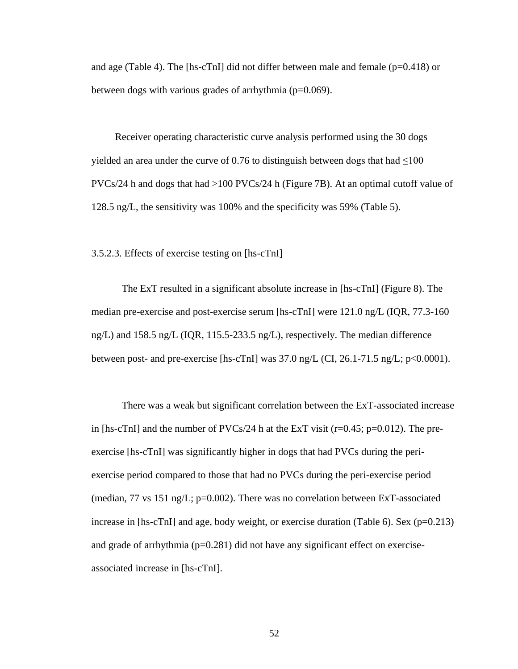and age (Table 4). The [hs-cTnI] did not differ between male and female ( $p=0.418$ ) or between dogs with various grades of arrhythmia (p=0.069).

Receiver operating characteristic curve analysis performed using the 30 dogs yielded an area under the curve of  $0.76$  to distinguish between dogs that had  $\leq 100$ PVCs/24 h and dogs that had >100 PVCs/24 h (Figure 7B). At an optimal cutoff value of 128.5 ng/L, the sensitivity was 100% and the specificity was 59% (Table 5).

3.5.2.3. Effects of exercise testing on [hs-cTnI]

The ExT resulted in a significant absolute increase in [hs-cTnI] (Figure 8). The median pre-exercise and post-exercise serum [hs-cTnI] were 121.0 ng/L (IQR, 77.3-160 ng/L) and 158.5 ng/L (IQR, 115.5-233.5 ng/L), respectively. The median difference between post- and pre-exercise [hs-cTnI] was  $37.0$  ng/L (CI, 26.1-71.5 ng/L; p<0.0001).

There was a weak but significant correlation between the ExT-associated increase in [hs-cTnI] and the number of  $PVCs/24$  h at the ExT visit (r=0.45; p=0.012). The preexercise [hs-cTnI] was significantly higher in dogs that had PVCs during the periexercise period compared to those that had no PVCs during the peri-exercise period (median,  $77$  vs  $151$  ng/L;  $p=0.002$ ). There was no correlation between ExT-associated increase in  $[hs\text{-}cT\text{-}nl]$  and age, body weight, or exercise duration (Table 6). Sex (p=0.213) and grade of arrhythmia  $(p=0.281)$  did not have any significant effect on exerciseassociated increase in [hs-cTnI].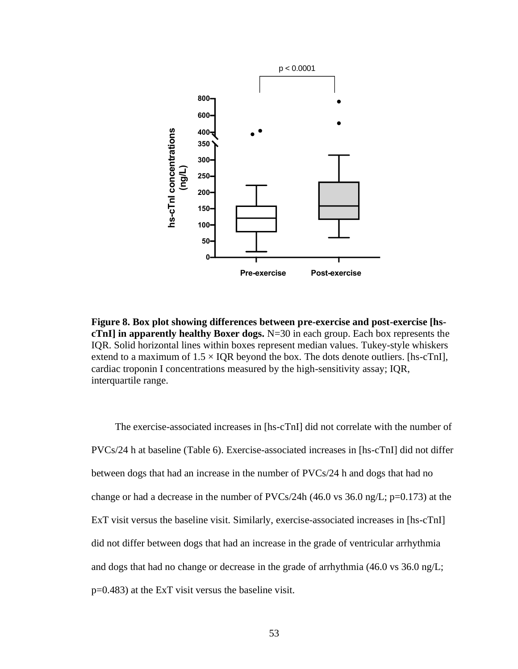

**Figure 8. Box plot showing differences between pre-exercise and post-exercise [hscTnI] in apparently healthy Boxer dogs.** N=30 in each group. Each box represents the IQR. Solid horizontal lines within boxes represent median values. Tukey-style whiskers extend to a maximum of  $1.5 \times IQR$  beyond the box. The dots denote outliers. [hs-cTnI], cardiac troponin I concentrations measured by the high-sensitivity assay; IQR, interquartile range.

The exercise-associated increases in [hs-cTnI] did not correlate with the number of PVCs/24 h at baseline (Table 6). Exercise-associated increases in [hs-cTnI] did not differ between dogs that had an increase in the number of PVCs/24 h and dogs that had no change or had a decrease in the number of PVCs/24h (46.0 vs 36.0 ng/L; p=0.173) at the ExT visit versus the baseline visit. Similarly, exercise-associated increases in [hs-cTnI] did not differ between dogs that had an increase in the grade of ventricular arrhythmia and dogs that had no change or decrease in the grade of arrhythmia (46.0 vs 36.0 ng/L; p=0.483) at the ExT visit versus the baseline visit.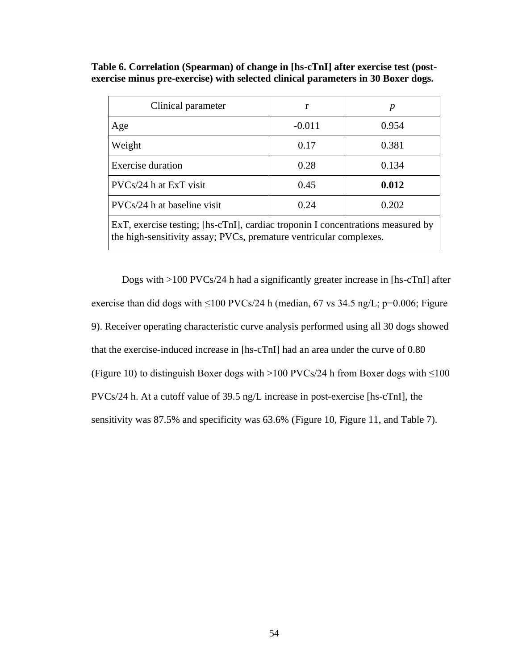| Clinical parameter                                                                                                                                    | r        | р     |  |  |  |
|-------------------------------------------------------------------------------------------------------------------------------------------------------|----------|-------|--|--|--|
| Age                                                                                                                                                   | $-0.011$ | 0.954 |  |  |  |
| Weight                                                                                                                                                | 0.17     | 0.381 |  |  |  |
| <b>Exercise</b> duration                                                                                                                              | 0.28     | 0.134 |  |  |  |
| PVCs/24 h at ExT visit                                                                                                                                | 0.45     | 0.012 |  |  |  |
| PVCs/24 h at baseline visit                                                                                                                           | 0.24     | 0.202 |  |  |  |
| ExT, exercise testing; [hs-cTnI], cardiac troponin I concentrations measured by<br>the high-sensitivity assay; PVCs, premature ventricular complexes. |          |       |  |  |  |

**Table 6. Correlation (Spearman) of change in [hs-cTnI] after exercise test (postexercise minus pre-exercise) with selected clinical parameters in 30 Boxer dogs.**

Dogs with >100 PVCs/24 h had a significantly greater increase in [hs-cTnI] after exercise than did dogs with  $\leq 100$  PVCs/24 h (median, 67 vs 34.5 ng/L; p=0.006; Figure 9). Receiver operating characteristic curve analysis performed using all 30 dogs showed that the exercise-induced increase in [hs-cTnI] had an area under the curve of 0.80 (Figure 10) to distinguish Boxer dogs with >100 PVCs/24 h from Boxer dogs with  $\leq 100$ PVCs/24 h. At a cutoff value of 39.5 ng/L increase in post-exercise [hs-cTnI], the sensitivity was 87.5% and specificity was 63.6% (Figure 10, Figure 11, and Table 7).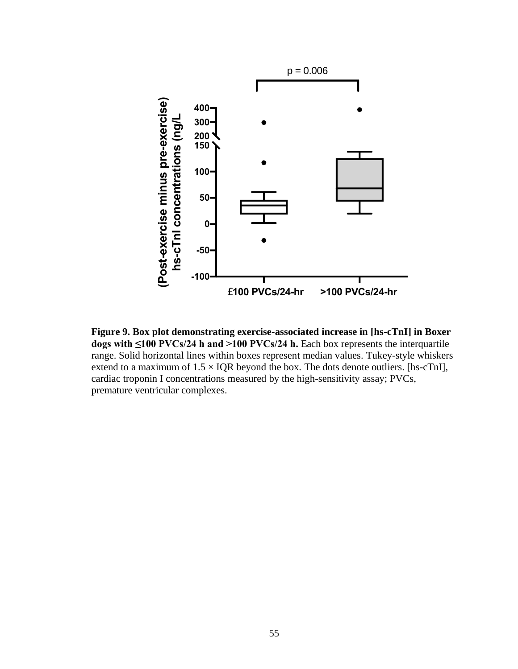

**Figure 9. Box plot demonstrating exercise-associated increase in [hs-cTnI] in Boxer dogs with ≤100 PVCs/24 h and >100 PVCs/24 h.** Each box represents the interquartile range. Solid horizontal lines within boxes represent median values. Tukey-style whiskers extend to a maximum of  $1.5 \times IQR$  beyond the box. The dots denote outliers. [hs-cTnI], cardiac troponin I concentrations measured by the high-sensitivity assay; PVCs, premature ventricular complexes.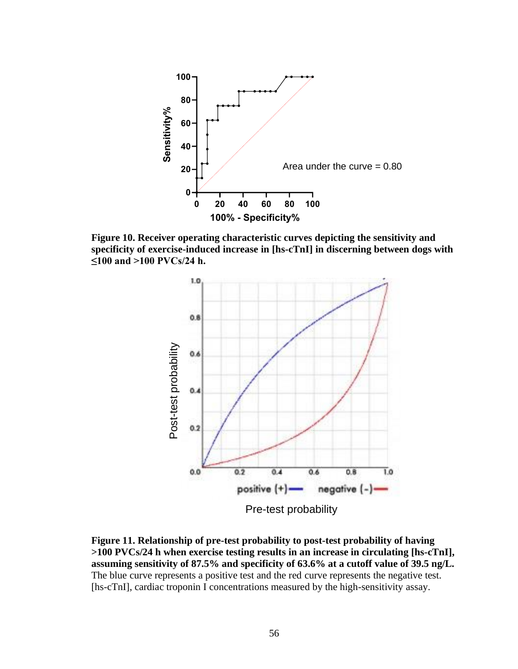

**Figure 10. Receiver operating characteristic curves depicting the sensitivity and specificity of exercise-induced increase in [hs-cTnI] in discerning between dogs with ≤100 and >100 PVCs/24 h.** 



**Figure 11. Relationship of pre-test probability to post-test probability of having >100 PVCs/24 h when exercise testing results in an increase in circulating [hs-cTnI], assuming sensitivity of 87.5% and specificity of 63.6% at a cutoff value of 39.5 ng/L.**  The blue curve represents a positive test and the red curve represents the negative test. [hs-cTnI], cardiac troponin I concentrations measured by the high-sensitivity assay.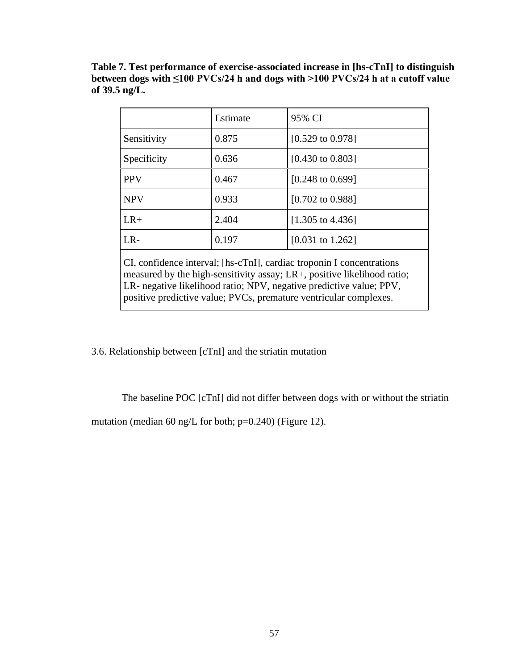**Table 7. Test performance of exercise-associated increase in [hs-cTnI] to distinguish between dogs with ≤100 PVCs/24 h and dogs with >100 PVCs/24 h at a cutoff value of 39.5 ng/L.**

|                                                                      | Estimate | 95% CI                      |  |  |  |
|----------------------------------------------------------------------|----------|-----------------------------|--|--|--|
| Sensitivity                                                          | 0.875    | $[0.529 \text{ to } 0.978]$ |  |  |  |
| Specificity                                                          | 0.636    | $[0.430 \text{ to } 0.803]$ |  |  |  |
| <b>PPV</b>                                                           | 0.467    | $[0.248 \text{ to } 0.699]$ |  |  |  |
| <b>NPV</b>                                                           | 0.933    | $[0.702 \text{ to } 0.988]$ |  |  |  |
| $LR+$                                                                | 2.404    | $[1.305 \text{ to } 4.436]$ |  |  |  |
| $LR -$                                                               | 0.197    | $[0.031 \text{ to } 1.262]$ |  |  |  |
| CI confidence interval: [bs-cTnI], cardiac troponin I concentrations |          |                             |  |  |  |

CI, confidence interval; [hs-cTnI], cardiac troponin I concentrations measured by the high-sensitivity assay; LR+, positive likelihood ratio; LR- negative likelihood ratio; NPV, negative predictive value; PPV, positive predictive value; PVCs, premature ventricular complexes.

3.6. Relationship between [cTnI] and the striatin mutation

The baseline POC [cTnI] did not differ between dogs with or without the striatin

mutation (median 60 ng/L for both; p=0.240) (Figure 12).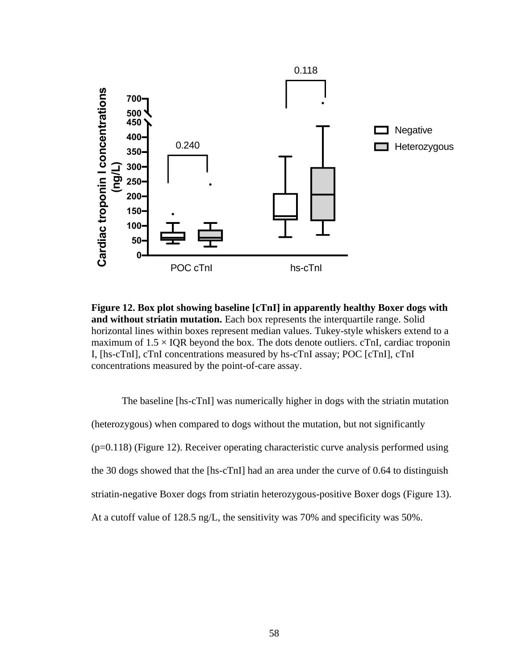

**Figure 12. Box plot showing baseline [cTnI] in apparently healthy Boxer dogs with and without striatin mutation.** Each box represents the interquartile range. Solid horizontal lines within boxes represent median values. Tukey-style whiskers extend to a maximum of  $1.5 \times IQR$  beyond the box. The dots denote outliers. cTnI, cardiac troponin I, [hs-cTnI], cTnI concentrations measured by hs-cTnI assay; POC [cTnI], cTnI concentrations measured by the point-of-care assay.

The baseline [hs-cTnI] was numerically higher in dogs with the striatin mutation (heterozygous) when compared to dogs without the mutation, but not significantly (p=0.118) (Figure 12). Receiver operating characteristic curve analysis performed using the 30 dogs showed that the [hs-cTnI] had an area under the curve of 0.64 to distinguish striatin-negative Boxer dogs from striatin heterozygous-positive Boxer dogs (Figure 13). At a cutoff value of 128.5 ng/L, the sensitivity was 70% and specificity was 50%.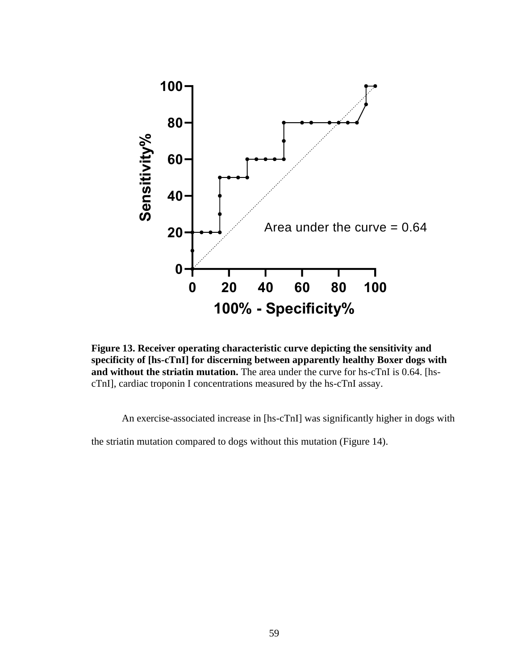

**Figure 13. Receiver operating characteristic curve depicting the sensitivity and specificity of [hs-cTnI] for discerning between apparently healthy Boxer dogs with and without the striatin mutation.** The area under the curve for hs-cTnI is 0.64. [hscTnI], cardiac troponin I concentrations measured by the hs-cTnI assay.

An exercise-associated increase in [hs-cTnI] was significantly higher in dogs with

the striatin mutation compared to dogs without this mutation (Figure 14).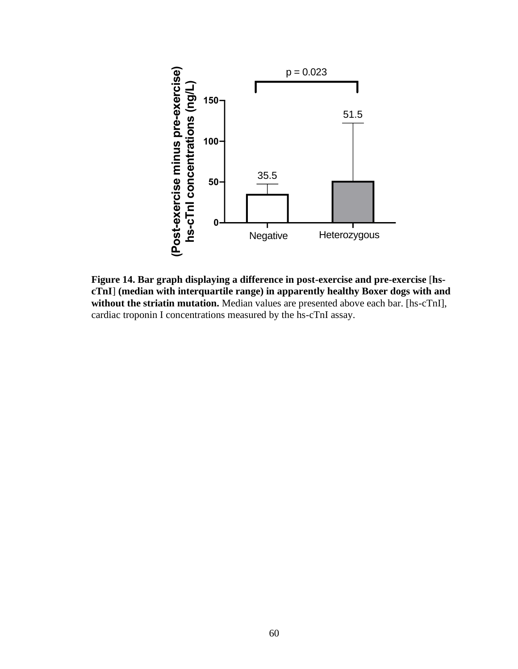

**Figure 14. Bar graph displaying a difference in post-exercise and pre-exercise** [**hscTnI**] **(median with interquartile range) in apparently healthy Boxer dogs with and**  without the striatin mutation. Median values are presented above each bar. [hs-cTnI], cardiac troponin I concentrations measured by the hs-cTnI assay.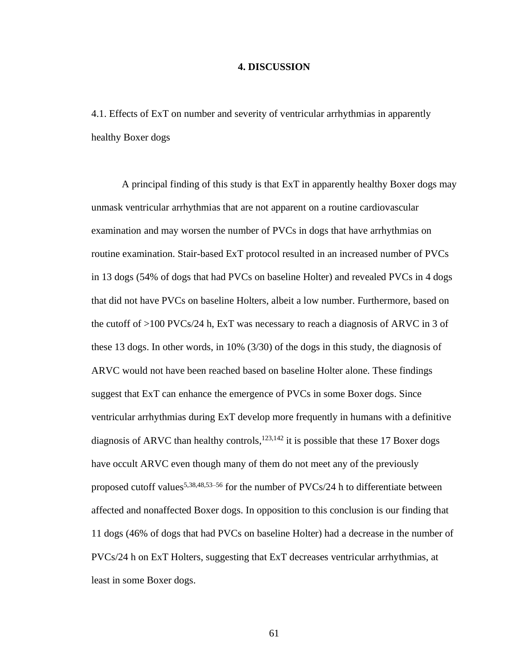### **4. DISCUSSION**

4.1. Effects of ExT on number and severity of ventricular arrhythmias in apparently healthy Boxer dogs

A principal finding of this study is that ExT in apparently healthy Boxer dogs may unmask ventricular arrhythmias that are not apparent on a routine cardiovascular examination and may worsen the number of PVCs in dogs that have arrhythmias on routine examination. Stair-based ExT protocol resulted in an increased number of PVCs in 13 dogs (54% of dogs that had PVCs on baseline Holter) and revealed PVCs in 4 dogs that did not have PVCs on baseline Holters, albeit a low number. Furthermore, based on the cutoff of  $>100$  PVCs/24 h, ExT was necessary to reach a diagnosis of ARVC in 3 of these 13 dogs. In other words, in 10% (3/30) of the dogs in this study, the diagnosis of ARVC would not have been reached based on baseline Holter alone. These findings suggest that ExT can enhance the emergence of PVCs in some Boxer dogs. Since ventricular arrhythmias during ExT develop more frequently in humans with a definitive diagnosis of ARVC than healthy controls,  $123,142$  it is possible that these 17 Boxer dogs have occult ARVC even though many of them do not meet any of the previously proposed cutoff values<sup>5,38,48,53–56</sup> for the number of PVCs/24 h to differentiate between affected and nonaffected Boxer dogs. In opposition to this conclusion is our finding that 11 dogs (46% of dogs that had PVCs on baseline Holter) had a decrease in the number of PVCs/24 h on ExT Holters, suggesting that ExT decreases ventricular arrhythmias, at least in some Boxer dogs.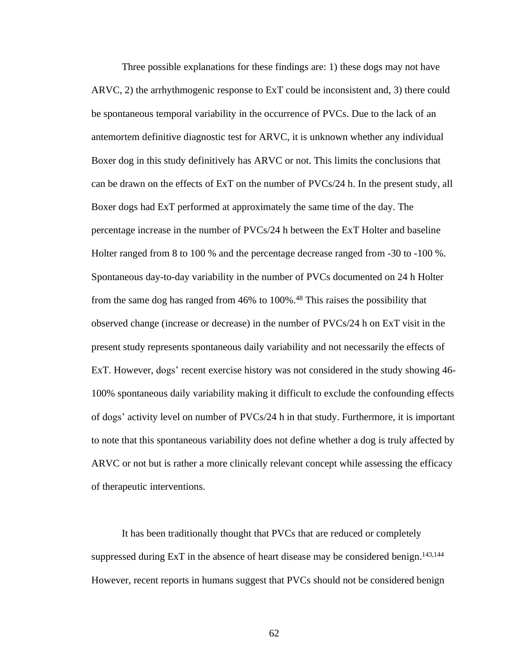Three possible explanations for these findings are: 1) these dogs may not have ARVC, 2) the arrhythmogenic response to ExT could be inconsistent and, 3) there could be spontaneous temporal variability in the occurrence of PVCs. Due to the lack of an antemortem definitive diagnostic test for ARVC, it is unknown whether any individual Boxer dog in this study definitively has ARVC or not. This limits the conclusions that can be drawn on the effects of ExT on the number of PVCs/24 h. In the present study, all Boxer dogs had ExT performed at approximately the same time of the day. The percentage increase in the number of PVCs/24 h between the ExT Holter and baseline Holter ranged from 8 to 100 % and the percentage decrease ranged from -30 to -100 %. Spontaneous day-to-day variability in the number of PVCs documented on 24 h Holter from the same dog has ranged from 46% to 100%. <sup>48</sup> This raises the possibility that observed change (increase or decrease) in the number of PVCs/24 h on ExT visit in the present study represents spontaneous daily variability and not necessarily the effects of ExT. However, dogs' recent exercise history was not considered in the study showing 46- 100% spontaneous daily variability making it difficult to exclude the confounding effects of dogs' activity level on number of PVCs/24 h in that study. Furthermore, it is important to note that this spontaneous variability does not define whether a dog is truly affected by ARVC or not but is rather a more clinically relevant concept while assessing the efficacy of therapeutic interventions.

It has been traditionally thought that PVCs that are reduced or completely suppressed during ExT in the absence of heart disease may be considered benign.<sup>143,144</sup> However, recent reports in humans suggest that PVCs should not be considered benign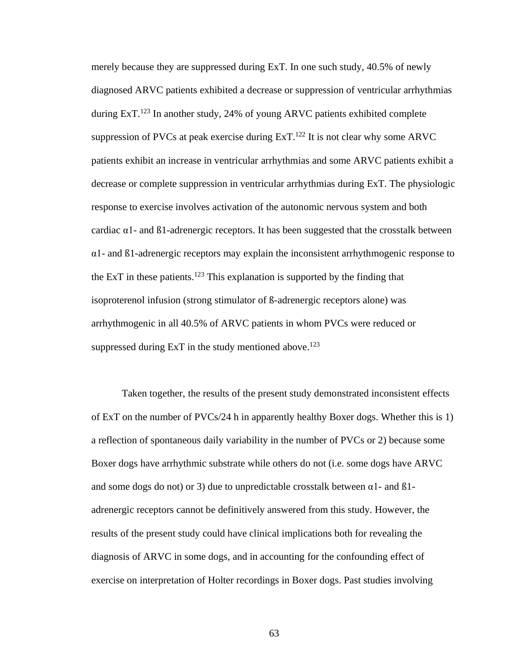merely because they are suppressed during ExT. In one such study, 40.5% of newly diagnosed ARVC patients exhibited a decrease or suppression of ventricular arrhythmias during ExT.<sup>123</sup> In another study, 24% of young ARVC patients exhibited complete suppression of PVCs at peak exercise during  $ExT<sup>122</sup>$  It is not clear why some ARVC patients exhibit an increase in ventricular arrhythmias and some ARVC patients exhibit a decrease or complete suppression in ventricular arrhythmias during ExT. The physiologic response to exercise involves activation of the autonomic nervous system and both cardiac  $\alpha$ 1- and  $\beta$ 1-adrenergic receptors. It has been suggested that the crosstalk between  $\alpha$ 1- and  $\beta$ 1-adrenergic receptors may explain the inconsistent arrhythmogenic response to the ExT in these patients.<sup>123</sup> This explanation is supported by the finding that isoproterenol infusion (strong stimulator of ß-adrenergic receptors alone) was arrhythmogenic in all 40.5% of ARVC patients in whom PVCs were reduced or suppressed during ExT in the study mentioned above.<sup>123</sup>

Taken together, the results of the present study demonstrated inconsistent effects of ExT on the number of PVCs/24 h in apparently healthy Boxer dogs. Whether this is 1) a reflection of spontaneous daily variability in the number of PVCs or 2) because some Boxer dogs have arrhythmic substrate while others do not (i.e. some dogs have ARVC and some dogs do not) or 3) due to unpredictable crosstalk between  $\alpha$ 1- and  $\beta$ 1adrenergic receptors cannot be definitively answered from this study. However, the results of the present study could have clinical implications both for revealing the diagnosis of ARVC in some dogs, and in accounting for the confounding effect of exercise on interpretation of Holter recordings in Boxer dogs. Past studies involving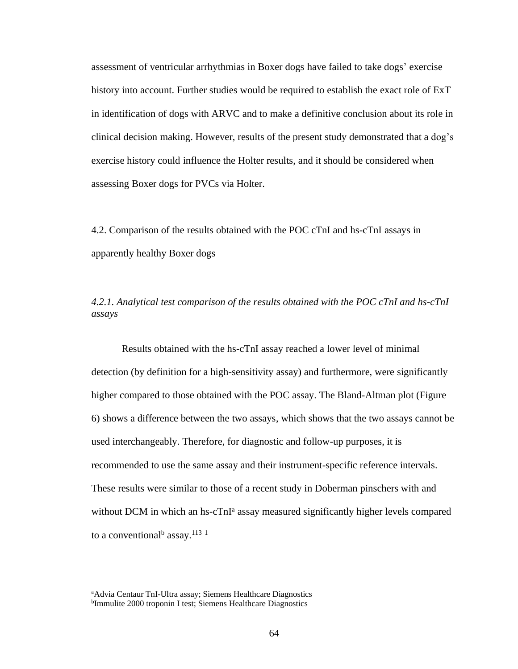assessment of ventricular arrhythmias in Boxer dogs have failed to take dogs' exercise history into account. Further studies would be required to establish the exact role of ExT in identification of dogs with ARVC and to make a definitive conclusion about its role in clinical decision making. However, results of the present study demonstrated that a dog's exercise history could influence the Holter results, and it should be considered when assessing Boxer dogs for PVCs via Holter.

4.2. Comparison of the results obtained with the POC cTnI and hs-cTnI assays in apparently healthy Boxer dogs

# *4.2.1. Analytical test comparison of the results obtained with the POC cTnI and hs-cTnI assays*

Results obtained with the hs-cTnI assay reached a lower level of minimal detection (by definition for a high-sensitivity assay) and furthermore, were significantly higher compared to those obtained with the POC assay. The Bland-Altman plot (Figure 6) shows a difference between the two assays, which shows that the two assays cannot be used interchangeably. Therefore, for diagnostic and follow-up purposes, it is recommended to use the same assay and their instrument-specific reference intervals. These results were similar to those of a recent study in Doberman pinschers with and without DCM in which an hs-cTnI<sup>a</sup> assay measured significantly higher levels compared to a conventional<sup>b</sup> assay.<sup>113</sup> <sup>1</sup>

<sup>a</sup>Advia Centaur TnI-Ultra assay; Siemens Healthcare Diagnostics <sup>b</sup>Immulite 2000 troponin I test; Siemens Healthcare Diagnostics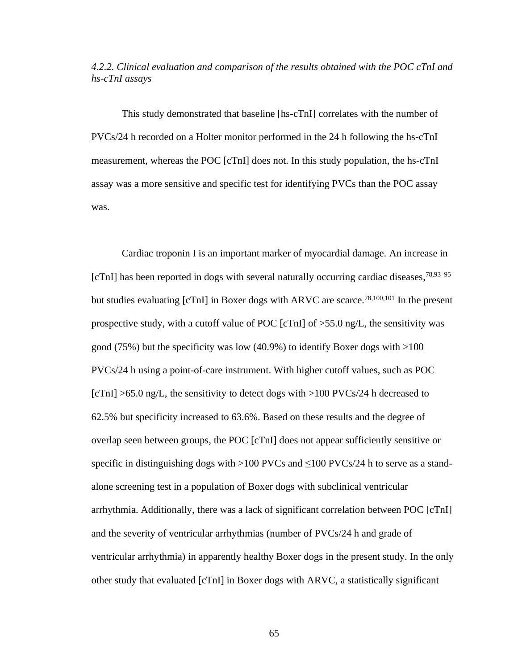*4.2.2. Clinical evaluation and comparison of the results obtained with the POC cTnI and hs-cTnI assays*

This study demonstrated that baseline [hs-cTnI] correlates with the number of PVCs/24 h recorded on a Holter monitor performed in the 24 h following the hs-cTnI measurement, whereas the POC [cTnI] does not. In this study population, the hs-cTnI assay was a more sensitive and specific test for identifying PVCs than the POC assay was.

Cardiac troponin I is an important marker of myocardial damage. An increase in [cTnI] has been reported in dogs with several naturally occurring cardiac diseases,<sup>78,93–95</sup> but studies evaluating [cTnI] in Boxer dogs with ARVC are scarce.<sup>78,100,101</sup> In the present prospective study, with a cutoff value of POC [cTnI] of  $>55.0$  ng/L, the sensitivity was good (75%) but the specificity was low (40.9%) to identify Boxer dogs with  $>100$ PVCs/24 h using a point-of-care instrument. With higher cutoff values, such as POC  $[cTnI] > 65.0$  ng/L, the sensitivity to detect dogs with  $>100$  PVCs/24 h decreased to 62.5% but specificity increased to 63.6%. Based on these results and the degree of overlap seen between groups, the POC [cTnI] does not appear sufficiently sensitive or specific in distinguishing dogs with >100 PVCs and  $\leq$ 100 PVCs/24 h to serve as a standalone screening test in a population of Boxer dogs with subclinical ventricular arrhythmia. Additionally, there was a lack of significant correlation between POC [cTnI] and the severity of ventricular arrhythmias (number of PVCs/24 h and grade of ventricular arrhythmia) in apparently healthy Boxer dogs in the present study. In the only other study that evaluated [cTnI] in Boxer dogs with ARVC, a statistically significant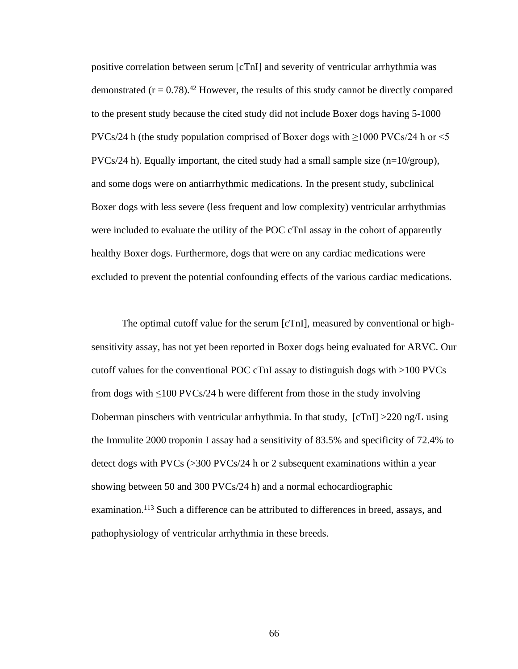positive correlation between serum [cTnI] and severity of ventricular arrhythmia was demonstrated  $(r = 0.78)$ .<sup>42</sup> However, the results of this study cannot be directly compared to the present study because the cited study did not include Boxer dogs having 5-1000 PVCs/24 h (the study population comprised of Boxer dogs with  $\geq$ 1000 PVCs/24 h or <5 PVCs/24 h). Equally important, the cited study had a small sample size ( $n=10$ /group), and some dogs were on antiarrhythmic medications. In the present study, subclinical Boxer dogs with less severe (less frequent and low complexity) ventricular arrhythmias were included to evaluate the utility of the POC cTnI assay in the cohort of apparently healthy Boxer dogs. Furthermore, dogs that were on any cardiac medications were excluded to prevent the potential confounding effects of the various cardiac medications.

The optimal cutoff value for the serum [cTnI], measured by conventional or highsensitivity assay, has not yet been reported in Boxer dogs being evaluated for ARVC. Our cutoff values for the conventional POC cTnI assay to distinguish dogs with >100 PVCs from dogs with  $\leq 100$  PVCs/24 h were different from those in the study involving Doberman pinschers with ventricular arrhythmia. In that study, [cTnI] >220 ng/L using the Immulite 2000 troponin I assay had a sensitivity of 83.5% and specificity of 72.4% to detect dogs with PVCs (>300 PVCs/24 h or 2 subsequent examinations within a year showing between 50 and 300 PVCs/24 h) and a normal echocardiographic examination.<sup>113</sup> Such a difference can be attributed to differences in breed, assays, and pathophysiology of ventricular arrhythmia in these breeds.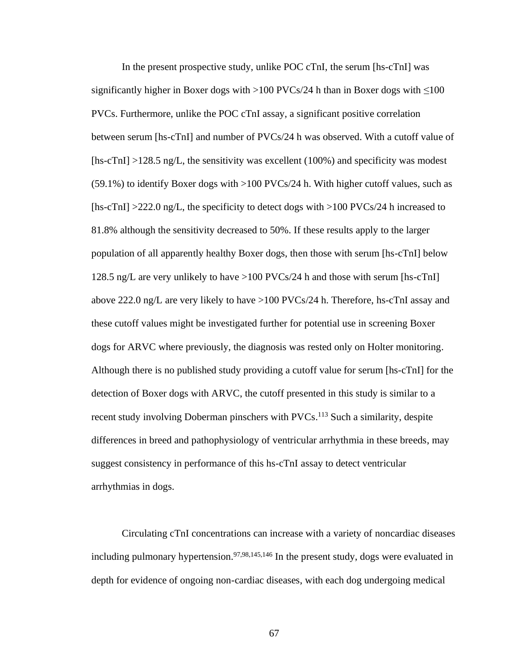In the present prospective study, unlike POC cTnI, the serum [hs-cTnI] was significantly higher in Boxer dogs with >100 PVCs/24 h than in Boxer dogs with  $\leq$ 100 PVCs. Furthermore, unlike the POC cTnI assay, a significant positive correlation between serum [hs-cTnI] and number of PVCs/24 h was observed. With a cutoff value of [hs-cTnI] >128.5 ng/L, the sensitivity was excellent (100%) and specificity was modest  $(59.1\%)$  to identify Boxer dogs with  $>100$  PVCs/24 h. With higher cutoff values, such as [hs-cTnI] >222.0 ng/L, the specificity to detect dogs with >100 PVCs/24 h increased to 81.8% although the sensitivity decreased to 50%. If these results apply to the larger population of all apparently healthy Boxer dogs, then those with serum [hs-cTnI] below 128.5 ng/L are very unlikely to have >100 PVCs/24 h and those with serum [hs-cTnI] above 222.0 ng/L are very likely to have >100 PVCs/24 h. Therefore, hs-cTnI assay and these cutoff values might be investigated further for potential use in screening Boxer dogs for ARVC where previously, the diagnosis was rested only on Holter monitoring. Although there is no published study providing a cutoff value for serum [hs-cTnI] for the detection of Boxer dogs with ARVC, the cutoff presented in this study is similar to a recent study involving Doberman pinschers with PVCs.<sup>113</sup> Such a similarity, despite differences in breed and pathophysiology of ventricular arrhythmia in these breeds, may suggest consistency in performance of this hs-cTnI assay to detect ventricular arrhythmias in dogs.

Circulating cTnI concentrations can increase with a variety of noncardiac diseases including pulmonary hypertension.<sup>97,98,145,146</sup> In the present study, dogs were evaluated in depth for evidence of ongoing non-cardiac diseases, with each dog undergoing medical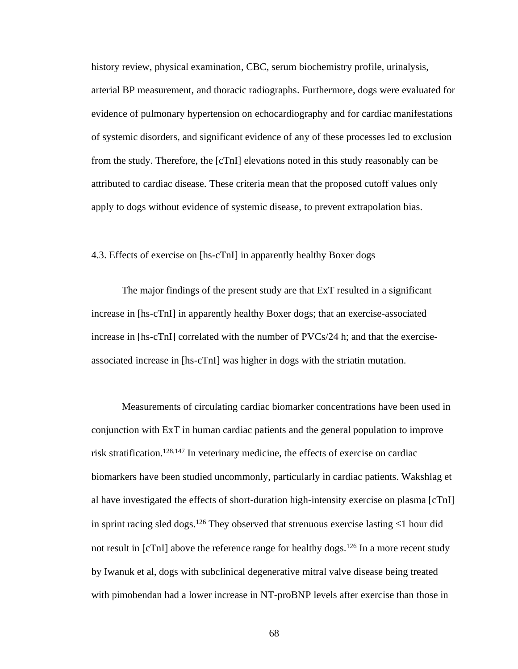history review, physical examination, CBC, serum biochemistry profile, urinalysis, arterial BP measurement, and thoracic radiographs. Furthermore, dogs were evaluated for evidence of pulmonary hypertension on echocardiography and for cardiac manifestations of systemic disorders, and significant evidence of any of these processes led to exclusion from the study. Therefore, the [cTnI] elevations noted in this study reasonably can be attributed to cardiac disease. These criteria mean that the proposed cutoff values only apply to dogs without evidence of systemic disease, to prevent extrapolation bias.

# 4.3. Effects of exercise on [hs-cTnI] in apparently healthy Boxer dogs

The major findings of the present study are that ExT resulted in a significant increase in [hs-cTnI] in apparently healthy Boxer dogs; that an exercise-associated increase in [hs-cTnI] correlated with the number of PVCs/24 h; and that the exerciseassociated increase in [hs-cTnI] was higher in dogs with the striatin mutation.

Measurements of circulating cardiac biomarker concentrations have been used in conjunction with ExT in human cardiac patients and the general population to improve risk stratification.128,147 In veterinary medicine, the effects of exercise on cardiac biomarkers have been studied uncommonly, particularly in cardiac patients. Wakshlag et al have investigated the effects of short-duration high-intensity exercise on plasma [cTnI] in sprint racing sled dogs.<sup>126</sup> They observed that strenuous exercise lasting  $\leq 1$  hour did not result in  $\lbrack cTnI \rbrack$  above the reference range for healthy dogs.<sup>126</sup> In a more recent study by Iwanuk et al, dogs with subclinical degenerative mitral valve disease being treated with pimobendan had a lower increase in NT-proBNP levels after exercise than those in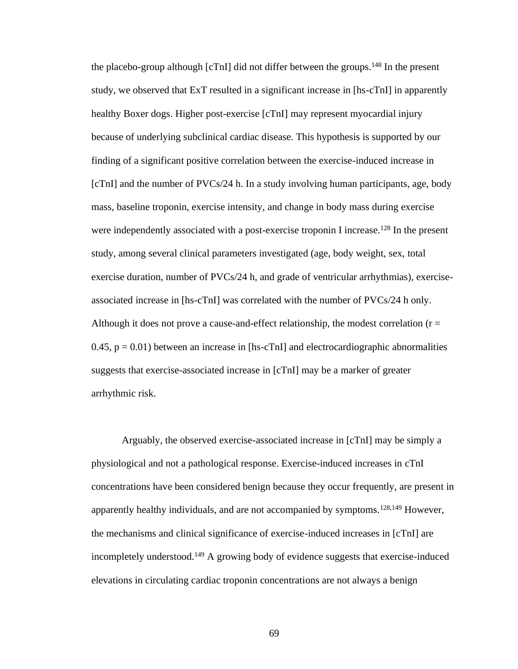the placebo-group although  $\lceil cTn \rceil$  did not differ between the groups.<sup>148</sup> In the present study, we observed that ExT resulted in a significant increase in [hs-cTnI] in apparently healthy Boxer dogs. Higher post-exercise [cTnI] may represent myocardial injury because of underlying subclinical cardiac disease. This hypothesis is supported by our finding of a significant positive correlation between the exercise-induced increase in [cTnI] and the number of PVCs/24 h. In a study involving human participants, age, body mass, baseline troponin, exercise intensity, and change in body mass during exercise were independently associated with a post-exercise troponin I increase.<sup>128</sup> In the present study, among several clinical parameters investigated (age, body weight, sex, total exercise duration, number of PVCs/24 h, and grade of ventricular arrhythmias), exerciseassociated increase in [hs-cTnI] was correlated with the number of PVCs/24 h only. Although it does not prove a cause-and-effect relationship, the modest correlation ( $r =$ 0.45,  $p = 0.01$ ) between an increase in [hs-cTnI] and electrocardiographic abnormalities suggests that exercise-associated increase in [cTnI] may be a marker of greater arrhythmic risk.

Arguably, the observed exercise-associated increase in [cTnI] may be simply a physiological and not a pathological response. Exercise-induced increases in cTnI concentrations have been considered benign because they occur frequently, are present in apparently healthy individuals, and are not accompanied by symptoms.<sup>128,149</sup> However, the mechanisms and clinical significance of exercise-induced increases in [cTnI] are incompletely understood.<sup>149</sup> A growing body of evidence suggests that exercise-induced elevations in circulating cardiac troponin concentrations are not always a benign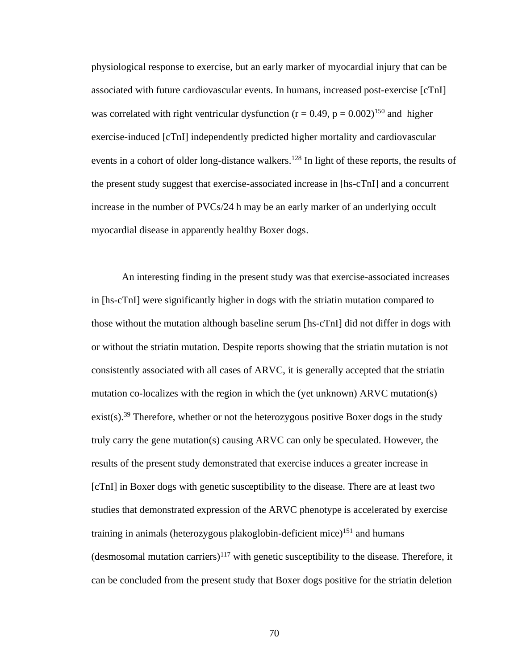physiological response to exercise, but an early marker of myocardial injury that can be associated with future cardiovascular events. In humans, increased post-exercise [cTnI] was correlated with right ventricular dysfunction ( $r = 0.49$ ,  $p = 0.002$ )<sup>150</sup> and higher exercise-induced [cTnI] independently predicted higher mortality and cardiovascular events in a cohort of older long-distance walkers.<sup>128</sup> In light of these reports, the results of the present study suggest that exercise-associated increase in [hs-cTnI] and a concurrent increase in the number of PVCs/24 h may be an early marker of an underlying occult myocardial disease in apparently healthy Boxer dogs.

An interesting finding in the present study was that exercise-associated increases in [hs-cTnI] were significantly higher in dogs with the striatin mutation compared to those without the mutation although baseline serum [hs-cTnI] did not differ in dogs with or without the striatin mutation. Despite reports showing that the striatin mutation is not consistently associated with all cases of ARVC, it is generally accepted that the striatin mutation co-localizes with the region in which the (yet unknown) ARVC mutation(s)  $exist(s).$ <sup>39</sup> Therefore, whether or not the heterozygous positive Boxer dogs in the study truly carry the gene mutation(s) causing ARVC can only be speculated. However, the results of the present study demonstrated that exercise induces a greater increase in [cTnI] in Boxer dogs with genetic susceptibility to the disease. There are at least two studies that demonstrated expression of the ARVC phenotype is accelerated by exercise training in animals (heterozygous plakoglobin-deficient mice)<sup>151</sup> and humans (desmosomal mutation carriers)<sup>117</sup> with genetic susceptibility to the disease. Therefore, it can be concluded from the present study that Boxer dogs positive for the striatin deletion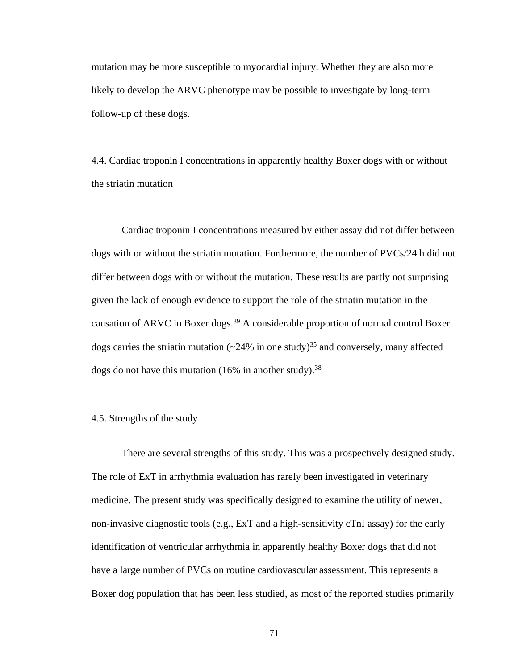mutation may be more susceptible to myocardial injury. Whether they are also more likely to develop the ARVC phenotype may be possible to investigate by long-term follow-up of these dogs.

4.4. Cardiac troponin I concentrations in apparently healthy Boxer dogs with or without the striatin mutation

Cardiac troponin I concentrations measured by either assay did not differ between dogs with or without the striatin mutation. Furthermore, the number of PVCs/24 h did not differ between dogs with or without the mutation. These results are partly not surprising given the lack of enough evidence to support the role of the striatin mutation in the causation of ARVC in Boxer dogs.<sup>39</sup> A considerable proportion of normal control Boxer dogs carries the striatin mutation  $({}_{24\%}$  in one study)<sup>35</sup> and conversely, many affected dogs do not have this mutation (16% in another study).  $38$ 

## 4.5. Strengths of the study

There are several strengths of this study. This was a prospectively designed study. The role of ExT in arrhythmia evaluation has rarely been investigated in veterinary medicine. The present study was specifically designed to examine the utility of newer, non-invasive diagnostic tools (e.g., ExT and a high-sensitivity cTnI assay) for the early identification of ventricular arrhythmia in apparently healthy Boxer dogs that did not have a large number of PVCs on routine cardiovascular assessment. This represents a Boxer dog population that has been less studied, as most of the reported studies primarily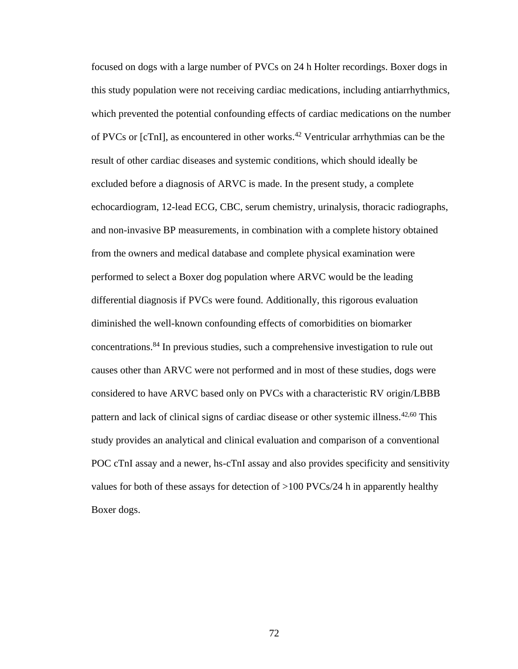focused on dogs with a large number of PVCs on 24 h Holter recordings. Boxer dogs in this study population were not receiving cardiac medications, including antiarrhythmics, which prevented the potential confounding effects of cardiac medications on the number of PVCs or [cTnI], as encountered in other works.<sup>42</sup> Ventricular arrhythmias can be the result of other cardiac diseases and systemic conditions, which should ideally be excluded before a diagnosis of ARVC is made. In the present study, a complete echocardiogram, 12-lead ECG, CBC, serum chemistry, urinalysis, thoracic radiographs, and non-invasive BP measurements, in combination with a complete history obtained from the owners and medical database and complete physical examination were performed to select a Boxer dog population where ARVC would be the leading differential diagnosis if PVCs were found. Additionally, this rigorous evaluation diminished the well-known confounding effects of comorbidities on biomarker concentrations.<sup>84</sup> In previous studies, such a comprehensive investigation to rule out causes other than ARVC were not performed and in most of these studies, dogs were considered to have ARVC based only on PVCs with a characteristic RV origin/LBBB pattern and lack of clinical signs of cardiac disease or other systemic illness.42,60 This study provides an analytical and clinical evaluation and comparison of a conventional POC cTnI assay and a newer, hs-cTnI assay and also provides specificity and sensitivity values for both of these assays for detection of >100 PVCs/24 h in apparently healthy Boxer dogs.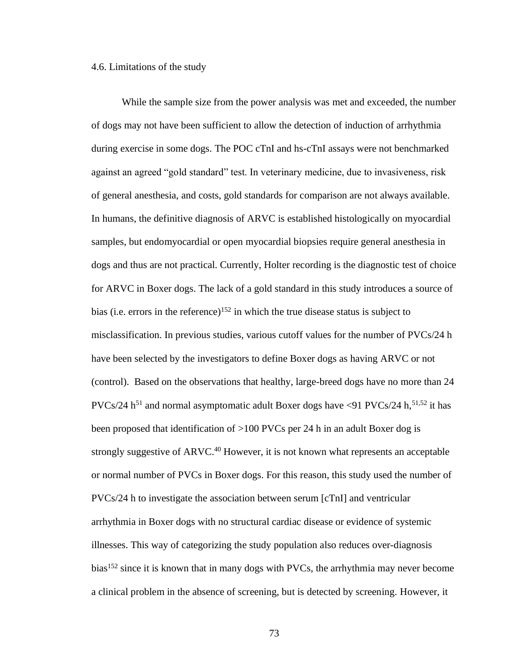#### 4.6. Limitations of the study

While the sample size from the power analysis was met and exceeded, the number of dogs may not have been sufficient to allow the detection of induction of arrhythmia during exercise in some dogs. The POC cTnI and hs-cTnI assays were not benchmarked against an agreed "gold standard" test. In veterinary medicine, due to invasiveness, risk of general anesthesia, and costs, gold standards for comparison are not always available. In humans, the definitive diagnosis of ARVC is established histologically on myocardial samples, but endomyocardial or open myocardial biopsies require general anesthesia in dogs and thus are not practical. Currently, Holter recording is the diagnostic test of choice for ARVC in Boxer dogs. The lack of a gold standard in this study introduces a source of bias (i.e. errors in the reference)<sup>152</sup> in which the true disease status is subject to misclassification. In previous studies, various cutoff values for the number of PVCs/24 h have been selected by the investigators to define Boxer dogs as having ARVC or not (control). Based on the observations that healthy, large-breed dogs have no more than 24  $PVCs/24 h<sup>51</sup>$  and normal asymptomatic adult Boxer dogs have <91 PVCs/24 h,  $51,52$  it has been proposed that identification of >100 PVCs per 24 h in an adult Boxer dog is strongly suggestive of  $ARVC<sup>40</sup>$  However, it is not known what represents an acceptable or normal number of PVCs in Boxer dogs. For this reason, this study used the number of PVCs/24 h to investigate the association between serum [cTnI] and ventricular arrhythmia in Boxer dogs with no structural cardiac disease or evidence of systemic illnesses. This way of categorizing the study population also reduces over-diagnosis bias<sup>152</sup> since it is known that in many dogs with PVCs, the arrhythmia may never become a clinical problem in the absence of screening, but is detected by screening. However, it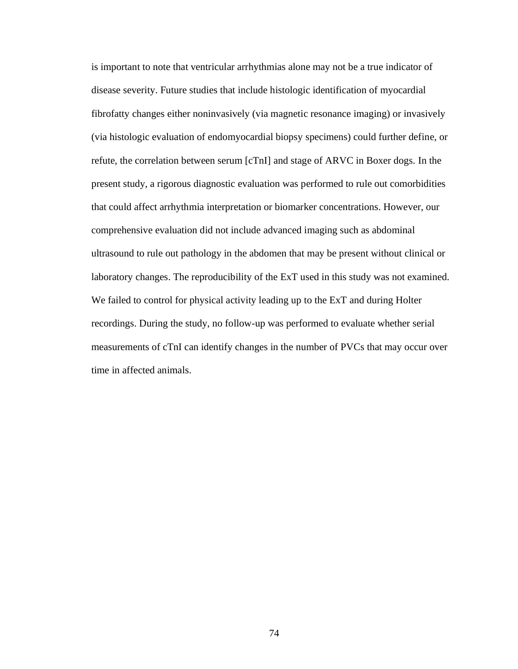is important to note that ventricular arrhythmias alone may not be a true indicator of disease severity. Future studies that include histologic identification of myocardial fibrofatty changes either noninvasively (via magnetic resonance imaging) or invasively (via histologic evaluation of endomyocardial biopsy specimens) could further define, or refute, the correlation between serum [cTnI] and stage of ARVC in Boxer dogs. In the present study, a rigorous diagnostic evaluation was performed to rule out comorbidities that could affect arrhythmia interpretation or biomarker concentrations. However, our comprehensive evaluation did not include advanced imaging such as abdominal ultrasound to rule out pathology in the abdomen that may be present without clinical or laboratory changes. The reproducibility of the ExT used in this study was not examined. We failed to control for physical activity leading up to the ExT and during Holter recordings. During the study, no follow-up was performed to evaluate whether serial measurements of cTnI can identify changes in the number of PVCs that may occur over time in affected animals.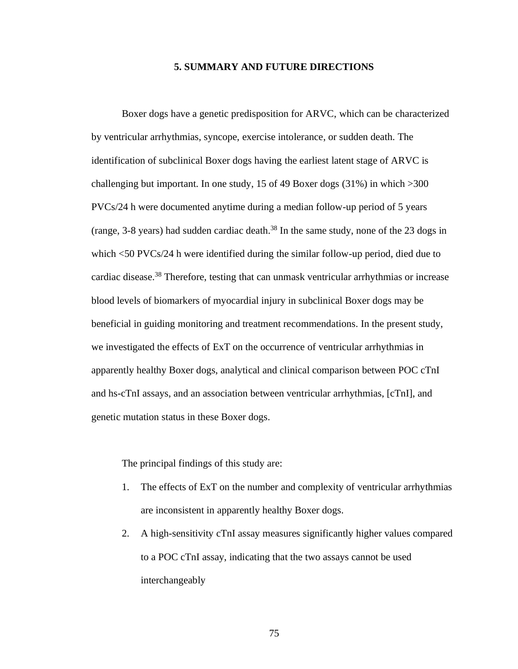### **5. SUMMARY AND FUTURE DIRECTIONS**

Boxer dogs have a genetic predisposition for ARVC, which can be characterized by ventricular arrhythmias, syncope, exercise intolerance, or sudden death. The identification of subclinical Boxer dogs having the earliest latent stage of ARVC is challenging but important. In one study, 15 of 49 Boxer dogs (31%) in which >300 PVCs/24 h were documented anytime during a median follow-up period of 5 years (range, 3-8 years) had sudden cardiac death. <sup>38</sup> In the same study, none of the 23 dogs in which <50 PVCs/24 h were identified during the similar follow-up period, died due to cardiac disease.<sup>38</sup> Therefore, testing that can unmask ventricular arrhythmias or increase blood levels of biomarkers of myocardial injury in subclinical Boxer dogs may be beneficial in guiding monitoring and treatment recommendations. In the present study, we investigated the effects of ExT on the occurrence of ventricular arrhythmias in apparently healthy Boxer dogs, analytical and clinical comparison between POC cTnI and hs-cTnI assays, and an association between ventricular arrhythmias, [cTnI], and genetic mutation status in these Boxer dogs.

The principal findings of this study are:

- 1. The effects of ExT on the number and complexity of ventricular arrhythmias are inconsistent in apparently healthy Boxer dogs.
- 2. A high-sensitivity cTnI assay measures significantly higher values compared to a POC cTnI assay, indicating that the two assays cannot be used interchangeably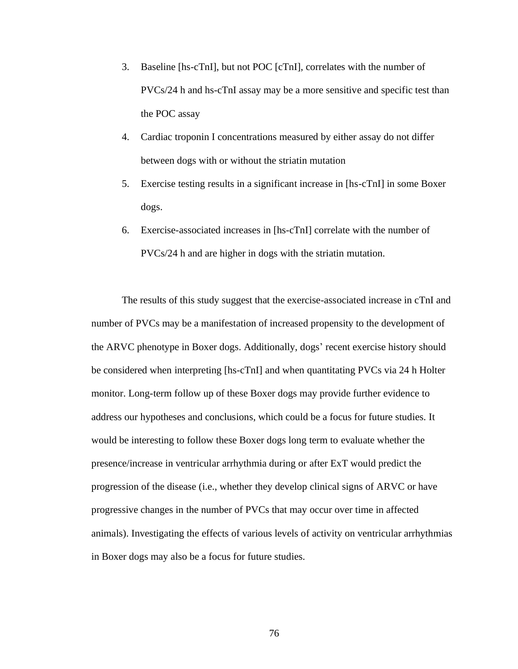- 3. Baseline [hs-cTnI], but not POC [cTnI], correlates with the number of PVCs/24 h and hs-cTnI assay may be a more sensitive and specific test than the POC assay
- 4. Cardiac troponin I concentrations measured by either assay do not differ between dogs with or without the striatin mutation
- 5. Exercise testing results in a significant increase in [hs-cTnI] in some Boxer dogs.
- 6. Exercise-associated increases in [hs-cTnI] correlate with the number of PVCs/24 h and are higher in dogs with the striatin mutation.

The results of this study suggest that the exercise-associated increase in cTnI and number of PVCs may be a manifestation of increased propensity to the development of the ARVC phenotype in Boxer dogs. Additionally, dogs' recent exercise history should be considered when interpreting [hs-cTnI] and when quantitating PVCs via 24 h Holter monitor. Long-term follow up of these Boxer dogs may provide further evidence to address our hypotheses and conclusions, which could be a focus for future studies. It would be interesting to follow these Boxer dogs long term to evaluate whether the presence/increase in ventricular arrhythmia during or after ExT would predict the progression of the disease (i.e., whether they develop clinical signs of ARVC or have progressive changes in the number of PVCs that may occur over time in affected animals). Investigating the effects of various levels of activity on ventricular arrhythmias in Boxer dogs may also be a focus for future studies.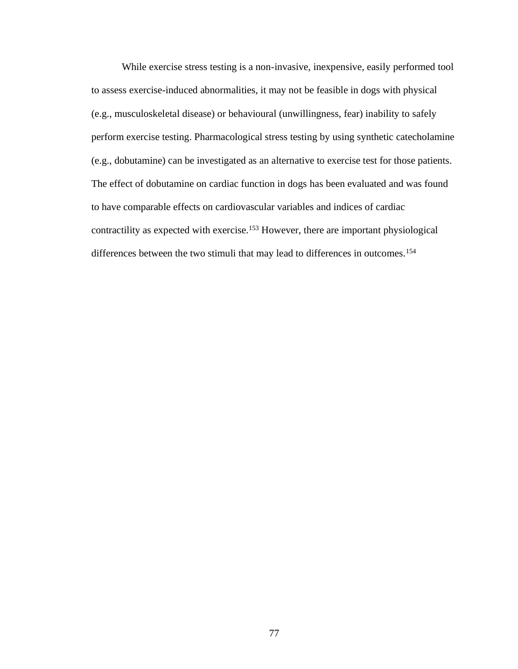While exercise stress testing is a non-invasive, inexpensive, easily performed tool to assess exercise-induced abnormalities, it may not be feasible in dogs with physical (e.g., musculoskeletal disease) or behavioural (unwillingness, fear) inability to safely perform exercise testing. Pharmacological stress testing by using synthetic catecholamine (e.g., dobutamine) can be investigated as an alternative to exercise test for those patients. The effect of dobutamine on cardiac function in dogs has been evaluated and was found to have comparable effects on cardiovascular variables and indices of cardiac contractility as expected with exercise.<sup>153</sup> However, there are important physiological differences between the two stimuli that may lead to differences in outcomes.<sup>154</sup>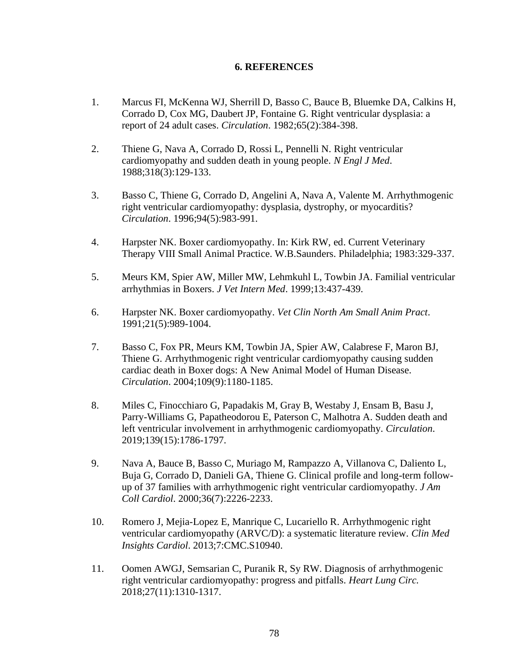# **6. REFERENCES**

- 1. Marcus FI, McKenna WJ, Sherrill D, Basso C, Bauce B, Bluemke DA, Calkins H, Corrado D, Cox MG, Daubert JP, Fontaine G. Right ventricular dysplasia: a report of 24 adult cases. *Circulation*. 1982;65(2):384-398.
- 2. Thiene G, Nava A, Corrado D, Rossi L, Pennelli N. Right ventricular cardiomyopathy and sudden death in young people. *N Engl J Med*. 1988;318(3):129-133.
- 3. Basso C, Thiene G, Corrado D, Angelini A, Nava A, Valente M. Arrhythmogenic right ventricular cardiomyopathy: dysplasia, dystrophy, or myocarditis? *Circulation*. 1996;94(5):983-991.
- 4. Harpster NK. Boxer cardiomyopathy. In: Kirk RW, ed. Current Veterinary Therapy VIII Small Animal Practice. W.B.Saunders. Philadelphia; 1983:329-337.
- 5. Meurs KM, Spier AW, Miller MW, Lehmkuhl L, Towbin JA. Familial ventricular arrhythmias in Boxers. *J Vet Intern Med*. 1999;13:437-439.
- 6. Harpster NK. Boxer cardiomyopathy. *Vet Clin North Am Small Anim Pract*. 1991;21(5):989-1004.
- 7. Basso C, Fox PR, Meurs KM, Towbin JA, Spier AW, Calabrese F, Maron BJ, Thiene G. Arrhythmogenic right ventricular cardiomyopathy causing sudden cardiac death in Boxer dogs: A New Animal Model of Human Disease. *Circulation*. 2004;109(9):1180-1185.
- 8. Miles C, Finocchiaro G, Papadakis M, Gray B, Westaby J, Ensam B, Basu J, Parry-Williams G, Papatheodorou E, Paterson C, Malhotra A. Sudden death and left ventricular involvement in arrhythmogenic cardiomyopathy. *Circulation*. 2019;139(15):1786-1797.
- 9. Nava A, Bauce B, Basso C, Muriago M, Rampazzo A, Villanova C, Daliento L, Buja G, Corrado D, Danieli GA, Thiene G. Clinical profile and long-term followup of 37 families with arrhythmogenic right ventricular cardiomyopathy. *J Am Coll Cardiol*. 2000;36(7):2226-2233.
- 10. Romero J, Mejia-Lopez E, Manrique C, Lucariello R. Arrhythmogenic right ventricular cardiomyopathy (ARVC/D): a systematic literature review. *Clin Med Insights Cardiol*. 2013;7:CMC.S10940.
- 11. Oomen AWGJ, Semsarian C, Puranik R, Sy RW. Diagnosis of arrhythmogenic right ventricular cardiomyopathy: progress and pitfalls. *Heart Lung Circ.* 2018;27(11):1310-1317.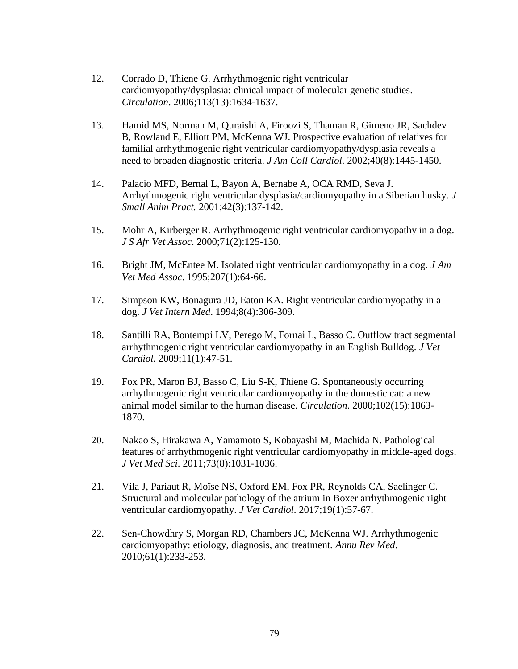- 12. Corrado D, Thiene G. Arrhythmogenic right ventricular cardiomyopathy/dysplasia: clinical impact of molecular genetic studies. *Circulation*. 2006;113(13):1634-1637.
- 13. Hamid MS, Norman M, Quraishi A, Firoozi S, Thaman R, Gimeno JR, Sachdev B, Rowland E, Elliott PM, McKenna WJ. Prospective evaluation of relatives for familial arrhythmogenic right ventricular cardiomyopathy/dysplasia reveals a need to broaden diagnostic criteria. *J Am Coll Cardiol*. 2002;40(8):1445-1450.
- 14. Palacio MFD, Bernal L, Bayon A, Bernabe A, OCA RMD, Seva J. Arrhythmogenic right ventricular dysplasia/cardiomyopathy in a Siberian husky. *J Small Anim Pract.* 2001;42(3):137-142.
- 15. Mohr A, Kirberger R. Arrhythmogenic right ventricular cardiomyopathy in a dog. *J S Afr Vet Assoc*. 2000;71(2):125-130.
- 16. Bright JM, McEntee M. Isolated right ventricular cardiomyopathy in a dog. *J Am Vet Med Assoc*. 1995;207(1):64-66.
- 17. Simpson KW, Bonagura JD, Eaton KA. Right ventricular cardiomyopathy in a dog. *J Vet Intern Med*. 1994;8(4):306-309.
- 18. Santilli RA, Bontempi LV, Perego M, Fornai L, Basso C. Outflow tract segmental arrhythmogenic right ventricular cardiomyopathy in an English Bulldog. *J Vet Cardiol.* 2009;11(1):47-51.
- 19. Fox PR, Maron BJ, Basso C, Liu S-K, Thiene G. Spontaneously occurring arrhythmogenic right ventricular cardiomyopathy in the domestic cat: a new animal model similar to the human disease. *Circulation*. 2000;102(15):1863- 1870.
- 20. Nakao S, Hirakawa A, Yamamoto S, Kobayashi M, Machida N. Pathological features of arrhythmogenic right ventricular cardiomyopathy in middle-aged dogs. *J Vet Med Sci*. 2011;73(8):1031-1036.
- 21. Vila J, Pariaut R, Moïse NS, Oxford EM, Fox PR, Reynolds CA, Saelinger C. Structural and molecular pathology of the atrium in Boxer arrhythmogenic right ventricular cardiomyopathy. *J Vet Cardiol*. 2017;19(1):57-67.
- 22. Sen-Chowdhry S, Morgan RD, Chambers JC, McKenna WJ. Arrhythmogenic cardiomyopathy: etiology, diagnosis, and treatment. *Annu Rev Med*. 2010;61(1):233-253.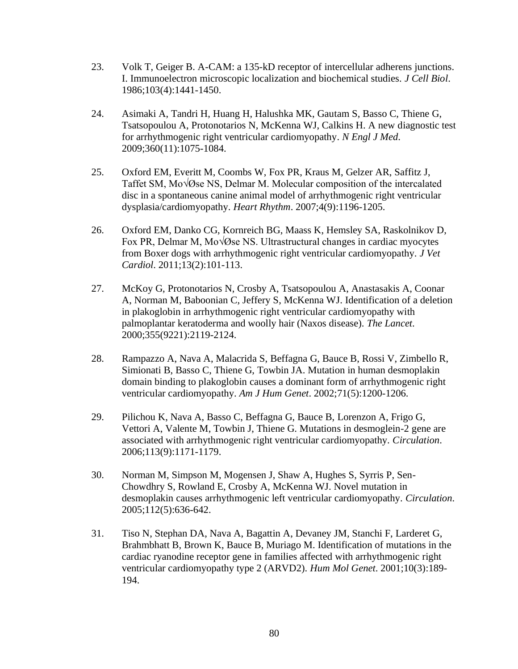- 23. Volk T, Geiger B. A-CAM: a 135-kD receptor of intercellular adherens junctions. I. Immunoelectron microscopic localization and biochemical studies. *J Cell Biol*. 1986;103(4):1441-1450.
- 24. Asimaki A, Tandri H, Huang H, Halushka MK, Gautam S, Basso C, Thiene G, Tsatsopoulou A, Protonotarios N, McKenna WJ, Calkins H. A new diagnostic test for arrhythmogenic right ventricular cardiomyopathy. *N Engl J Med*. 2009;360(11):1075-1084.
- 25. Oxford EM, Everitt M, Coombs W, Fox PR, Kraus M, Gelzer AR, Saffitz J, Taffet SM, Mo $\sqrt{Q}$ se NS, Delmar M. Molecular composition of the intercalated disc in a spontaneous canine animal model of arrhythmogenic right ventricular dysplasia/cardiomyopathy. *Heart Rhythm*. 2007;4(9):1196-1205.
- 26. Oxford EM, Danko CG, Kornreich BG, Maass K, Hemsley SA, Raskolnikov D, Fox PR, Delmar M, Mo $\sqrt{\omega}$ se NS. Ultrastructural changes in cardiac myocytes from Boxer dogs with arrhythmogenic right ventricular cardiomyopathy. *J Vet Cardiol*. 2011;13(2):101-113.
- 27. McKoy G, Protonotarios N, Crosby A, Tsatsopoulou A, Anastasakis A, Coonar A, Norman M, Baboonian C, Jeffery S, McKenna WJ. Identification of a deletion in plakoglobin in arrhythmogenic right ventricular cardiomyopathy with palmoplantar keratoderma and woolly hair (Naxos disease). *The Lancet*. 2000;355(9221):2119-2124.
- 28. Rampazzo A, Nava A, Malacrida S, Beffagna G, Bauce B, Rossi V, Zimbello R, Simionati B, Basso C, Thiene G, Towbin JA. Mutation in human desmoplakin domain binding to plakoglobin causes a dominant form of arrhythmogenic right ventricular cardiomyopathy. *Am J Hum Genet*. 2002;71(5):1200-1206.
- 29. Pilichou K, Nava A, Basso C, Beffagna G, Bauce B, Lorenzon A, Frigo G, Vettori A, Valente M, Towbin J, Thiene G. Mutations in desmoglein-2 gene are associated with arrhythmogenic right ventricular cardiomyopathy. *Circulation*. 2006;113(9):1171-1179.
- 30. Norman M, Simpson M, Mogensen J, Shaw A, Hughes S, Syrris P, Sen-Chowdhry S, Rowland E, Crosby A, McKenna WJ. Novel mutation in desmoplakin causes arrhythmogenic left ventricular cardiomyopathy. *Circulation*. 2005;112(5):636-642.
- 31. Tiso N, Stephan DA, Nava A, Bagattin A, Devaney JM, Stanchi F, Larderet G, Brahmbhatt B, Brown K, Bauce B, Muriago M. Identification of mutations in the cardiac ryanodine receptor gene in families affected with arrhythmogenic right ventricular cardiomyopathy type 2 (ARVD2). *Hum Mol Genet*. 2001;10(3):189- 194.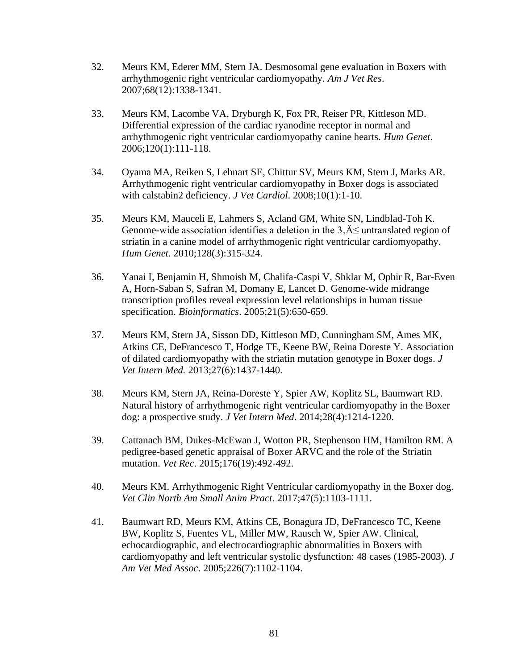- 32. Meurs KM, Ederer MM, Stern JA. Desmosomal gene evaluation in Boxers with arrhythmogenic right ventricular cardiomyopathy. *Am J Vet Res*. 2007;68(12):1338-1341.
- 33. Meurs KM, Lacombe VA, Dryburgh K, Fox PR, Reiser PR, Kittleson MD. Differential expression of the cardiac ryanodine receptor in normal and arrhythmogenic right ventricular cardiomyopathy canine hearts. *Hum Genet*. 2006;120(1):111-118.
- 34. Oyama MA, Reiken S, Lehnart SE, Chittur SV, Meurs KM, Stern J, Marks AR. Arrhythmogenic right ventricular cardiomyopathy in Boxer dogs is associated with calstabin2 deficiency. *J Vet Cardiol*. 2008;10(1):1-10.
- 35. Meurs KM, Mauceli E, Lahmers S, Acland GM, White SN, Lindblad-Toh K. Genome-wide association identifies a deletion in the  $3,\AA\leq$  untranslated region of striatin in a canine model of arrhythmogenic right ventricular cardiomyopathy. *Hum Genet*. 2010;128(3):315-324.
- 36. Yanai I, Benjamin H, Shmoish M, Chalifa-Caspi V, Shklar M, Ophir R, Bar-Even A, Horn-Saban S, Safran M, Domany E, Lancet D. Genome-wide midrange transcription profiles reveal expression level relationships in human tissue specification. *Bioinformatics*. 2005;21(5):650-659.
- 37. Meurs KM, Stern JA, Sisson DD, Kittleson MD, Cunningham SM, Ames MK, Atkins CE, DeFrancesco T, Hodge TE, Keene BW, Reina Doreste Y. Association of dilated cardiomyopathy with the striatin mutation genotype in Boxer dogs. *J Vet Intern Med.* 2013;27(6):1437-1440.
- 38. Meurs KM, Stern JA, Reina-Doreste Y, Spier AW, Koplitz SL, Baumwart RD. Natural history of arrhythmogenic right ventricular cardiomyopathy in the Boxer dog: a prospective study. *J Vet Intern Med*. 2014;28(4):1214-1220.
- 39. Cattanach BM, Dukes-McEwan J, Wotton PR, Stephenson HM, Hamilton RM. A pedigree-based genetic appraisal of Boxer ARVC and the role of the Striatin mutation. *Vet Rec*. 2015;176(19):492-492.
- 40. Meurs KM. Arrhythmogenic Right Ventricular cardiomyopathy in the Boxer dog. *Vet Clin North Am Small Anim Pract*. 2017;47(5):1103-1111.
- 41. Baumwart RD, Meurs KM, Atkins CE, Bonagura JD, DeFrancesco TC, Keene BW, Koplitz S, Fuentes VL, Miller MW, Rausch W, Spier AW. Clinical, echocardiographic, and electrocardiographic abnormalities in Boxers with cardiomyopathy and left ventricular systolic dysfunction: 48 cases (1985-2003). *J Am Vet Med Assoc*. 2005;226(7):1102-1104.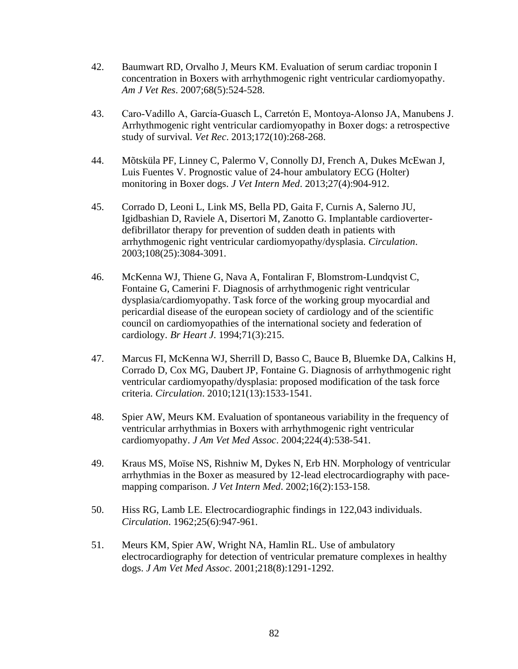- 42. Baumwart RD, Orvalho J, Meurs KM. Evaluation of serum cardiac troponin I concentration in Boxers with arrhythmogenic right ventricular cardiomyopathy. *Am J Vet Res*. 2007;68(5):524-528.
- 43. Caro‐Vadillo A, García‐Guasch L, Carretón E, Montoya‐Alonso JA, Manubens J. Arrhythmogenic right ventricular cardiomyopathy in Boxer dogs: a retrospective study of survival. *Vet Rec*. 2013;172(10):268-268.
- 44. Mõtsküla PF, Linney C, Palermo V, Connolly DJ, French A, Dukes McEwan J, Luis Fuentes V. Prognostic value of 24-hour ambulatory ECG (Holter) monitoring in Boxer dogs. *J Vet Intern Med*. 2013;27(4):904-912.
- 45. Corrado D, Leoni L, Link MS, Bella PD, Gaita F, Curnis A, Salerno JU, Igidbashian D, Raviele A, Disertori M, Zanotto G. Implantable cardioverterdefibrillator therapy for prevention of sudden death in patients with arrhythmogenic right ventricular cardiomyopathy/dysplasia. *Circulation*. 2003;108(25):3084-3091.
- 46. McKenna WJ, Thiene G, Nava A, Fontaliran F, Blomstrom-Lundqvist C, Fontaine G, Camerini F. Diagnosis of arrhythmogenic right ventricular dysplasia/cardiomyopathy. Task force of the working group myocardial and pericardial disease of the european society of cardiology and of the scientific council on cardiomyopathies of the international society and federation of cardiology. *Br Heart J*. 1994;71(3):215.
- 47. Marcus FI, McKenna WJ, Sherrill D, Basso C, Bauce B, Bluemke DA, Calkins H, Corrado D, Cox MG, Daubert JP, Fontaine G. Diagnosis of arrhythmogenic right ventricular cardiomyopathy/dysplasia: proposed modification of the task force criteria. *Circulation*. 2010;121(13):1533-1541.
- 48. Spier AW, Meurs KM. Evaluation of spontaneous variability in the frequency of ventricular arrhythmias in Boxers with arrhythmogenic right ventricular cardiomyopathy. *J Am Vet Med Assoc*. 2004;224(4):538-541.
- 49. Kraus MS, Moïse NS, Rishniw M, Dykes N, Erb HN. Morphology of ventricular arrhythmias in the Boxer as measured by 12-lead electrocardiography with pacemapping comparison. *J Vet Intern Med*. 2002;16(2):153-158.
- 50. Hiss RG, Lamb LE. Electrocardiographic findings in 122,043 individuals. *Circulation*. 1962;25(6):947-961.
- 51. Meurs KM, Spier AW, Wright NA, Hamlin RL. Use of ambulatory electrocardiography for detection of ventricular premature complexes in healthy dogs. *J Am Vet Med Assoc*. 2001;218(8):1291-1292.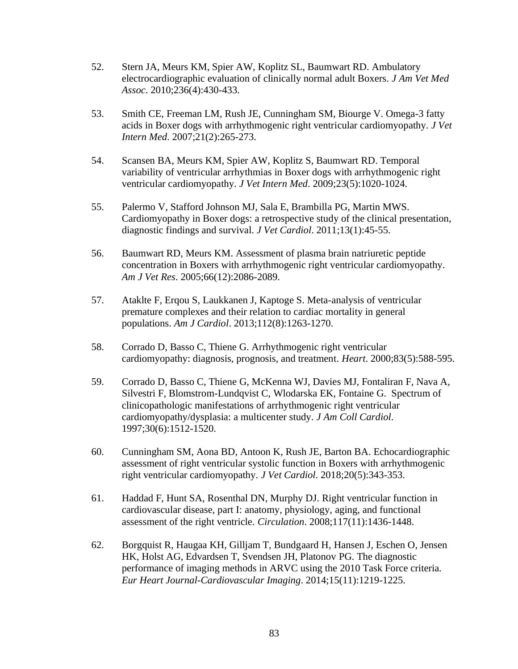- 52. Stern JA, Meurs KM, Spier AW, Koplitz SL, Baumwart RD. Ambulatory electrocardiographic evaluation of clinically normal adult Boxers. *J Am Vet Med Assoc*. 2010;236(4):430-433.
- 53. Smith CE, Freeman LM, Rush JE, Cunningham SM, Biourge V. Omega-3 fatty acids in Boxer dogs with arrhythmogenic right ventricular cardiomyopathy. *J Vet Intern Med*. 2007;21(2):265-273.
- 54. Scansen BA, Meurs KM, Spier AW, Koplitz S, Baumwart RD. Temporal variability of ventricular arrhythmias in Boxer dogs with arrhythmogenic right ventricular cardiomyopathy. *J Vet Intern Med*. 2009;23(5):1020-1024.
- 55. Palermo V, Stafford Johnson MJ, Sala E, Brambilla PG, Martin MWS. Cardiomyopathy in Boxer dogs: a retrospective study of the clinical presentation, diagnostic findings and survival. *J Vet Cardiol*. 2011;13(1):45-55.
- 56. Baumwart RD, Meurs KM. Assessment of plasma brain natriuretic peptide concentration in Boxers with arrhythmogenic right ventricular cardiomyopathy. *Am J Vet Res*. 2005;66(12):2086-2089.
- 57. Ataklte F, Erqou S, Laukkanen J, Kaptoge S. Meta-analysis of ventricular premature complexes and their relation to cardiac mortality in general populations. *Am J Cardiol*. 2013;112(8):1263-1270.
- 58. Corrado D, Basso C, Thiene G. Arrhythmogenic right ventricular cardiomyopathy: diagnosis, prognosis, and treatment. *Heart*. 2000;83(5):588-595.
- 59. Corrado D, Basso C, Thiene G, McKenna WJ, Davies MJ, Fontaliran F, Nava A, Silvestri F, Blomstrom-Lundqvist C, Wlodarska EK, Fontaine G. Spectrum of clinicopathologic manifestations of arrhythmogenic right ventricular cardiomyopathy/dysplasia: a multicenter study. *J Am Coll Cardiol*. 1997;30(6):1512-1520.
- 60. Cunningham SM, Aona BD, Antoon K, Rush JE, Barton BA. Echocardiographic assessment of right ventricular systolic function in Boxers with arrhythmogenic right ventricular cardiomyopathy. *J Vet Cardiol*. 2018;20(5):343-353.
- 61. Haddad F, Hunt SA, Rosenthal DN, Murphy DJ. Right ventricular function in cardiovascular disease, part I: anatomy, physiology, aging, and functional assessment of the right ventricle. *Circulation*. 2008;117(11):1436-1448.
- 62. Borgquist R, Haugaa KH, Gilljam T, Bundgaard H, Hansen J, Eschen O, Jensen HK, Holst AG, Edvardsen T, Svendsen JH, Platonov PG. The diagnostic performance of imaging methods in ARVC using the 2010 Task Force criteria. *Eur Heart Journal-Cardiovascular Imaging*. 2014;15(11):1219-1225.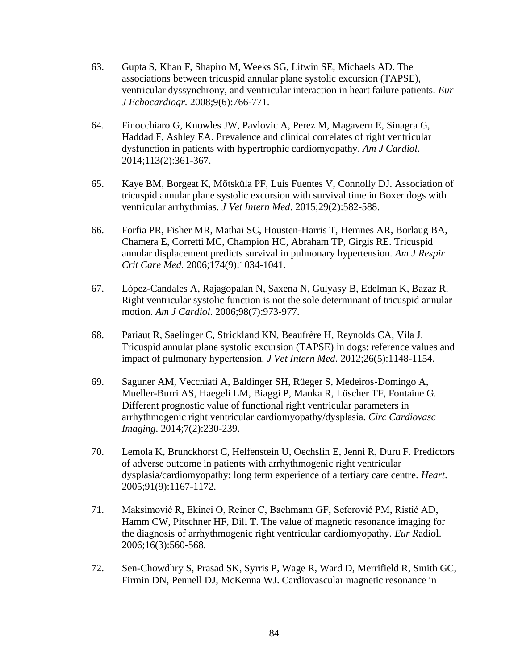- 63. Gupta S, Khan F, Shapiro M, Weeks SG, Litwin SE, Michaels AD. The associations between tricuspid annular plane systolic excursion (TAPSE), ventricular dyssynchrony, and ventricular interaction in heart failure patients. *Eur J Echocardiogr.* 2008;9(6):766-771.
- 64. Finocchiaro G, Knowles JW, Pavlovic A, Perez M, Magavern E, Sinagra G, Haddad F, Ashley EA. Prevalence and clinical correlates of right ventricular dysfunction in patients with hypertrophic cardiomyopathy. *Am J Cardiol*. 2014;113(2):361-367.
- 65. Kaye BM, Borgeat K, Mõtsküla PF, Luis Fuentes V, Connolly DJ. Association of tricuspid annular plane systolic excursion with survival time in Boxer dogs with ventricular arrhythmias. *J Vet Intern Med*. 2015;29(2):582-588.
- 66. Forfia PR, Fisher MR, Mathai SC, Housten-Harris T, Hemnes AR, Borlaug BA, Chamera E, Corretti MC, Champion HC, Abraham TP, Girgis RE. Tricuspid annular displacement predicts survival in pulmonary hypertension. *Am J Respir Crit Care Med.* 2006;174(9):1034-1041.
- 67. López-Candales A, Rajagopalan N, Saxena N, Gulyasy B, Edelman K, Bazaz R. Right ventricular systolic function is not the sole determinant of tricuspid annular motion. *Am J Cardiol*. 2006;98(7):973-977.
- 68. Pariaut R, Saelinger C, Strickland KN, Beaufrère H, Reynolds CA, Vila J. Tricuspid annular plane systolic excursion (TAPSE) in dogs: reference values and impact of pulmonary hypertension. *J Vet Intern Med*. 2012;26(5):1148-1154.
- 69. Saguner AM, Vecchiati A, Baldinger SH, Rüeger S, Medeiros-Domingo A, Mueller-Burri AS, Haegeli LM, Biaggi P, Manka R, Lüscher TF, Fontaine G. Different prognostic value of functional right ventricular parameters in arrhythmogenic right ventricular cardiomyopathy/dysplasia. *Circ Cardiovasc Imaging*. 2014;7(2):230-239.
- 70. Lemola K, Brunckhorst C, Helfenstein U, Oechslin E, Jenni R, Duru F. Predictors of adverse outcome in patients with arrhythmogenic right ventricular dysplasia/cardiomyopathy: long term experience of a tertiary care centre. *Heart*. 2005;91(9):1167-1172.
- 71. Maksimović R, Ekinci O, Reiner C, Bachmann GF, Seferović PM, Ristić AD, Hamm CW, Pitschner HF, Dill T. The value of magnetic resonance imaging for the diagnosis of arrhythmogenic right ventricular cardiomyopathy. *Eur R*adiol. 2006;16(3):560-568.
- 72. Sen-Chowdhry S, Prasad SK, Syrris P, Wage R, Ward D, Merrifield R, Smith GC, Firmin DN, Pennell DJ, McKenna WJ. Cardiovascular magnetic resonance in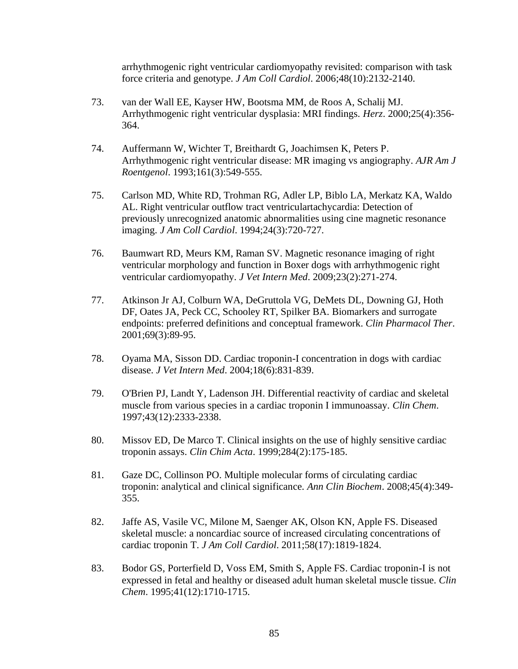arrhythmogenic right ventricular cardiomyopathy revisited: comparison with task force criteria and genotype. *J Am Coll Cardiol*. 2006;48(10):2132-2140.

- 73. van der Wall EE, Kayser HW, Bootsma MM, de Roos A, Schalij MJ. Arrhythmogenic right ventricular dysplasia: MRI findings. *Herz*. 2000;25(4):356- 364.
- 74. Auffermann W, Wichter T, Breithardt G, Joachimsen K, Peters P. Arrhythmogenic right ventricular disease: MR imaging vs angiography. *AJR Am J Roentgenol*. 1993;161(3):549-555.
- 75. Carlson MD, White RD, Trohman RG, Adler LP, Biblo LA, Merkatz KA, Waldo AL. Right ventricular outflow tract ventriculartachycardia: Detection of previously unrecognized anatomic abnormalities using cine magnetic resonance imaging. *J Am Coll Cardiol*. 1994;24(3):720-727.
- 76. Baumwart RD, Meurs KM, Raman SV. Magnetic resonance imaging of right ventricular morphology and function in Boxer dogs with arrhythmogenic right ventricular cardiomyopathy. *J Vet Intern Med*. 2009;23(2):271-274.
- 77. Atkinson Jr AJ, Colburn WA, DeGruttola VG, DeMets DL, Downing GJ, Hoth DF, Oates JA, Peck CC, Schooley RT, Spilker BA. Biomarkers and surrogate endpoints: preferred definitions and conceptual framework. *Clin Pharmacol Ther*. 2001;69(3):89-95.
- 78. Oyama MA, Sisson DD. Cardiac troponin-I concentration in dogs with cardiac disease. *J Vet Intern Med*. 2004;18(6):831-839.
- 79. O'Brien PJ, Landt Y, Ladenson JH. Differential reactivity of cardiac and skeletal muscle from various species in a cardiac troponin I immunoassay. *Clin Chem*. 1997;43(12):2333-2338.
- 80. Missov ED, De Marco T. Clinical insights on the use of highly sensitive cardiac troponin assays. *Clin Chim Acta*. 1999;284(2):175-185.
- 81. Gaze DC, Collinson PO. Multiple molecular forms of circulating cardiac troponin: analytical and clinical significance. *Ann Clin Biochem*. 2008;45(4):349- 355.
- 82. Jaffe AS, Vasile VC, Milone M, Saenger AK, Olson KN, Apple FS. Diseased skeletal muscle: a noncardiac source of increased circulating concentrations of cardiac troponin T. *J Am Coll Cardiol*. 2011;58(17):1819-1824.
- 83. Bodor GS, Porterfield D, Voss EM, Smith S, Apple FS. Cardiac troponin-I is not expressed in fetal and healthy or diseased adult human skeletal muscle tissue. *Clin Chem*. 1995;41(12):1710-1715.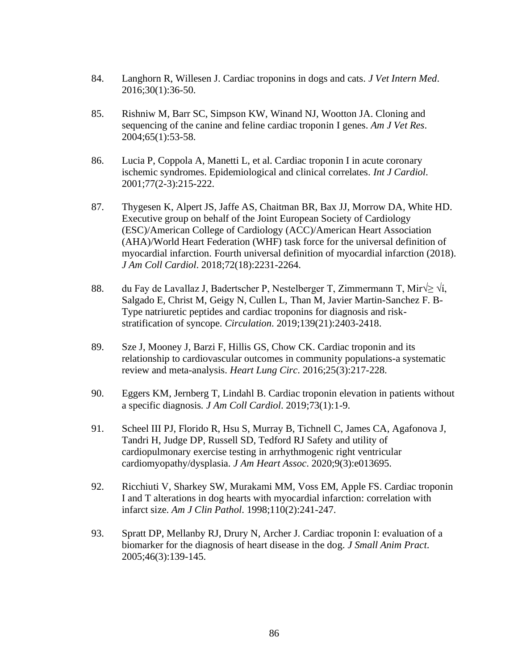- 84. Langhorn R, Willesen J. Cardiac troponins in dogs and cats. *J Vet Intern Med*. 2016;30(1):36-50.
- 85. Rishniw M, Barr SC, Simpson KW, Winand NJ, Wootton JA. Cloning and sequencing of the canine and feline cardiac troponin I genes. *Am J Vet Res*. 2004;65(1):53-58.
- 86. Lucia P, Coppola A, Manetti L, et al. Cardiac troponin I in acute coronary ischemic syndromes. Epidemiological and clinical correlates. *Int J Cardiol*. 2001;77(2-3):215-222.
- 87. Thygesen K, Alpert JS, Jaffe AS, Chaitman BR, Bax JJ, Morrow DA, White HD. Executive group on behalf of the Joint European Society of Cardiology (ESC)/American College of Cardiology (ACC)/American Heart Association (AHA)/World Heart Federation (WHF) task force for the universal definition of myocardial infarction. Fourth universal definition of myocardial infarction (2018). *J Am Coll Cardiol*. 2018;72(18):2231-2264.
- 88. du Fay de Lavallaz J, Badertscher P, Nestelberger T, Zimmermann T, Mir $\frac{1}{2}$   $\sqrt{i}$ , Salgado E, Christ M, Geigy N, Cullen L, Than M, Javier Martin-Sanchez F. B-Type natriuretic peptides and cardiac troponins for diagnosis and riskstratification of syncope. *Circulation*. 2019;139(21):2403-2418.
- 89. Sze J, Mooney J, Barzi F, Hillis GS, Chow CK. Cardiac troponin and its relationship to cardiovascular outcomes in community populations-a systematic review and meta-analysis. *Heart Lung Circ*. 2016;25(3):217-228.
- 90. Eggers KM, Jernberg T, Lindahl B. Cardiac troponin elevation in patients without a specific diagnosis*. J Am Coll Cardiol*. 2019;73(1):1-9.
- 91. Scheel III PJ, Florido R, Hsu S, Murray B, Tichnell C, James CA, Agafonova J, Tandri H, Judge DP, Russell SD, Tedford RJ Safety and utility of cardiopulmonary exercise testing in arrhythmogenic right ventricular cardiomyopathy/dysplasia. *J Am Heart Assoc*. 2020;9(3):e013695.
- 92. Ricchiuti V, Sharkey SW, Murakami MM, Voss EM, Apple FS. Cardiac troponin I and T alterations in dog hearts with myocardial infarction: correlation with infarct size. *Am J Clin Pathol*. 1998;110(2):241-247.
- 93. Spratt DP, Mellanby RJ, Drury N, Archer J. Cardiac troponin I: evaluation of a biomarker for the diagnosis of heart disease in the dog. *J Small Anim Pract*. 2005;46(3):139-145.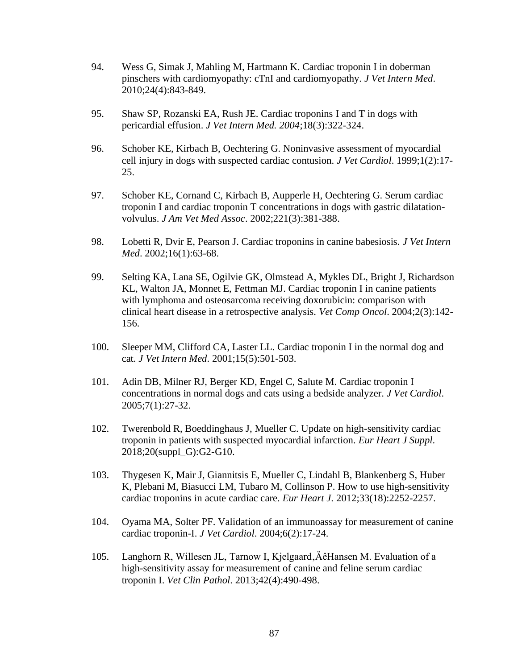- 94. Wess G, Simak J, Mahling M, Hartmann K. Cardiac troponin I in doberman pinschers with cardiomyopathy: cTnI and cardiomyopathy. *J Vet Intern Med*. 2010;24(4):843-849.
- 95. Shaw SP, Rozanski EA, Rush JE. Cardiac troponins I and T in dogs with pericardial effusion. *J Vet Intern Med. 2004*;18(3):322-324.
- 96. Schober KE, Kirbach B, Oechtering G. Noninvasive assessment of myocardial cell injury in dogs with suspected cardiac contusion. *J Vet Cardiol*. 1999;1(2):17- 25.
- 97. Schober KE, Cornand C, Kirbach B, Aupperle H, Oechtering G. Serum cardiac troponin I and cardiac troponin T concentrations in dogs with gastric dilatationvolvulus. *J Am Vet Med Assoc*. 2002;221(3):381-388.
- 98. Lobetti R, Dvir E, Pearson J. Cardiac troponins in canine babesiosis. *J Vet Intern Med*. 2002;16(1):63-68.
- 99. Selting KA, Lana SE, Ogilvie GK, Olmstead A, Mykles DL, Bright J, Richardson KL, Walton JA, Monnet E, Fettman MJ. Cardiac troponin I in canine patients with lymphoma and osteosarcoma receiving doxorubicin: comparison with clinical heart disease in a retrospective analysis. *Vet Comp Oncol*. 2004;2(3):142- 156.
- 100. Sleeper MM, Clifford CA, Laster LL. Cardiac troponin I in the normal dog and cat. *J Vet Intern Med*. 2001;15(5):501-503.
- 101. Adin DB, Milner RJ, Berger KD, Engel C, Salute M. Cardiac troponin I concentrations in normal dogs and cats using a bedside analyzer. *J Vet Cardiol*. 2005;7(1):27-32.
- 102. Twerenbold R, Boeddinghaus J, Mueller C. Update on high-sensitivity cardiac troponin in patients with suspected myocardial infarction. *Eur Heart J Suppl*. 2018;20(suppl\_G):G2-G10.
- 103. Thygesen K, Mair J, Giannitsis E, Mueller C, Lindahl B, Blankenberg S, Huber K, Plebani M, Biasucci LM, Tubaro M, Collinson P. How to use high-sensitivity cardiac troponins in acute cardiac care. *Eur Heart J*. 2012;33(18):2252-2257.
- 104. Oyama MA, Solter PF. Validation of an immunoassay for measurement of canine cardiac troponin-I. *J Vet Cardiol*. 2004;6(2):17-24.
- 105. Langhorn R, Willesen JL, Tarnow I, Kjelgaard'ÄêHansen M. Evaluation of a high-sensitivity assay for measurement of canine and feline serum cardiac troponin I. *Vet Clin Pathol*. 2013;42(4):490-498.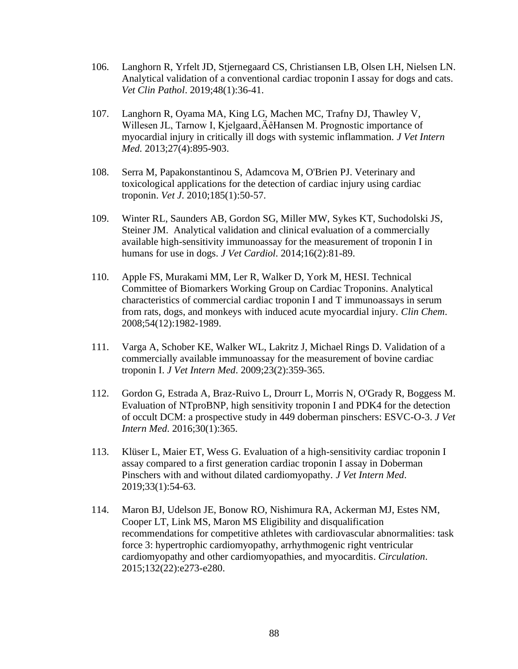- 106. Langhorn R, Yrfelt JD, Stjernegaard CS, Christiansen LB, Olsen LH, Nielsen LN. Analytical validation of a conventional cardiac troponin I assay for dogs and cats. *Vet Clin Pathol*. 2019;48(1):36-41.
- 107. Langhorn R, Oyama MA, King LG, Machen MC, Trafny DJ, Thawley V, Willesen JL, Tarnow I, Kjelgaard, ÄêHansen M. Prognostic importance of myocardial injury in critically ill dogs with systemic inflammation. *J Vet Intern Med.* 2013;27(4):895-903.
- 108. Serra M, Papakonstantinou S, Adamcova M, O'Brien PJ. Veterinary and toxicological applications for the detection of cardiac injury using cardiac troponin. *Vet J*. 2010;185(1):50-57.
- 109. Winter RL, Saunders AB, Gordon SG, Miller MW, Sykes KT, Suchodolski JS, Steiner JM. Analytical validation and clinical evaluation of a commercially available high-sensitivity immunoassay for the measurement of troponin I in humans for use in dogs. *J Vet Cardiol*. 2014;16(2):81-89.
- 110. Apple FS, Murakami MM, Ler R, Walker D, York M, HESI. Technical Committee of Biomarkers Working Group on Cardiac Troponins. Analytical characteristics of commercial cardiac troponin I and T immunoassays in serum from rats, dogs, and monkeys with induced acute myocardial injury. *Clin Chem*. 2008;54(12):1982-1989.
- 111. Varga A, Schober KE, Walker WL, Lakritz J, Michael Rings D. Validation of a commercially available immunoassay for the measurement of bovine cardiac troponin I. *J Vet Intern Med*. 2009;23(2):359-365.
- 112. Gordon G, Estrada A, Braz-Ruivo L, Drourr L, Morris N, O'Grady R, Boggess M. Evaluation of NTproBNP, high sensitivity troponin I and PDK4 for the detection of occult DCM: a prospective study in 449 doberman pinschers: ESVC-O-3. *J Vet Intern Med*. 2016;30(1):365.
- 113. Klüser L, Maier ET, Wess G. Evaluation of a high-sensitivity cardiac troponin I assay compared to a first generation cardiac troponin I assay in Doberman Pinschers with and without dilated cardiomyopathy. *J Vet Intern Med*. 2019;33(1):54-63.
- 114. Maron BJ, Udelson JE, Bonow RO, Nishimura RA, Ackerman MJ, Estes NM, Cooper LT, Link MS, Maron MS Eligibility and disqualification recommendations for competitive athletes with cardiovascular abnormalities: task force 3: hypertrophic cardiomyopathy, arrhythmogenic right ventricular cardiomyopathy and other cardiomyopathies, and myocarditis. *Circulation*. 2015;132(22):e273-e280.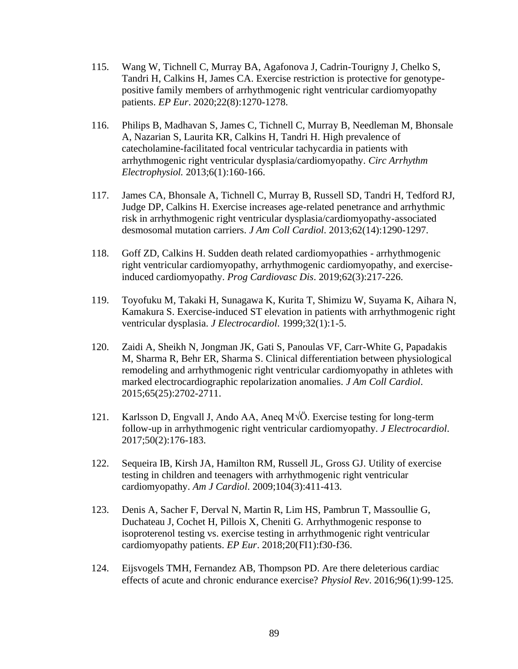- 115. Wang W, Tichnell C, Murray BA, Agafonova J, Cadrin-Tourigny J, Chelko S, Tandri H, Calkins H, James CA. Exercise restriction is protective for genotypepositive family members of arrhythmogenic right ventricular cardiomyopathy patients. *EP Eur*. 2020;22(8):1270-1278.
- 116. Philips B, Madhavan S, James C, Tichnell C, Murray B, Needleman M, Bhonsale A, Nazarian S, Laurita KR, Calkins H, Tandri H. High prevalence of catecholamine-facilitated focal ventricular tachycardia in patients with arrhythmogenic right ventricular dysplasia/cardiomyopathy. *Circ Arrhythm Electrophysiol.* 2013;6(1):160-166.
- 117. James CA, Bhonsale A, Tichnell C, Murray B, Russell SD, Tandri H, Tedford RJ, Judge DP, Calkins H. Exercise increases age-related penetrance and arrhythmic risk in arrhythmogenic right ventricular dysplasia/cardiomyopathy-associated desmosomal mutation carriers. *J Am Coll Cardiol*. 2013;62(14):1290-1297.
- 118. Goff ZD, Calkins H. Sudden death related cardiomyopathies arrhythmogenic right ventricular cardiomyopathy, arrhythmogenic cardiomyopathy, and exerciseinduced cardiomyopathy. *Prog Cardiovasc Dis*. 2019;62(3):217-226.
- 119. Toyofuku M, Takaki H, Sunagawa K, Kurita T, Shimizu W, Suyama K, Aihara N, Kamakura S. Exercise-induced ST elevation in patients with arrhythmogenic right ventricular dysplasia. *J Electrocardiol*. 1999;32(1):1-5.
- 120. Zaidi A, Sheikh N, Jongman JK, Gati S, Panoulas VF, Carr-White G, Papadakis M, Sharma R, Behr ER, Sharma S. Clinical differentiation between physiological remodeling and arrhythmogenic right ventricular cardiomyopathy in athletes with marked electrocardiographic repolarization anomalies. *J Am Coll Cardiol*. 2015;65(25):2702-2711.
- 121. Karlsson D, Engvall J, Ando AA, Aneq M√Ö. Exercise testing for long-term follow-up in arrhythmogenic right ventricular cardiomyopathy. *J Electrocardiol*. 2017;50(2):176-183.
- 122. Sequeira IB, Kirsh JA, Hamilton RM, Russell JL, Gross GJ. Utility of exercise testing in children and teenagers with arrhythmogenic right ventricular cardiomyopathy. *Am J Cardiol*. 2009;104(3):411-413.
- 123. Denis A, Sacher F, Derval N, Martin R, Lim HS, Pambrun T, Massoullie G, Duchateau J, Cochet H, Pillois X, Cheniti G. Arrhythmogenic response to isoproterenol testing vs. exercise testing in arrhythmogenic right ventricular cardiomyopathy patients. *EP Eur*. 2018;20(FI1):f30-f36.
- 124. Eijsvogels TMH, Fernandez AB, Thompson PD. Are there deleterious cardiac effects of acute and chronic endurance exercise? *Physiol Rev*. 2016;96(1):99-125.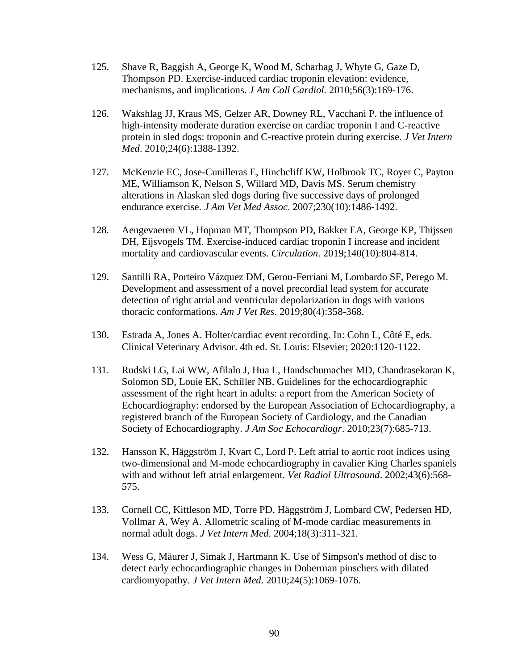- 125. Shave R, Baggish A, George K, Wood M, Scharhag J, Whyte G, Gaze D, Thompson PD. Exercise-induced cardiac troponin elevation: evidence, mechanisms, and implications. *J Am Coll Cardiol*. 2010;56(3):169-176.
- 126. Wakshlag JJ, Kraus MS, Gelzer AR, Downey RL, Vacchani P. the influence of high-intensity moderate duration exercise on cardiac troponin I and C-reactive protein in sled dogs: troponin and C-reactive protein during exercise. *J Vet Intern Med*. 2010;24(6):1388-1392.
- 127. McKenzie EC, Jose-Cunilleras E, Hinchcliff KW, Holbrook TC, Royer C, Payton ME, Williamson K, Nelson S, Willard MD, Davis MS. Serum chemistry alterations in Alaskan sled dogs during five successive days of prolonged endurance exercise. *J Am Vet Med Assoc*. 2007;230(10):1486-1492.
- 128. Aengevaeren VL, Hopman MT, Thompson PD, Bakker EA, George KP, Thijssen DH, Eijsvogels TM. Exercise-induced cardiac troponin I increase and incident mortality and cardiovascular events. *Circulation*. 2019;140(10):804-814.
- 129. Santilli RA, Porteiro Vázquez DM, Gerou-Ferriani M, Lombardo SF, Perego M. Development and assessment of a novel precordial lead system for accurate detection of right atrial and ventricular depolarization in dogs with various thoracic conformations. *Am J Vet Res*. 2019;80(4):358-368.
- 130. Estrada A, Jones A. Holter/cardiac event recording. In: Cohn L, Côté E, eds. Clinical Veterinary Advisor. 4th ed. St. Louis: Elsevier; 2020:1120-1122.
- 131. Rudski LG, Lai WW, Afilalo J, Hua L, Handschumacher MD, Chandrasekaran K, Solomon SD, Louie EK, Schiller NB. Guidelines for the echocardiographic assessment of the right heart in adults: a report from the American Society of Echocardiography: endorsed by the European Association of Echocardiography, a registered branch of the European Society of Cardiology, and the Canadian Society of Echocardiography. *J Am Soc Echocardiogr*. 2010;23(7):685-713.
- 132. Hansson K, Häggström J, Kvart C, Lord P. Left atrial to aortic root indices using two-dimensional and M-mode echocardiography in cavalier King Charles spaniels with and without left atrial enlargement. *Vet Radiol Ultrasound*. 2002;43(6):568- 575.
- 133. Cornell CC, Kittleson MD, Torre PD, Häggström J, Lombard CW, Pedersen HD, Vollmar A, Wey A. Allometric scaling of M-mode cardiac measurements in normal adult dogs. *J Vet Intern Med*. 2004;18(3):311-321.
- 134. Wess G, Mäurer J, Simak J, Hartmann K. Use of Simpson's method of disc to detect early echocardiographic changes in Doberman pinschers with dilated cardiomyopathy. *J Vet Intern Med*. 2010;24(5):1069-1076.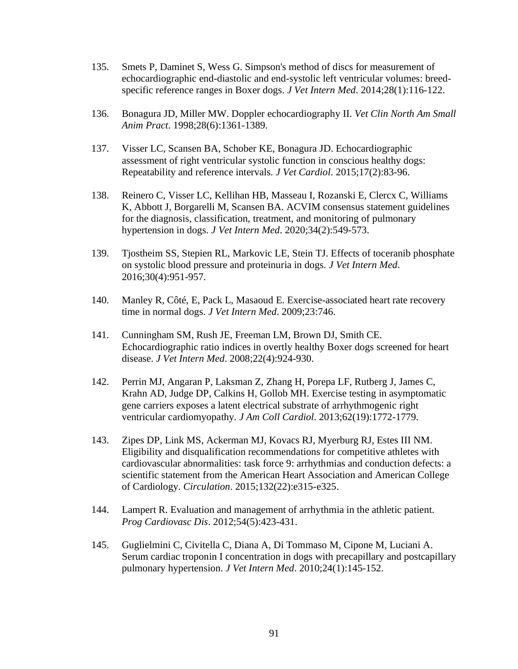- 135. Smets P, Daminet S, Wess G. Simpson's method of discs for measurement of echocardiographic end-diastolic and end-systolic left ventricular volumes: breedspecific reference ranges in Boxer dogs. *J Vet Intern Med*. 2014;28(1):116-122.
- 136. Bonagura JD, Miller MW. Doppler echocardiography II. *Vet Clin North Am Small Anim Pract*. 1998;28(6):1361-1389.
- 137. Visser LC, Scansen BA, Schober KE, Bonagura JD. Echocardiographic assessment of right ventricular systolic function in conscious healthy dogs: Repeatability and reference intervals. *J Vet Cardiol*. 2015;17(2):83-96.
- 138. Reinero C, Visser LC, Kellihan HB, Masseau I, Rozanski E, Clercx C, Williams K, Abbott J, Borgarelli M, Scansen BA. ACVIM consensus statement guidelines for the diagnosis, classification, treatment, and monitoring of pulmonary hypertension in dogs. *J Vet Intern Med*. 2020;34(2):549-573.
- 139. Tjostheim SS, Stepien RL, Markovic LE, Stein TJ. Effects of toceranib phosphate on systolic blood pressure and proteinuria in dogs. *J Vet Intern Med*. 2016;30(4):951-957.
- 140. Manley R, Côté, E, Pack L, Masaoud E. Exercise-associated heart rate recovery time in normal dogs. *J Vet Intern Med*. 2009;23:746.
- 141. Cunningham SM, Rush JE, Freeman LM, Brown DJ, Smith CE. Echocardiographic ratio indices in overtly healthy Boxer dogs screened for heart disease. *J Vet Intern Med*. 2008;22(4):924-930.
- 142. Perrin MJ, Angaran P, Laksman Z, Zhang H, Porepa LF, Rutberg J, James C, Krahn AD, Judge DP, Calkins H, Gollob MH. Exercise testing in asymptomatic gene carriers exposes a latent electrical substrate of arrhythmogenic right ventricular cardiomyopathy. *J Am Coll Cardiol*. 2013;62(19):1772-1779.
- 143. Zipes DP, Link MS, Ackerman MJ, Kovacs RJ, Myerburg RJ, Estes III NM. Eligibility and disqualification recommendations for competitive athletes with cardiovascular abnormalities: task force 9: arrhythmias and conduction defects: a scientific statement from the American Heart Association and American College of Cardiology. *Circulation*. 2015;132(22):e315-e325.
- 144. Lampert R. Evaluation and management of arrhythmia in the athletic patient. *Prog Cardiovasc Dis*. 2012;54(5):423-431.
- 145. Guglielmini C, Civitella C, Diana A, Di Tommaso M, Cipone M, Luciani A. Serum cardiac troponin I concentration in dogs with precapillary and postcapillary pulmonary hypertension. *J Vet Intern Med*. 2010;24(1):145-152.